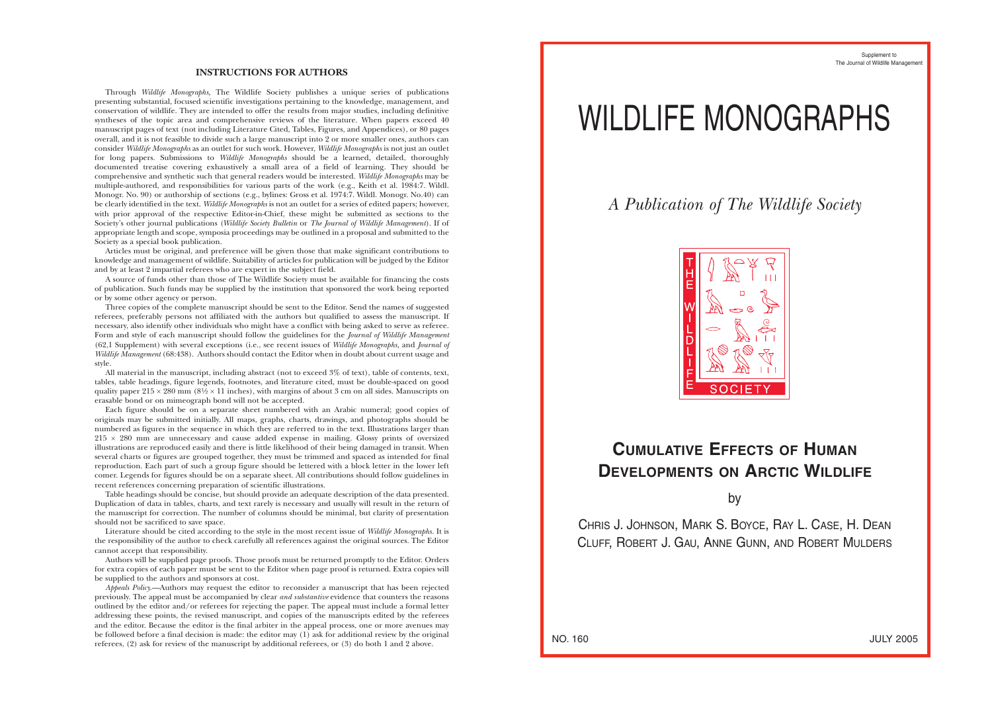# WILDLIFE MONOGRAPHS

*A Publication of The Wildlife Society*



# **CUMULATIVE EFFECTS OF HUMAN DEVELOPMENTS ON ARCTIC WILDLIFE**

by

CHRIS J. JOHNSON, MARK S. BOYCE, RAY L. CASE, H. DEAN CLUFF, ROBERT J. GAU, ANNE GUNN, AND ROBERT MULDERS

NO. 160 JULY 2005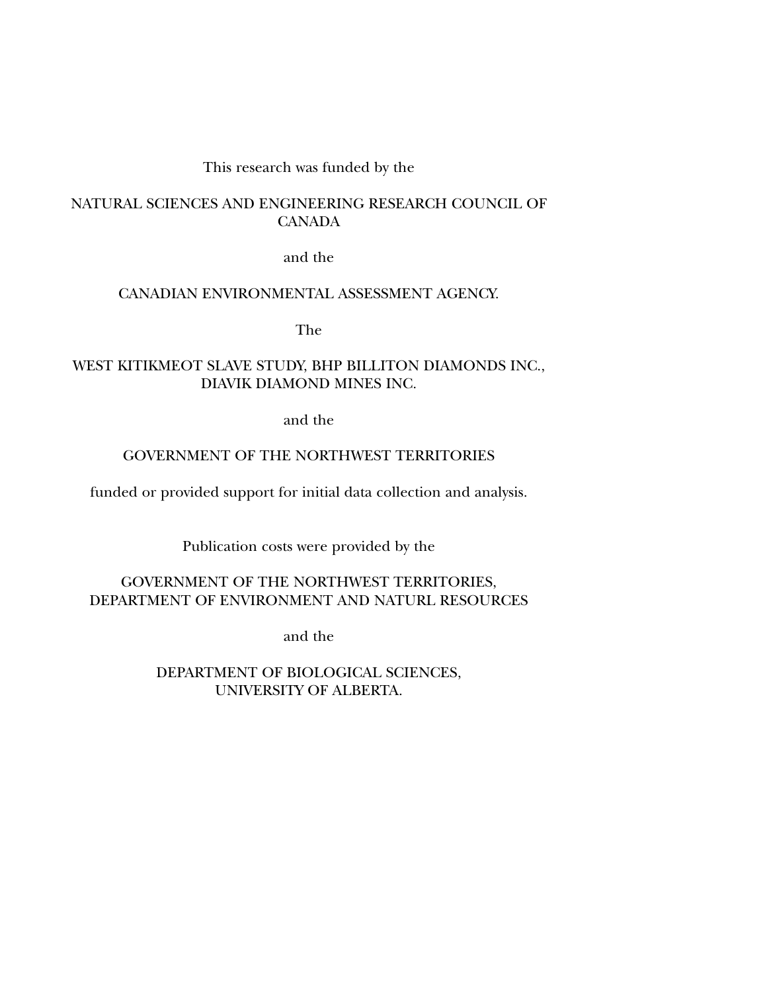## This research was funded by the

# NATURAL SCIENCES AND ENGINEERING RESEARCH COUNCIL OF CANADA

and the

## CANADIAN ENVIRONMENTAL ASSESSMENT AGENCY.

The

# WEST KITIKMEOT SLAVE STUDY, BHP BILLITON DIAMONDS INC., DIAVIK DIAMOND MINES INC.

and the

# GOVERNMENT OF THE NORTHWEST TERRITORIES

funded or provided support for initial data collection and analysis.

Publication costs were provided by the

# GOVERNMENT OF THE NORTHWEST TERRITORIES, DEPARTMENT OF ENVIRONMENT AND NATURL RESOURCES

and the

DEPARTMENT OF BIOLOGICAL SCIENCES, UNIVERSITY OF ALBERTA.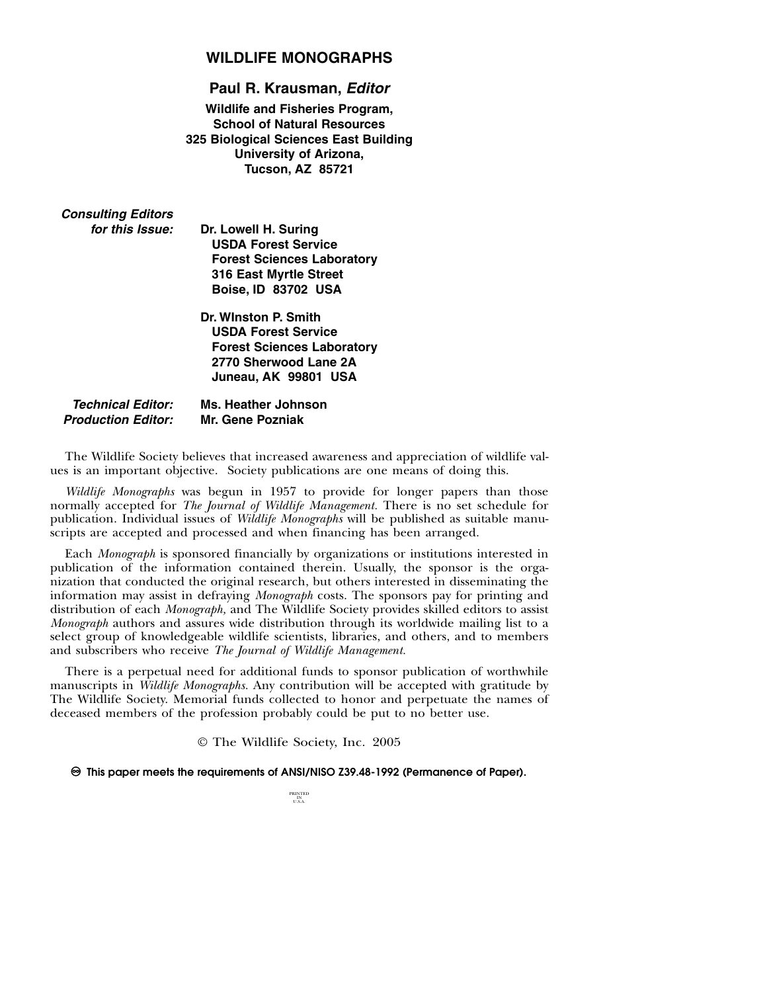### **WILDLIFE MONOGRAPHS**

#### **Paul R. Krausman, Editor**

**Wildlife and Fisheries Program, School of Natural Resources 325 Biological Sciences East Building University of Arizona, Tucson, AZ 85721**

**Consulting Editors**

**for this Issue: Dr. Lowell H. Suring USDA Forest Service Forest Sciences Laboratory 316 East Myrtle Street Boise, ID 83702 USA**

> **Dr. WInston P. Smith USDA Forest Service Forest Sciences Laboratory 2770 Sherwood Lane 2A Juneau, AK 99801 USA**

**Technical Editor: Ms. Heather Johnson Production Editor: Mr. Gene Pozniak**

The Wildlife Society believes that increased awareness and appreciation of wildlife values is an important objective. Society publications are one means of doing this.

*Wildlife Monographs* was begun in 1957 to provide for longer papers than those normally accepted for *The Journal of Wildlife Management.* There is no set schedule for publication. Individual issues of *Wildlife Monographs* will be published as suitable manuscripts are accepted and processed and when financing has been arranged.

Each *Monograph* is sponsored financially by organizations or institutions interested in publication of the information contained therein. Usually, the sponsor is the organization that conducted the original research, but others interested in disseminating the information may assist in defraying *Monograph* costs. The sponsors pay for printing and distribution of each *Monograph,* and The Wildlife Society provides skilled editors to assist *Monograph* authors and assures wide distribution through its worldwide mailing list to a select group of knowledgeable wildlife scientists, libraries, and others, and to members and subscribers who receive *The Journal of Wildlife Management.*

There is a perpetual need for additional funds to sponsor publication of worthwhile manuscripts in *Wildlife Monographs.* Any contribution will be accepted with gratitude by The Wildlife Society. Memorial funds collected to honor and perpetuate the names of deceased members of the profession probably could be put to no better use.

© The Wildlife Society, Inc. 2005

∞ **This paper meets the requirements of ANSI/NISO Z39.48-1992 (Permanence of Paper).**

PRINTED IN U.S.A.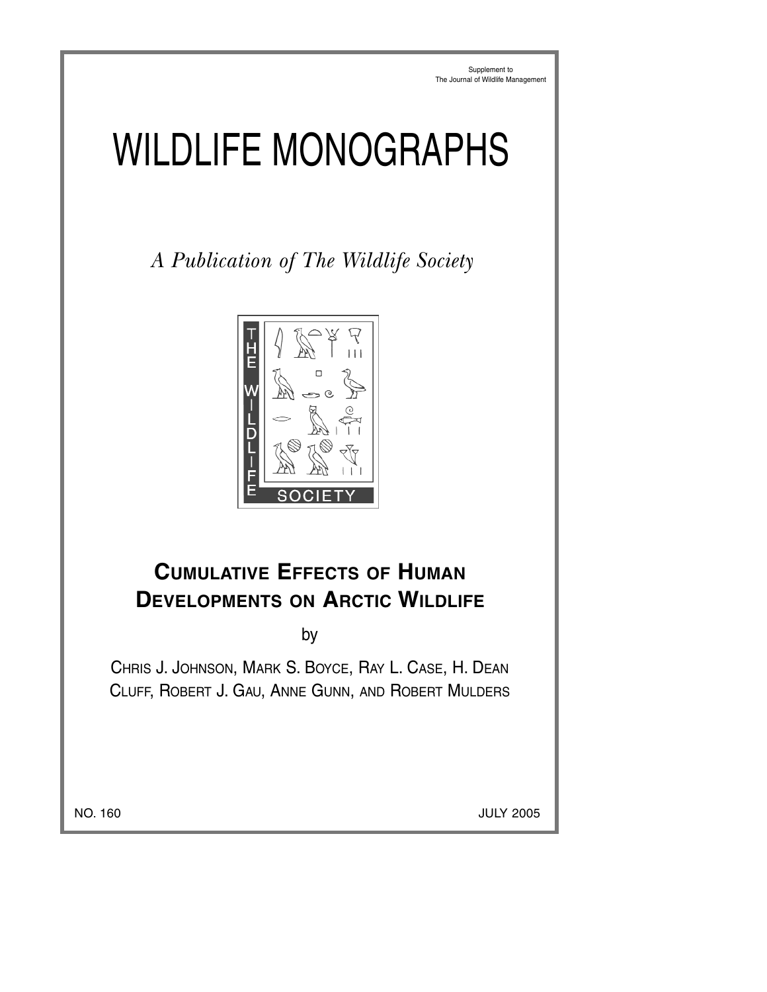Supplement to The Journal of Wildlife Management

# WILDLIFE MONOGRAPHS

*A Publication of The Wildlife Society*



# **CUMULATIVE EFFECTS OF HUMAN DEVELOPMENTS ON ARCTIC WILDLIFE**

by

CHRIS J. JOHNSON, MARK S. BOYCE, RAY L. CASE, H. DEAN CLUFF, ROBERT J. GAU, ANNE GUNN, AND ROBERT MULDERS

NO. 160 JULY 2005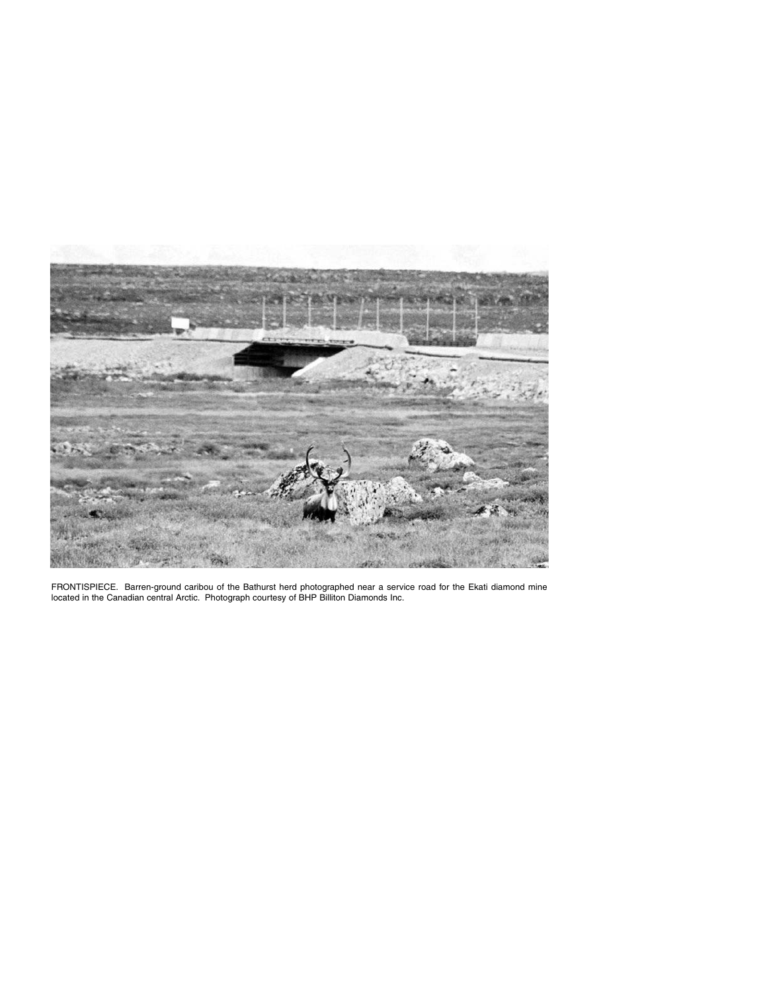

FRONTISPIECE. Barren-ground caribou of the Bathurst herd photographed near a service road for the Ekati diamond mine located in the Canadian central Arctic. Photograph courtesy of BHP Billiton Diamonds Inc.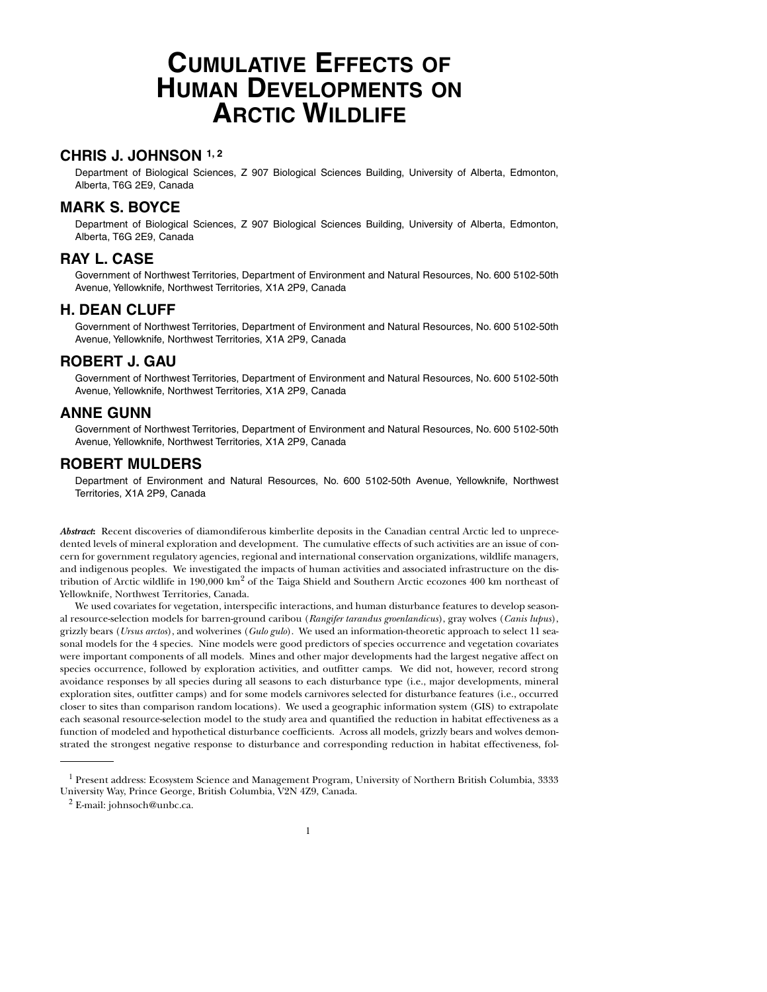# **CUMULATIVE EFFECTS OF HUMAN DEVELOPMENTS ON ARCTIC WILDLIFE**

#### **CHRIS J. JOHNSON 1, 2**

Department of Biological Sciences, Z 907 Biological Sciences Building, University of Alberta, Edmonton, Alberta, T6G 2E9, Canada

#### **MARK S. BOYCE**

Department of Biological Sciences, Z 907 Biological Sciences Building, University of Alberta, Edmonton, Alberta, T6G 2E9, Canada

#### **RAY L. CASE**

Government of Northwest Territories, Department of Environment and Natural Resources, No. 600 5102-50th Avenue, Yellowknife, Northwest Territories, X1A 2P9, Canada

#### **H. DEAN CLUFF**

Government of Northwest Territories, Department of Environment and Natural Resources, No. 600 5102-50th Avenue, Yellowknife, Northwest Territories, X1A 2P9, Canada

#### **ROBERT J. GAU**

Government of Northwest Territories, Department of Environment and Natural Resources, No. 600 5102-50th Avenue, Yellowknife, Northwest Territories, X1A 2P9, Canada

#### **ANNE GUNN**

Government of Northwest Territories, Department of Environment and Natural Resources, No. 600 5102-50th Avenue, Yellowknife, Northwest Territories, X1A 2P9, Canada

#### **ROBERT MULDERS**

Department of Environment and Natural Resources, No. 600 5102-50th Avenue, Yellowknife, Northwest Territories, X1A 2P9, Canada

*Abstract***:** Recent discoveries of diamondiferous kimberlite deposits in the Canadian central Arctic led to unprecedented levels of mineral exploration and development. The cumulative effects of such activities are an issue of concern for government regulatory agencies, regional and international conservation organizations, wildlife managers, and indigenous peoples. We investigated the impacts of human activities and associated infrastructure on the distribution of Arctic wildlife in 190,000  $km^2$  of the Taiga Shield and Southern Arctic ecozones 400 km northeast of Yellowknife, Northwest Territories, Canada.

We used covariates for vegetation, interspecific interactions, and human disturbance features to develop seasonal resource-selection models for barren-ground caribou (*Rangifer tarandus groenlandicus*), gray wolves (*Canis lupus*), grizzly bears (*Ursus arctos*), and wolverines (*Gulo gulo*). We used an information-theoretic approach to select 11 seasonal models for the 4 species. Nine models were good predictors of species occurrence and vegetation covariates were important components of all models. Mines and other major developments had the largest negative affect on species occurrence, followed by exploration activities, and outfitter camps. We did not, however, record strong avoidance responses by all species during all seasons to each disturbance type (i.e., major developments, mineral exploration sites, outfitter camps) and for some models carnivores selected for disturbance features (i.e., occurred closer to sites than comparison random locations). We used a geographic information system (GIS) to extrapolate each seasonal resource-selection model to the study area and quantified the reduction in habitat effectiveness as a function of modeled and hypothetical disturbance coefficients. Across all models, grizzly bears and wolves demonstrated the strongest negative response to disturbance and corresponding reduction in habitat effectiveness, fol-

<sup>1</sup> Present address: Ecosystem Science and Management Program, University of Northern British Columbia, 3333 University Way, Prince George, British Columbia, V2N 4Z9, Canada.

<sup>2</sup> E-mail: johnsoch@unbc.ca.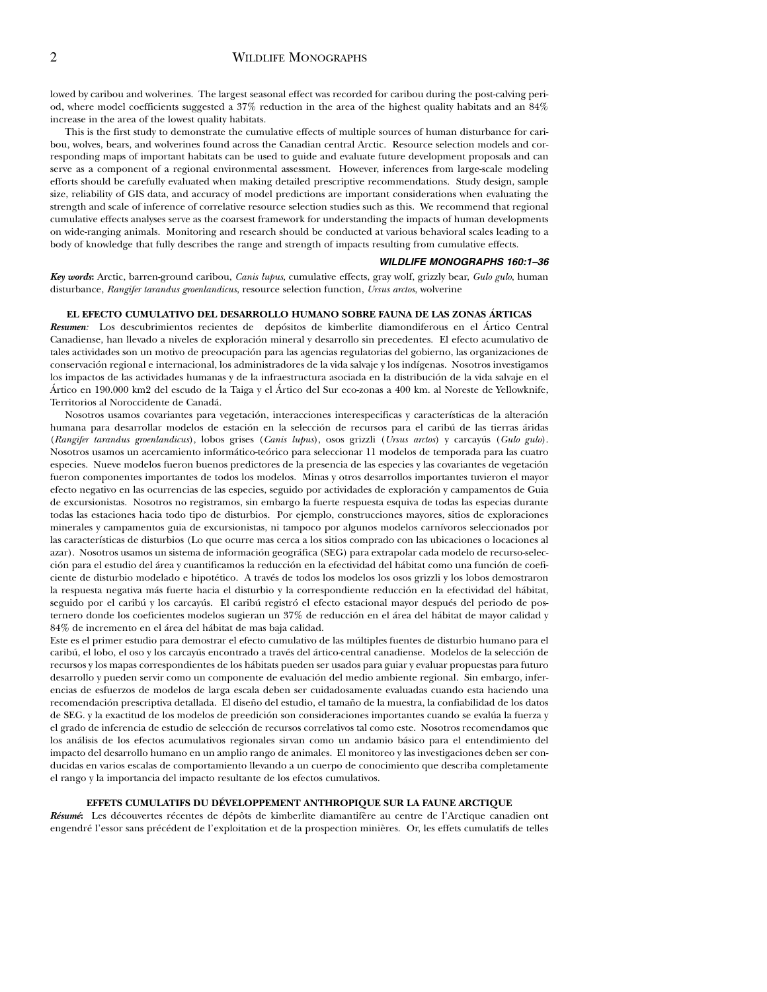lowed by caribou and wolverines. The largest seasonal effect was recorded for caribou during the post-calving period, where model coefficients suggested a 37% reduction in the area of the highest quality habitats and an 84% increase in the area of the lowest quality habitats.

This is the first study to demonstrate the cumulative effects of multiple sources of human disturbance for caribou, wolves, bears, and wolverines found across the Canadian central Arctic. Resource selection models and corresponding maps of important habitats can be used to guide and evaluate future development proposals and can serve as a component of a regional environmental assessment. However, inferences from large-scale modeling efforts should be carefully evaluated when making detailed prescriptive recommendations. Study design, sample size, reliability of GIS data, and accuracy of model predictions are important considerations when evaluating the strength and scale of inference of correlative resource selection studies such as this. We recommend that regional cumulative effects analyses serve as the coarsest framework for understanding the impacts of human developments on wide-ranging animals. Monitoring and research should be conducted at various behavioral scales leading to a body of knowledge that fully describes the range and strength of impacts resulting from cumulative effects.

#### **WILDLIFE MONOGRAPHS 160:1–36**

*Key words***:** Arctic, barren-ground caribou, *Canis lupus*, cumulative effects, gray wolf, grizzly bear, *Gulo gulo*, human disturbance, *Rangifer tarandus groenlandicus*, resource selection function, *Ursus arctos*, wolverine

#### **EL EFECTO CUMULATIVO DEL DESARROLLO HUMANO SOBRE FAUNA DE LAS ZONAS ÁRTICAS**

*Resumen:* Los descubrimientos recientes de depósitos de kimberlite diamondiferous en el Ártico Central Canadiense, han llevado a niveles de exploración mineral y desarrollo sin precedentes. El efecto acumulativo de tales actividades son un motivo de preocupación para las agencias regulatorias del gobierno, las organizaciones de conservación regional e internacional, los administradores de la vida salvaje y los indígenas. Nosotros investigamos los impactos de las actividades humanas y de la infraestructura asociada en la distribución de la vida salvaje en el Ártico en 190.000 km2 del escudo de la Taiga y el Ártico del Sur eco-zonas a 400 km. al Noreste de Yellowknife, Territorios al Noroccidente de Canadá.

Nosotros usamos covariantes para vegetación, interacciones interespecificas y características de la alteración humana para desarrollar modelos de estación en la selección de recursos para el caribú de las tierras áridas (*Rangifer tarandus groenlandicus*), lobos grises (*Canis lupus*), osos grizzli (*Ursus arctos*) y carcayús (*Gulo gulo*). Nosotros usamos un acercamiento informático-teórico para seleccionar 11 modelos de temporada para las cuatro especies. Nueve modelos fueron buenos predictores de la presencia de las especies y las covariantes de vegetación fueron componentes importantes de todos los modelos. Minas y otros desarrollos importantes tuvieron el mayor efecto negativo en las ocurrencias de las especies, seguido por actividades de exploración y campamentos de Guia de excursionistas. Nosotros no registramos, sin embargo la fuerte respuesta esquiva de todas las especias durante todas las estaciones hacia todo tipo de disturbios. Por ejemplo, construcciones mayores, sitios de exploraciones minerales y campamentos guia de excursionistas, ni tampoco por algunos modelos carnívoros seleccionados por las características de disturbios (Lo que ocurre mas cerca a los sitios comprado con las ubicaciones o locaciones al azar). Nosotros usamos un sistema de información geográfica (SEG) para extrapolar cada modelo de recurso-selección para el estudio del área y cuantificamos la reducción en la efectividad del hábitat como una función de coeficiente de disturbio modelado e hipotético. A través de todos los modelos los osos grizzli y los lobos demostraron la respuesta negativa más fuerte hacia el disturbio y la correspondiente reducción en la efectividad del hábitat, seguido por el caribú y los carcayús. El caribú registró el efecto estacional mayor después del periodo de posternero donde los coeficientes modelos sugieran un 37% de reducción en el área del hábitat de mayor calidad y 84% de incremento en el área del hábitat de mas baja calidad.

Este es el primer estudio para demostrar el efecto cumulativo de las múltiples fuentes de disturbio humano para el caribú, el lobo, el oso y los carcayús encontrado a través del ártico-central canadiense. Modelos de la selección de recursos y los mapas correspondientes de los hábitats pueden ser usados para guiar y evaluar propuestas para futuro desarrollo y pueden servir como un componente de evaluación del medio ambiente regional. Sin embargo, inferencias de esfuerzos de modelos de larga escala deben ser cuidadosamente evaluadas cuando esta haciendo una recomendación prescriptiva detallada. El diseño del estudio, el tamaño de la muestra, la confiabilidad de los datos de SEG. y la exactitud de los modelos de preedición son consideraciones importantes cuando se evalúa la fuerza y el grado de inferencia de estudio de selección de recursos correlativos tal como este. Nosotros recomendamos que los análisis de los efectos acumulativos regionales sirvan como un andamio básico para el entendimiento del impacto del desarrollo humano en un amplio rango de animales. El monitoreo y las investigaciones deben ser conducidas en varios escalas de comportamiento llevando a un cuerpo de conocimiento que describa completamente el rango y la importancia del impacto resultante de los efectos cumulativos.

#### **EFFETS CUMULATIFS DU DÉVELOPPEMENT ANTHROPIQUE SUR LA FAUNE ARCTIQUE**

*Résumé***:** Les découvertes récentes de dépôts de kimberlite diamantifère au centre de l'Arctique canadien ont engendré l'essor sans précédent de l'exploitation et de la prospection minières. Or, les effets cumulatifs de telles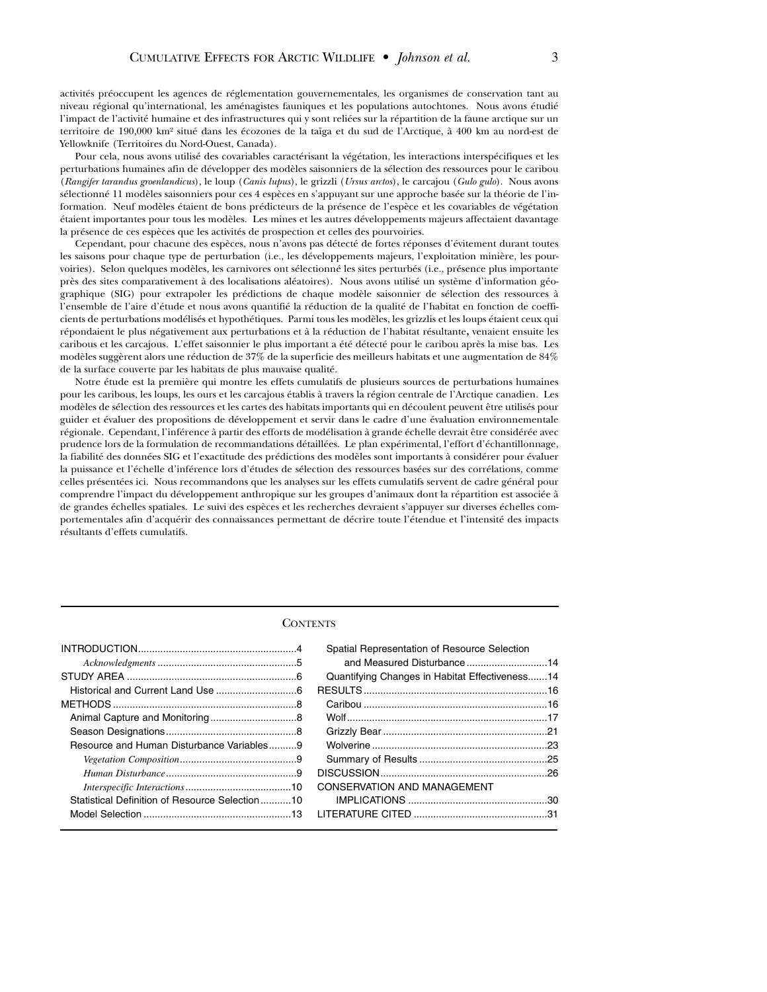activités préoccupent les agences de réglementation gouvernementales, les organismes de conservation tant au niveau régional qu'international, les aménagistes fauniques et les populations autochtones. Nous avons étudié l'impact de l'activité humaine et des infrastructures qui y sont reliées sur la répartition de la faune arctique sur un territoire de 190,000 km² situé dans les écozones de la taïga et du sud de l'Arctique, à 400 km au nord-est de Yellowknife (Territoires du Nord-Ouest, Canada).

Pour cela, nous avons utilisé des covariables caractérisant la végétation, les interactions interspécifiques et les perturbations humaines afin de développer des modèles saisonniers de la sélection des ressources pour le caribou (*Rangifer tarandus groenlandicus*), le loup (*Canis lupus*), le grizzli (*Ursus arctos*), le carcajou (*Gulo gulo*). Nous avons sélectionné 11 modèles saisonniers pour ces 4 espèces en s'appuyant sur une approche basée sur la théorie de l'information. Neuf modèles étaient de bons prédicteurs de la présence de l'espèce et les covariables de végétation étaient importantes pour tous les modèles. Les mines et les autres développements majeurs affectaient davantage la présence de ces espèces que les activités de prospection et celles des pourvoiries.

Cependant, pour chacune des espèces, nous n'avons pas détecté de fortes réponses d'évitement durant toutes les saisons pour chaque type de perturbation (i.e., les développements majeurs, l'exploitation minière, les pourvoiries). Selon quelques modèles, les carnivores ont sélectionné les sites perturbés (i.e., présence plus importante près des sites comparativement à des localisations aléatoires). Nous avons utilisé un système d'information géographique (SIG) pour extrapoler les prédictions de chaque modèle saisonnier de sélection des ressources à l'ensemble de l'aire d'étude et nous avons quantifié la réduction de la qualité de l'habitat en fonction de coefficients de perturbations modélisés et hypothétiques. Parmi tous les modèles, les grizzlis et les loups étaient ceux qui répondaient le plus négativement aux perturbations et à la réduction de l'habitat résultante**,** venaient ensuite les caribous et les carcajous. L'effet saisonnier le plus important a été détecté pour le caribou après la mise bas. Les modèles suggèrent alors une réduction de 37% de la superficie des meilleurs habitats et une augmentation de 84% de la surface couverte par les habitats de plus mauvaise qualité.

Notre étude est la première qui montre les effets cumulatifs de plusieurs sources de perturbations humaines pour les caribous, les loups, les ours et les carcajous établis à travers la région centrale de l'Arctique canadien. Les modèles de sélection des ressources et les cartes des habitats importants qui en découlent peuvent être utilisés pour guider et évaluer des propositions de développement et servir dans le cadre d'une évaluation environnementale régionale. Cependant, l'inférence à partir des efforts de modélisation à grande échelle devrait être considérée avec prudence lors de la formulation de recommandations détaillées. Le plan expérimental, l'effort d'échantillonnage, la fiabilité des données SIG et l'exactitude des prédictions des modèles sont importants à considérer pour évaluer la puissance et l'échelle d'inférence lors d'études de sélection des ressources basées sur des corrélations, comme celles présentées ici. Nous recommandons que les analyses sur les effets cumulatifs servent de cadre général pour comprendre l'impact du développement anthropique sur les groupes d'animaux dont la répartition est associée à de grandes échelles spatiales. Le suivi des espèces et les recherches devraient s'appuyer sur diverses échelles comportementales afin d'acquérir des connaissances permettant de décrire toute l'étendue et l'intensité des impacts résultants d'effets cumulatifs.

#### **CONTENTS**

| Resource and Human Disturbance Variables9      |  |
|------------------------------------------------|--|
|                                                |  |
|                                                |  |
|                                                |  |
| Statistical Definition of Resource Selection10 |  |
|                                                |  |
|                                                |  |

| Spatial Representation of Resource Selection   |  |
|------------------------------------------------|--|
| and Measured Disturbance 14                    |  |
| Quantifying Changes in Habitat Effectiveness14 |  |
|                                                |  |
|                                                |  |
|                                                |  |
|                                                |  |
|                                                |  |
|                                                |  |
|                                                |  |
| CONSERVATION AND MANAGEMENT                    |  |
|                                                |  |
|                                                |  |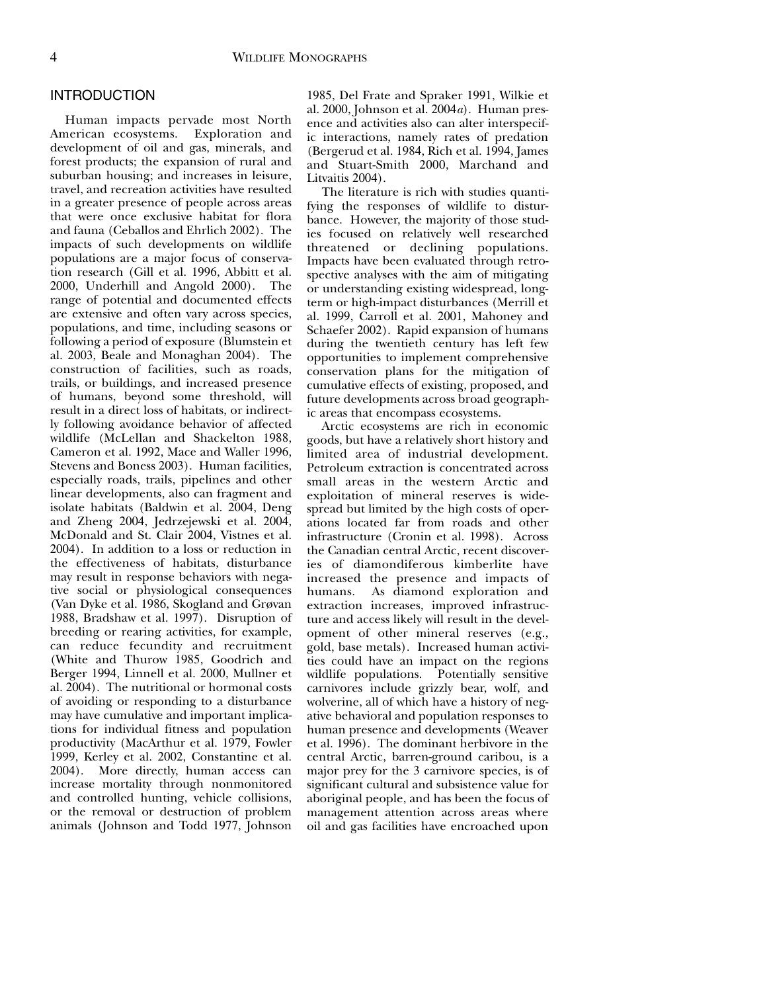#### **INTRODUCTION**

Human impacts pervade most North American ecosystems. Exploration and development of oil and gas, minerals, and forest products; the expansion of rural and suburban housing; and increases in leisure, travel, and recreation activities have resulted in a greater presence of people across areas that were once exclusive habitat for flora and fauna (Ceballos and Ehrlich 2002). The impacts of such developments on wildlife populations are a major focus of conservation research (Gill et al. 1996, Abbitt et al. 2000, Underhill and Angold 2000). The range of potential and documented effects are extensive and often vary across species, populations, and time, including seasons or following a period of exposure (Blumstein et al. 2003, Beale and Monaghan 2004). The construction of facilities, such as roads, trails, or buildings, and increased presence of humans, beyond some threshold, will result in a direct loss of habitats, or indirectly following avoidance behavior of affected wildlife (McLellan and Shackelton 1988, Cameron et al. 1992, Mace and Waller 1996, Stevens and Boness 2003). Human facilities, especially roads, trails, pipelines and other linear developments, also can fragment and isolate habitats (Baldwin et al. 2004, Deng and Zheng 2004, Jedrzejewski et al. 2004, McDonald and St. Clair 2004, Vistnes et al. 2004). In addition to a loss or reduction in the effectiveness of habitats, disturbance may result in response behaviors with negative social or physiological consequences (Van Dyke et al. 1986, Skogland and Grøvan 1988, Bradshaw et al. 1997). Disruption of breeding or rearing activities, for example, can reduce fecundity and recruitment (White and Thurow 1985, Goodrich and Berger 1994, Linnell et al. 2000, Mullner et al. 2004). The nutritional or hormonal costs of avoiding or responding to a disturbance may have cumulative and important implications for individual fitness and population productivity (MacArthur et al. 1979, Fowler 1999, Kerley et al. 2002, Constantine et al. 2004). More directly, human access can increase mortality through nonmonitored and controlled hunting, vehicle collisions, or the removal or destruction of problem animals (Johnson and Todd 1977, Johnson 1985, Del Frate and Spraker 1991, Wilkie et al. 2000, Johnson et al. 2004*a*). Human presence and activities also can alter interspecific interactions, namely rates of predation (Bergerud et al. 1984, Rich et al. 1994, James and Stuart-Smith 2000, Marchand and Litvaitis 2004).

The literature is rich with studies quantifying the responses of wildlife to disturbance. However, the majority of those studies focused on relatively well researched threatened or declining populations. Impacts have been evaluated through retrospective analyses with the aim of mitigating or understanding existing widespread, longterm or high-impact disturbances (Merrill et al. 1999, Carroll et al. 2001, Mahoney and Schaefer 2002). Rapid expansion of humans during the twentieth century has left few opportunities to implement comprehensive conservation plans for the mitigation of cumulative effects of existing, proposed, and future developments across broad geographic areas that encompass ecosystems.

Arctic ecosystems are rich in economic goods, but have a relatively short history and limited area of industrial development. Petroleum extraction is concentrated across small areas in the western Arctic and exploitation of mineral reserves is widespread but limited by the high costs of operations located far from roads and other infrastructure (Cronin et al. 1998). Across the Canadian central Arctic, recent discoveries of diamondiferous kimberlite have increased the presence and impacts of humans. As diamond exploration and extraction increases, improved infrastructure and access likely will result in the development of other mineral reserves (e.g., gold, base metals). Increased human activities could have an impact on the regions wildlife populations. Potentially sensitive carnivores include grizzly bear, wolf, and wolverine, all of which have a history of negative behavioral and population responses to human presence and developments (Weaver et al. 1996). The dominant herbivore in the central Arctic, barren-ground caribou, is a major prey for the 3 carnivore species, is of significant cultural and subsistence value for aboriginal people, and has been the focus of management attention across areas where oil and gas facilities have encroached upon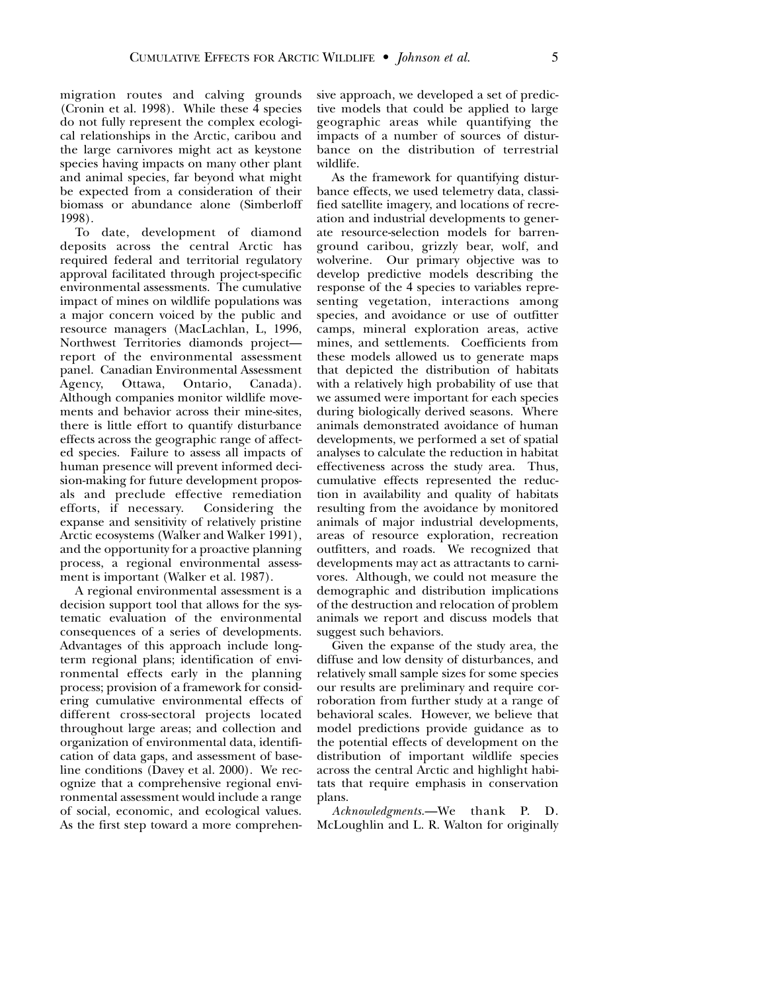migration routes and calving grounds (Cronin et al. 1998). While these 4 species do not fully represent the complex ecological relationships in the Arctic, caribou and the large carnivores might act as keystone species having impacts on many other plant and animal species, far beyond what might be expected from a consideration of their biomass or abundance alone (Simberloff 1998).

To date, development of diamond deposits across the central Arctic has required federal and territorial regulatory approval facilitated through project-specific environmental assessments. The cumulative impact of mines on wildlife populations was a major concern voiced by the public and resource managers (MacLachlan, L, 1996, Northwest Territories diamonds project report of the environmental assessment panel. Canadian Environmental Assessment<br>Agency, Ottawa, Ontario, Canada). Ontario, Although companies monitor wildlife movements and behavior across their mine-sites, there is little effort to quantify disturbance effects across the geographic range of affected species. Failure to assess all impacts of human presence will prevent informed decision-making for future development proposals and preclude effective remediation efforts, if necessary. Considering the expanse and sensitivity of relatively pristine Arctic ecosystems (Walker and Walker 1991), and the opportunity for a proactive planning process, a regional environmental assessment is important (Walker et al. 1987).

A regional environmental assessment is a decision support tool that allows for the systematic evaluation of the environmental consequences of a series of developments. Advantages of this approach include longterm regional plans; identification of environmental effects early in the planning process; provision of a framework for considering cumulative environmental effects of different cross-sectoral projects located throughout large areas; and collection and organization of environmental data, identification of data gaps, and assessment of baseline conditions (Davey et al. 2000). We recognize that a comprehensive regional environmental assessment would include a range of social, economic, and ecological values. As the first step toward a more comprehensive approach, we developed a set of predictive models that could be applied to large geographic areas while quantifying the impacts of a number of sources of disturbance on the distribution of terrestrial wildlife.

As the framework for quantifying disturbance effects, we used telemetry data, classified satellite imagery, and locations of recreation and industrial developments to generate resource-selection models for barrenground caribou, grizzly bear, wolf, and wolverine. Our primary objective was to develop predictive models describing the response of the 4 species to variables representing vegetation, interactions among species, and avoidance or use of outfitter camps, mineral exploration areas, active mines, and settlements. Coefficients from these models allowed us to generate maps that depicted the distribution of habitats with a relatively high probability of use that we assumed were important for each species during biologically derived seasons. Where animals demonstrated avoidance of human developments, we performed a set of spatial analyses to calculate the reduction in habitat effectiveness across the study area. Thus, cumulative effects represented the reduction in availability and quality of habitats resulting from the avoidance by monitored animals of major industrial developments, areas of resource exploration, recreation outfitters, and roads. We recognized that developments may act as attractants to carnivores. Although, we could not measure the demographic and distribution implications of the destruction and relocation of problem animals we report and discuss models that suggest such behaviors.

Given the expanse of the study area, the diffuse and low density of disturbances, and relatively small sample sizes for some species our results are preliminary and require corroboration from further study at a range of behavioral scales. However, we believe that model predictions provide guidance as to the potential effects of development on the distribution of important wildlife species across the central Arctic and highlight habitats that require emphasis in conservation plans.

*Acknowledgments*.—We thank P. D. McLoughlin and L. R. Walton for originally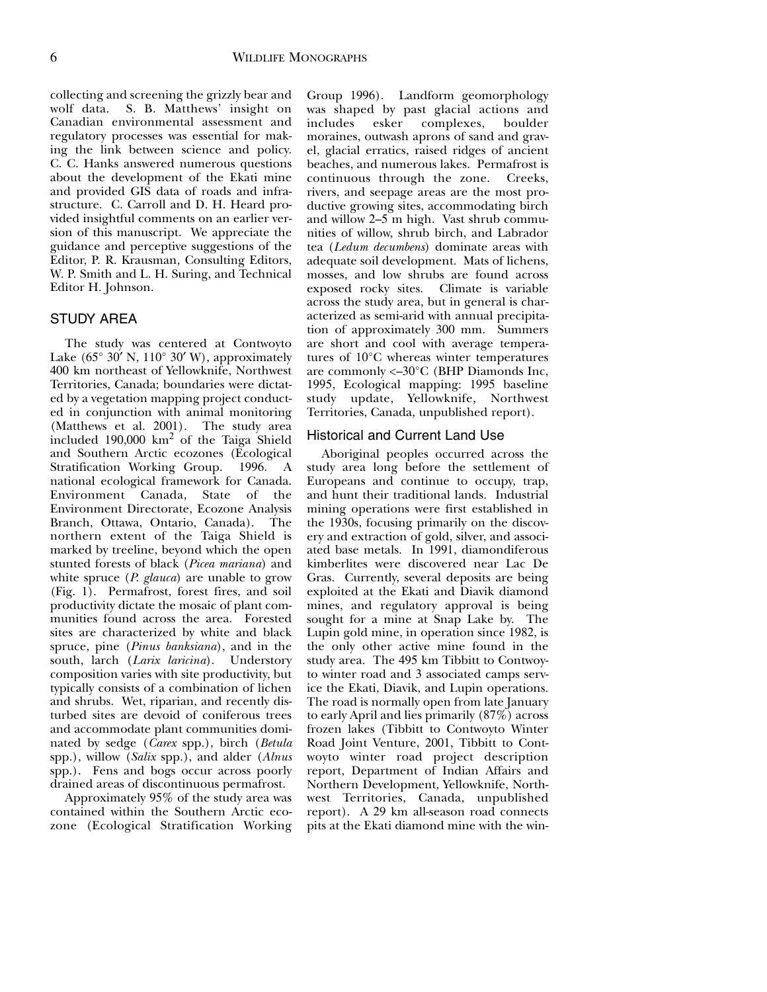collecting and screening the grizzly bear and wolf data. S. B. Matthews' insight on Canadian environmental assessment and regulatory processes was essential for making the link between science and policy. C. C. Hanks answered numerous questions about the development of the Ekati mine and provided GIS data of roads and infrastructure. C. Carroll and D. H. Heard provided insightful comments on an earlier version of this manuscript. We appreciate the guidance and perceptive suggestions of the Editor, P. R. Krausman, Consulting Editors, W. P. Smith and L. H. Suring, and Technical Editor H. Johnson.

#### STUDY AREA

The study was centered at Contwoyto Lake  $(65^{\circ} 30' N, 110^{\circ} 30' W)$ , approximately 400 km northeast of Yellowknife, Northwest Territories, Canada; boundaries were dictated by a vegetation mapping project conducted in conjunction with animal monitoring (Matthews et al. 2001). The study area included 190,000  $km^2$  of the Taiga Shield and Southern Arctic ecozones (Ecological Stratification Working Group. 1996. A national ecological framework for Canada. Environment Canada, State of the Environment Directorate, Ecozone Analysis Branch, Ottawa, Ontario, Canada). The northern extent of the Taiga Shield is marked by treeline, beyond which the open stunted forests of black (*Picea mariana*) and white spruce (*P. glauca*) are unable to grow (Fig. 1). Permafrost, forest fires, and soil productivity dictate the mosaic of plant communities found across the area. Forested sites are characterized by white and black spruce, pine (*Pinus banksiana*), and in the south, larch (*Larix laricina*). Understory composition varies with site productivity, but typically consists of a combination of lichen and shrubs. Wet, riparian, and recently disturbed sites are devoid of coniferous trees and accommodate plant communities dominated by sedge (*Carex* spp.), birch (*Betula* spp.), willow (*Salix* spp.), and alder (*Alnus* spp.). Fens and bogs occur across poorly drained areas of discontinuous permafrost.

Approximately 95% of the study area was contained within the Southern Arctic ecozone (Ecological Stratification Working Group 1996). Landform geomorphology was shaped by past glacial actions and<br>includes esker complexes, boulder esker complexes, boulder moraines, outwash aprons of sand and gravel, glacial erratics, raised ridges of ancient beaches, and numerous lakes. Permafrost is continuous through the zone. Creeks, rivers, and seepage areas are the most productive growing sites, accommodating birch and willow 2–5 m high. Vast shrub communities of willow, shrub birch, and Labrador tea (*Ledum decumbens*) dominate areas with adequate soil development. Mats of lichens, mosses, and low shrubs are found across exposed rocky sites. Climate is variable across the study area, but in general is characterized as semi-arid with annual precipitation of approximately 300 mm. Summers are short and cool with average temperatures of 10°C whereas winter temperatures are commonly <–30°C (BHP Diamonds Inc, 1995, Ecological mapping: 1995 baseline study update, Yellowknife, Northwest Territories, Canada, unpublished report).

#### Historical and Current Land Use

Aboriginal peoples occurred across the study area long before the settlement of Europeans and continue to occupy, trap, and hunt their traditional lands. Industrial mining operations were first established in the 1930s, focusing primarily on the discovery and extraction of gold, silver, and associated base metals. In 1991, diamondiferous kimberlites were discovered near Lac De Gras. Currently, several deposits are being exploited at the Ekati and Diavik diamond mines, and regulatory approval is being sought for a mine at Snap Lake by. The Lupin gold mine, in operation since 1982, is the only other active mine found in the study area. The 495 km Tibbitt to Contwoyto winter road and 3 associated camps service the Ekati, Diavik, and Lupin operations. The road is normally open from late January to early April and lies primarily (87%) across frozen lakes (Tibbitt to Contwoyto Winter Road Joint Venture, 2001, Tibbitt to Contwoyto winter road project description report, Department of Indian Affairs and Northern Development, Yellowknife, Northwest Territories, Canada, unpublished report). A 29 km all-season road connects pits at the Ekati diamond mine with the win-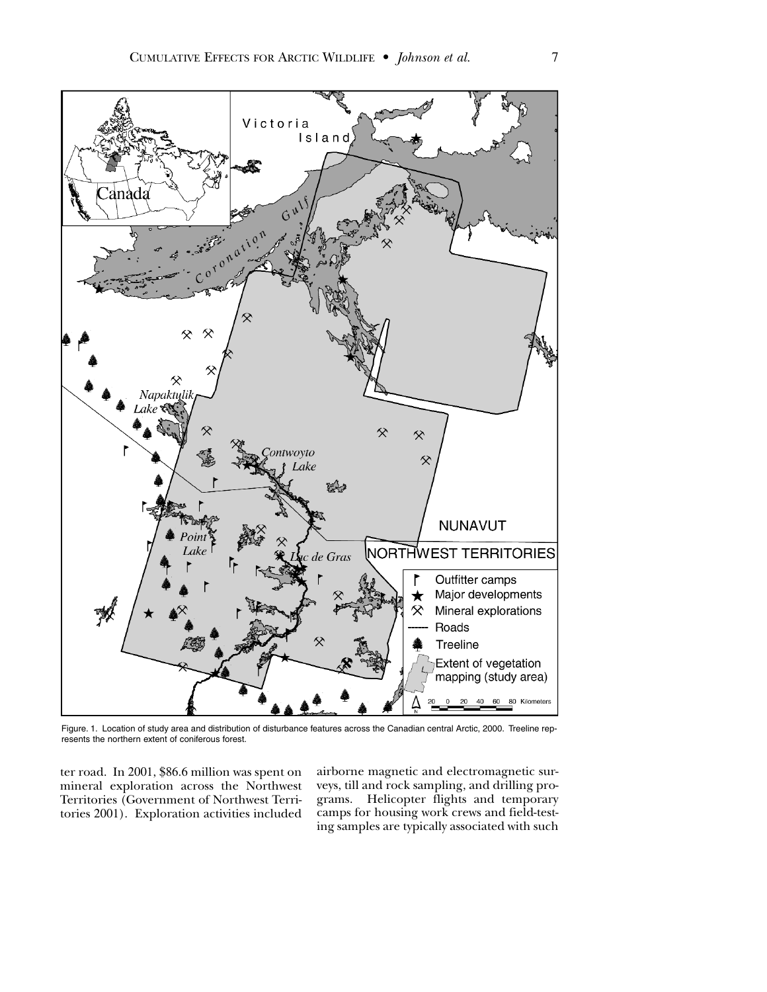

Figure. 1. Location of study area and distribution of disturbance features across the Canadian central Arctic, 2000. Treeline represents the northern extent of coniferous forest.

ter road. In 2001, \$86.6 million was spent on mineral exploration across the Northwest Territories (Government of Northwest Territories 2001). Exploration activities included airborne magnetic and electromagnetic surveys, till and rock sampling, and drilling programs. Helicopter flights and temporary camps for housing work crews and field-testing samples are typically associated with such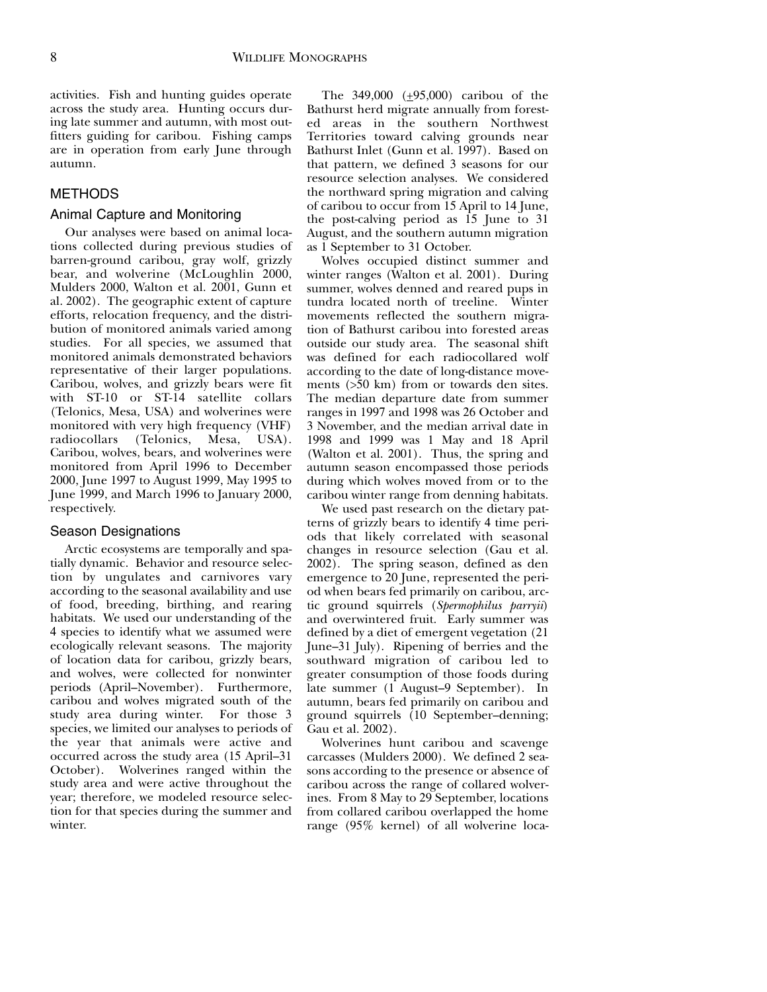activities. Fish and hunting guides operate across the study area. Hunting occurs during late summer and autumn, with most outfitters guiding for caribou. Fishing camps are in operation from early June through autumn.

#### METHODS

#### Animal Capture and Monitoring

Our analyses were based on animal locations collected during previous studies of barren-ground caribou, gray wolf, grizzly bear, and wolverine (McLoughlin 2000, Mulders 2000, Walton et al. 2001, Gunn et al. 2002). The geographic extent of capture efforts, relocation frequency, and the distribution of monitored animals varied among studies. For all species, we assumed that monitored animals demonstrated behaviors representative of their larger populations. Caribou, wolves, and grizzly bears were fit with ST-10 or ST-14 satellite collars (Telonics, Mesa, USA) and wolverines were monitored with very high frequency (VHF) radiocollars (Telonics, Mesa, USA). Caribou, wolves, bears, and wolverines were monitored from April 1996 to December 2000, June 1997 to August 1999, May 1995 to June 1999, and March 1996 to January 2000, respectively.

#### Season Designations

Arctic ecosystems are temporally and spatially dynamic. Behavior and resource selection by ungulates and carnivores vary according to the seasonal availability and use of food, breeding, birthing, and rearing habitats. We used our understanding of the 4 species to identify what we assumed were ecologically relevant seasons. The majority of location data for caribou, grizzly bears, and wolves, were collected for nonwinter periods (April–November). Furthermore, caribou and wolves migrated south of the study area during winter. For those 3 species, we limited our analyses to periods of the year that animals were active and occurred across the study area (15 April–31 October). Wolverines ranged within the study area and were active throughout the year; therefore, we modeled resource selection for that species during the summer and winter.

The 349,000  $(\pm 95,000)$  caribou of the Bathurst herd migrate annually from forested areas in the southern Northwest Territories toward calving grounds near Bathurst Inlet (Gunn et al. 1997). Based on that pattern, we defined 3 seasons for our resource selection analyses. We considered the northward spring migration and calving of caribou to occur from 15 April to 14 June, the post-calving period as 15 June to 31 August, and the southern autumn migration as 1 September to 31 October.

Wolves occupied distinct summer and winter ranges (Walton et al. 2001). During summer, wolves denned and reared pups in tundra located north of treeline. Winter movements reflected the southern migration of Bathurst caribou into forested areas outside our study area. The seasonal shift was defined for each radiocollared wolf according to the date of long-distance movements (>50 km) from or towards den sites. The median departure date from summer ranges in 1997 and 1998 was 26 October and 3 November, and the median arrival date in 1998 and 1999 was 1 May and 18 April (Walton et al. 2001). Thus, the spring and autumn season encompassed those periods during which wolves moved from or to the caribou winter range from denning habitats.

We used past research on the dietary patterns of grizzly bears to identify 4 time periods that likely correlated with seasonal changes in resource selection (Gau et al. 2002). The spring season, defined as den emergence to 20 June, represented the period when bears fed primarily on caribou, arctic ground squirrels (*Spermophilus parryii*) and overwintered fruit. Early summer was defined by a diet of emergent vegetation (21 June–31 July). Ripening of berries and the southward migration of caribou led to greater consumption of those foods during late summer (1 August–9 September). In autumn, bears fed primarily on caribou and ground squirrels (10 September–denning; Gau et al. 2002).

Wolverines hunt caribou and scavenge carcasses (Mulders 2000). We defined 2 seasons according to the presence or absence of caribou across the range of collared wolverines. From 8 May to 29 September, locations from collared caribou overlapped the home range (95% kernel) of all wolverine loca-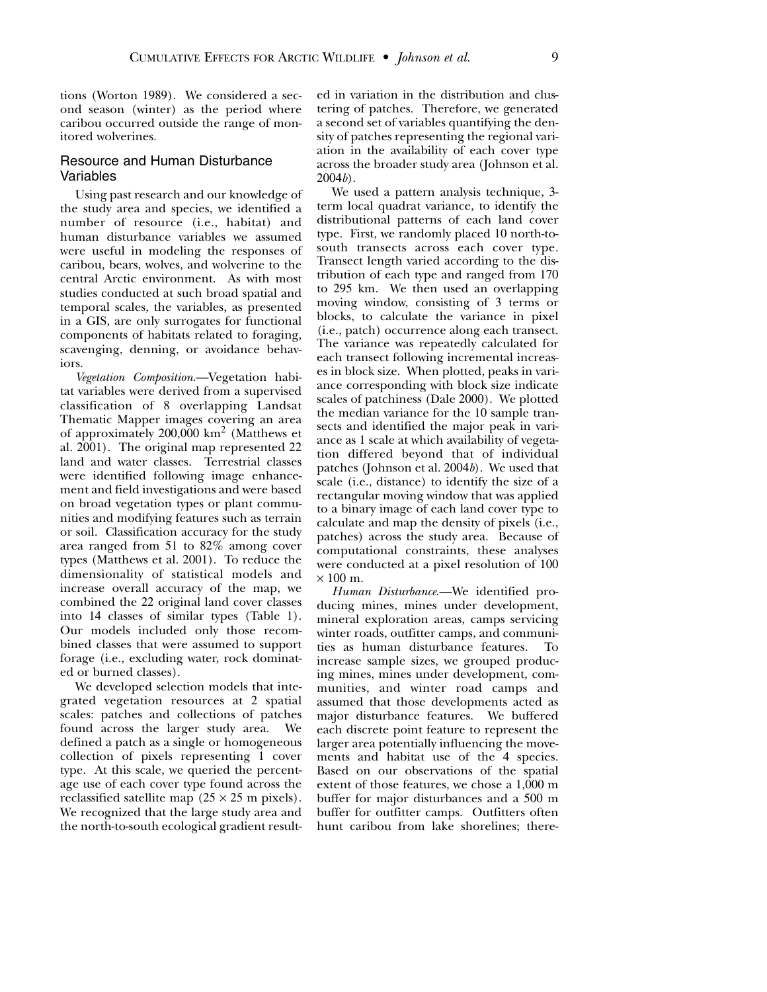tions (Worton 1989). We considered a second season (winter) as the period where caribou occurred outside the range of monitored wolverines.

#### Resource and Human Disturbance Variables

Using past research and our knowledge of the study area and species, we identified a number of resource (i.e., habitat) and human disturbance variables we assumed were useful in modeling the responses of caribou, bears, wolves, and wolverine to the central Arctic environment. As with most studies conducted at such broad spatial and temporal scales, the variables, as presented in a GIS, are only surrogates for functional components of habitats related to foraging, scavenging, denning, or avoidance behaviors.

*Vegetation Composition*.—Vegetation habitat variables were derived from a supervised classification of 8 overlapping Landsat Thematic Mapper images covering an area of approximately 200,000 km<sup>2</sup> (Matthews et al. 2001). The original map represented 22 land and water classes. Terrestrial classes were identified following image enhancement and field investigations and were based on broad vegetation types or plant communities and modifying features such as terrain or soil. Classification accuracy for the study area ranged from 51 to 82% among cover types (Matthews et al. 2001). To reduce the dimensionality of statistical models and increase overall accuracy of the map, we combined the 22 original land cover classes into 14 classes of similar types (Table 1). Our models included only those recombined classes that were assumed to support forage (i.e., excluding water, rock dominated or burned classes).

We developed selection models that integrated vegetation resources at 2 spatial scales: patches and collections of patches found across the larger study area. We defined a patch as a single or homogeneous collection of pixels representing 1 cover type. At this scale, we queried the percentage use of each cover type found across the reclassified satellite map  $(25 \times 25 \text{ m pixels}).$ We recognized that the large study area and the north-to-south ecological gradient resulted in variation in the distribution and clustering of patches. Therefore, we generated a second set of variables quantifying the density of patches representing the regional variation in the availability of each cover type across the broader study area (Johnson et al. 2004*b*).

We used a pattern analysis technique, 3 term local quadrat variance, to identify the distributional patterns of each land cover type. First, we randomly placed 10 north-tosouth transects across each cover type. Transect length varied according to the distribution of each type and ranged from 170 to 295 km. We then used an overlapping moving window, consisting of 3 terms or blocks, to calculate the variance in pixel (i.e., patch) occurrence along each transect. The variance was repeatedly calculated for each transect following incremental increases in block size. When plotted, peaks in variance corresponding with block size indicate scales of patchiness (Dale 2000). We plotted the median variance for the 10 sample transects and identified the major peak in variance as 1 scale at which availability of vegetation differed beyond that of individual patches (Johnson et al. 2004*b*). We used that scale (i.e., distance) to identify the size of a rectangular moving window that was applied to a binary image of each land cover type to calculate and map the density of pixels (i.e., patches) across the study area. Because of computational constraints, these analyses were conducted at a pixel resolution of 100  $\times$  100 m.

*Human Disturbance*.—We identified producing mines, mines under development, mineral exploration areas, camps servicing winter roads, outfitter camps, and communities as human disturbance features. To increase sample sizes, we grouped producing mines, mines under development, communities, and winter road camps and assumed that those developments acted as major disturbance features. We buffered each discrete point feature to represent the larger area potentially influencing the movements and habitat use of the 4 species. Based on our observations of the spatial extent of those features, we chose a 1,000 m buffer for major disturbances and a 500 m buffer for outfitter camps. Outfitters often hunt caribou from lake shorelines; there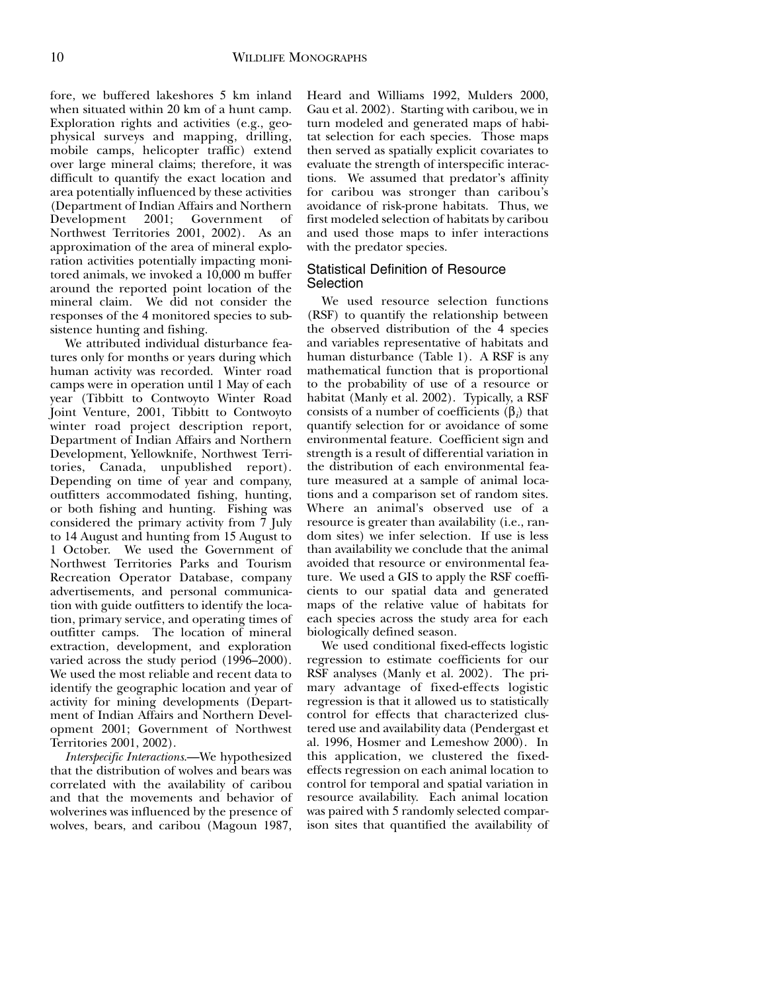fore, we buffered lakeshores 5 km inland when situated within 20 km of a hunt camp. Exploration rights and activities (e.g., geophysical surveys and mapping, drilling, mobile camps, helicopter traffic) extend over large mineral claims; therefore, it was difficult to quantify the exact location and area potentially influenced by these activities (Department of Indian Affairs and Northern<br>Development 2001; Government of Development 2001; Government of Northwest Territories 2001, 2002). As an approximation of the area of mineral exploration activities potentially impacting monitored animals, we invoked a 10,000 m buffer around the reported point location of the mineral claim. We did not consider the responses of the 4 monitored species to subsistence hunting and fishing.

We attributed individual disturbance features only for months or years during which human activity was recorded. Winter road camps were in operation until 1 May of each year (Tibbitt to Contwoyto Winter Road Joint Venture, 2001, Tibbitt to Contwoyto winter road project description report, Department of Indian Affairs and Northern Development, Yellowknife, Northwest Territories, Canada, unpublished report). Depending on time of year and company, outfitters accommodated fishing, hunting, or both fishing and hunting. Fishing was considered the primary activity from 7 July to 14 August and hunting from 15 August to 1 October. We used the Government of Northwest Territories Parks and Tourism Recreation Operator Database, company advertisements, and personal communication with guide outfitters to identify the location, primary service, and operating times of outfitter camps. The location of mineral extraction, development, and exploration varied across the study period (1996–2000). We used the most reliable and recent data to identify the geographic location and year of activity for mining developments (Department of Indian Affairs and Northern Development 2001; Government of Northwest Territories 2001, 2002).

*Interspecific Interactions*.—We hypothesized that the distribution of wolves and bears was correlated with the availability of caribou and that the movements and behavior of wolverines was influenced by the presence of wolves, bears, and caribou (Magoun 1987, Heard and Williams 1992, Mulders 2000, Gau et al. 2002). Starting with caribou, we in turn modeled and generated maps of habitat selection for each species. Those maps then served as spatially explicit covariates to evaluate the strength of interspecific interactions. We assumed that predator's affinity for caribou was stronger than caribou's avoidance of risk-prone habitats. Thus, we first modeled selection of habitats by caribou and used those maps to infer interactions with the predator species.

#### Statistical Definition of Resource Selection

We used resource selection functions (RSF) to quantify the relationship between the observed distribution of the 4 species and variables representative of habitats and human disturbance (Table 1). A RSF is any mathematical function that is proportional to the probability of use of a resource or habitat (Manly et al. 2002). Typically, a RSF consists of a number of coefficients (β*<sup>i</sup>* ) that quantify selection for or avoidance of some environmental feature. Coefficient sign and strength is a result of differential variation in the distribution of each environmental feature measured at a sample of animal locations and a comparison set of random sites. Where an animal's observed use of a resource is greater than availability (i.e., random sites) we infer selection. If use is less than availability we conclude that the animal avoided that resource or environmental feature. We used a GIS to apply the RSF coefficients to our spatial data and generated maps of the relative value of habitats for each species across the study area for each biologically defined season.

We used conditional fixed-effects logistic regression to estimate coefficients for our RSF analyses (Manly et al. 2002). The primary advantage of fixed-effects logistic regression is that it allowed us to statistically control for effects that characterized clustered use and availability data (Pendergast et al. 1996, Hosmer and Lemeshow 2000). In this application, we clustered the fixedeffects regression on each animal location to control for temporal and spatial variation in resource availability. Each animal location was paired with 5 randomly selected comparison sites that quantified the availability of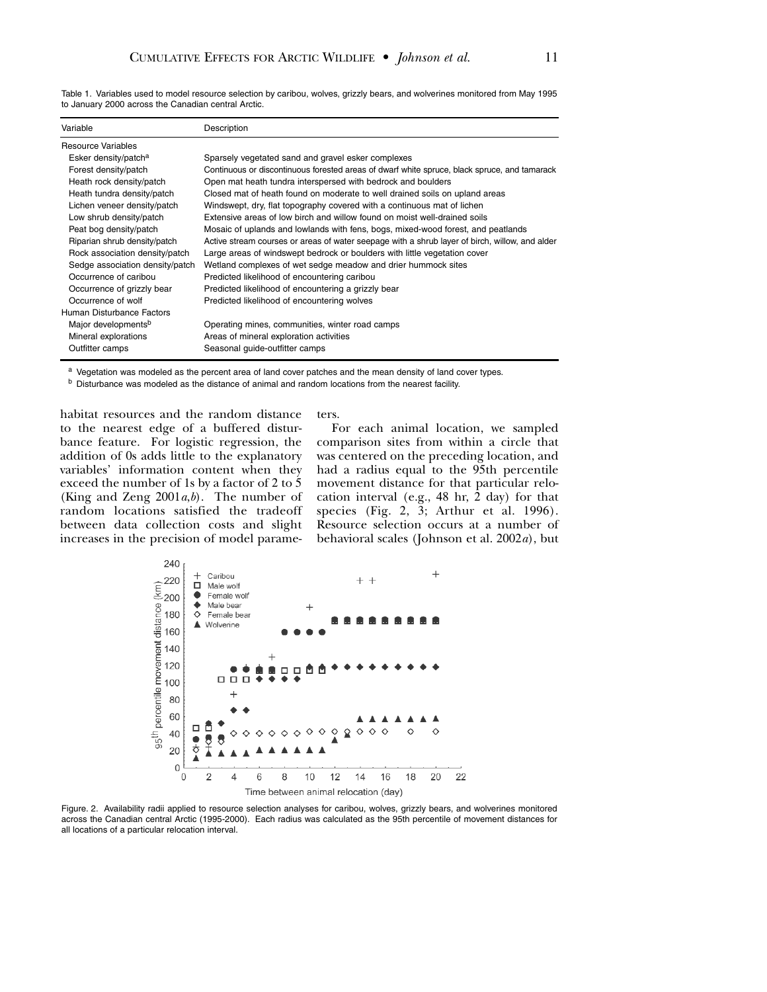Table 1. Variables used to model resource selection by caribou, wolves, grizzly bears, and wolverines monitored from May 1995 to January 2000 across the Canadian central Arctic.

| Variable                         | Description                                                                                    |
|----------------------------------|------------------------------------------------------------------------------------------------|
| Resource Variables               |                                                                                                |
| Esker density/patch <sup>a</sup> | Sparsely vegetated sand and gravel esker complexes                                             |
| Forest density/patch             | Continuous or discontinuous forested areas of dwarf white spruce, black spruce, and tamarack   |
| Heath rock density/patch         | Open mat heath tundra interspersed with bedrock and boulders                                   |
| Heath tundra density/patch       | Closed mat of heath found on moderate to well drained soils on upland areas                    |
| Lichen veneer density/patch      | Windswept, dry, flat topography covered with a continuous mat of lichen                        |
| Low shrub density/patch          | Extensive areas of low birch and willow found on moist well-drained soils                      |
| Peat bog density/patch           | Mosaic of uplands and lowlands with fens, bogs, mixed-wood forest, and peatlands               |
| Riparian shrub density/patch     | Active stream courses or areas of water seepage with a shrub layer of birch, willow, and alder |
| Rock association density/patch   | Large areas of windswept bedrock or boulders with little vegetation cover                      |
| Sedge association density/patch  | Wetland complexes of wet sedge meadow and drier hummock sites                                  |
| Occurrence of caribou            | Predicted likelihood of encountering caribou                                                   |
| Occurrence of grizzly bear       | Predicted likelihood of encountering a grizzly bear                                            |
| Occurrence of wolf               | Predicted likelihood of encountering wolves                                                    |
| Human Disturbance Factors        |                                                                                                |
| Major developments <sup>b</sup>  | Operating mines, communities, winter road camps                                                |
| Mineral explorations             | Areas of mineral exploration activities                                                        |
| Outfitter camps                  | Seasonal quide-outfitter camps                                                                 |

a Vegetation was modeled as the percent area of land cover patches and the mean density of land cover types.

 $<sup>b</sup>$  Disturbance was modeled as the distance of animal and random locations from the nearest facility.</sup>

habitat resources and the random distance to the nearest edge of a buffered disturbance feature. For logistic regression, the addition of 0s adds little to the explanatory variables' information content when they exceed the number of 1s by a factor of 2 to 5 (King and Zeng 2001*a*,*b*). The number of random locations satisfied the tradeoff between data collection costs and slight increases in the precision of model parame-

ters.

For each animal location, we sampled comparison sites from within a circle that was centered on the preceding location, and had a radius equal to the 95th percentile movement distance for that particular relocation interval (e.g.,  $48 \text{ hr}$ ,  $\dot{2} \text{ day}$ ) for that species (Fig. 2,  $\overline{3}$ ; Arthur et al. 1996). Resource selection occurs at a number of behavioral scales (Johnson et al. 2002*a*), but



Figure. 2. Availability radii applied to resource selection analyses for caribou, wolves, grizzly bears, and wolverines monitored across the Canadian central Arctic (1995-2000). Each radius was calculated as the 95th percentile of movement distances for all locations of a particular relocation interval.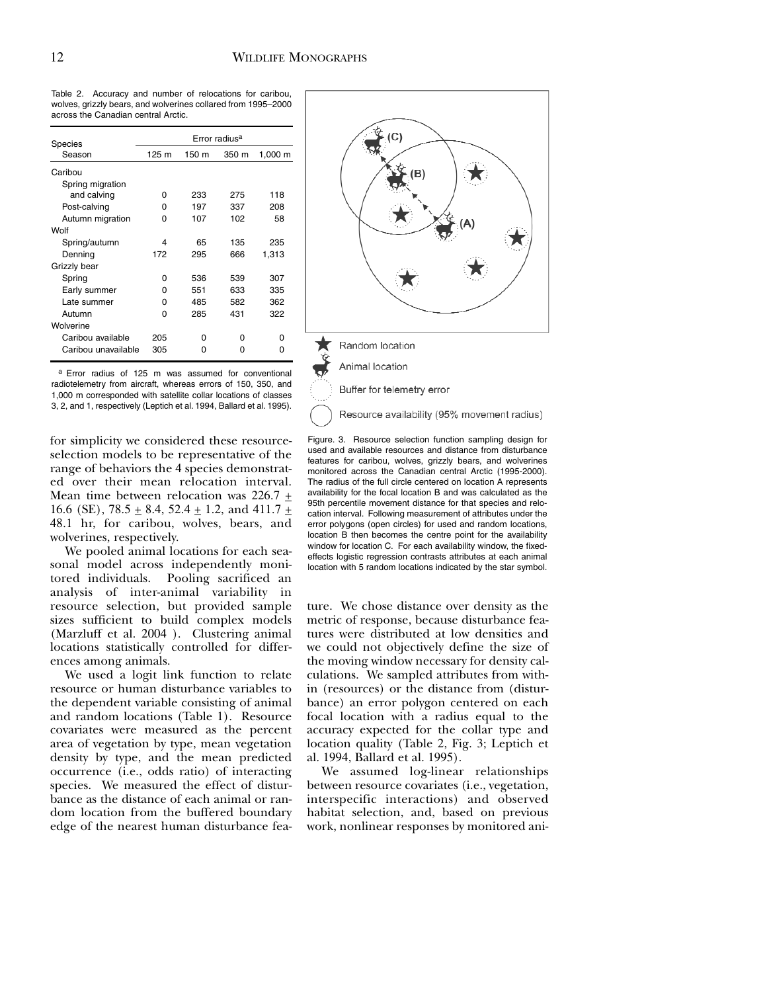Table 2. Accuracy and number of relocations for caribou, wolves, grizzly bears, and wolverines collared from 1995–2000 across the Canadian central Arctic.

| Species             | Error radius <sup>a</sup> |       |       |         |  |  |
|---------------------|---------------------------|-------|-------|---------|--|--|
| Season              | 125 m                     | 150 m | 350 m | 1,000 m |  |  |
| Caribou             |                           |       |       |         |  |  |
| Spring migration    |                           |       |       |         |  |  |
| and calving         | O                         | 233   | 275   | 118     |  |  |
| Post-calving        | O                         | 197   | 337   | 208     |  |  |
| Autumn migration    | 0                         | 107   | 102   | 58      |  |  |
| Wolf                |                           |       |       |         |  |  |
| Spring/autumn       | 4                         | 65    | 135   | 235     |  |  |
| Denning             | 172                       | 295   | 666   | 1,313   |  |  |
| Grizzly bear        |                           |       |       |         |  |  |
| Spring              | O                         | 536   | 539   | 307     |  |  |
| Early summer        | O                         | 551   | 633   | 335     |  |  |
| Late summer         | O                         | 485   | 582   | 362     |  |  |
| Autumn              | O                         | 285   | 431   | 322     |  |  |
| Wolverine           |                           |       |       |         |  |  |
| Caribou available   | 205                       | n     | n     | ŋ       |  |  |
| Caribou unavailable | 305                       | o     | 0     | 0       |  |  |

<sup>a</sup> Error radius of 125 m was assumed for conventional radiotelemetry from aircraft, whereas errors of 150, 350, and 1,000 m corresponded with satellite collar locations of classes 3, 2, and 1, respectively (Leptich et al. 1994, Ballard et al. 1995).

for simplicity we considered these resourceselection models to be representative of the range of behaviors the 4 species demonstrated over their mean relocation interval. Mean time between relocation was 226.7  $\pm$ 16.6 (SE), 78.5  $\pm$  8.4, 52.4  $\pm$  1.2, and 411.7  $\pm$ 48.1 hr, for caribou, wolves, bears, and wolverines, respectively.

We pooled animal locations for each seasonal model across independently monitored individuals. Pooling sacrificed an analysis of inter-animal variability in resource selection, but provided sample sizes sufficient to build complex models (Marzluff et al. 2004 ). Clustering animal locations statistically controlled for differences among animals.

We used a logit link function to relate resource or human disturbance variables to the dependent variable consisting of animal and random locations (Table 1). Resource covariates were measured as the percent area of vegetation by type, mean vegetation density by type, and the mean predicted occurrence (i.e., odds ratio) of interacting species. We measured the effect of disturbance as the distance of each animal or random location from the buffered boundary edge of the nearest human disturbance fea-



used and available resources and distance from disturbance features for caribou, wolves, grizzly bears, and wolverines monitored across the Canadian central Arctic (1995-2000). The radius of the full circle centered on location A represents availability for the focal location B and was calculated as the 95th percentile movement distance for that species and relocation interval. Following measurement of attributes under the error polygons (open circles) for used and random locations, location B then becomes the centre point for the availability window for location C. For each availability window, the fixedeffects logistic regression contrasts attributes at each animal location with 5 random locations indicated by the star symbol.

ture. We chose distance over density as the metric of response, because disturbance features were distributed at low densities and we could not objectively define the size of the moving window necessary for density calculations. We sampled attributes from within (resources) or the distance from (disturbance) an error polygon centered on each focal location with a radius equal to the accuracy expected for the collar type and location quality (Table 2, Fig. 3; Leptich et al. 1994, Ballard et al. 1995).

We assumed log-linear relationships between resource covariates (i.e., vegetation, interspecific interactions) and observed habitat selection, and, based on previous work, nonlinear responses by monitored ani-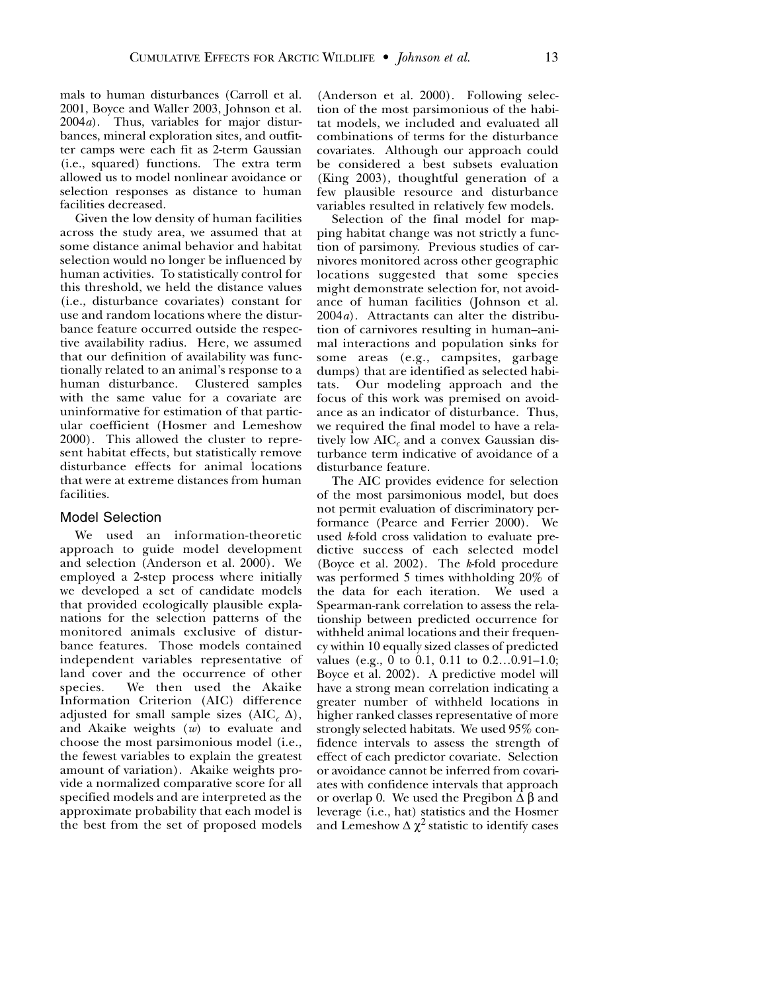mals to human disturbances (Carroll et al. 2001, Boyce and Waller 2003, Johnson et al. 2004*a*). Thus, variables for major disturbances, mineral exploration sites, and outfitter camps were each fit as 2-term Gaussian (i.e., squared) functions. The extra term allowed us to model nonlinear avoidance or selection responses as distance to human facilities decreased.

Given the low density of human facilities across the study area, we assumed that at some distance animal behavior and habitat selection would no longer be influenced by human activities. To statistically control for this threshold, we held the distance values (i.e., disturbance covariates) constant for use and random locations where the disturbance feature occurred outside the respective availability radius. Here, we assumed that our definition of availability was functionally related to an animal's response to a human disturbance. Clustered samples with the same value for a covariate are uninformative for estimation of that particular coefficient (Hosmer and Lemeshow 2000). This allowed the cluster to represent habitat effects, but statistically remove disturbance effects for animal locations that were at extreme distances from human facilities.

#### Model Selection

We used an information-theoretic approach to guide model development and selection (Anderson et al. 2000). We employed a 2-step process where initially we developed a set of candidate models that provided ecologically plausible explanations for the selection patterns of the monitored animals exclusive of disturbance features. Those models contained independent variables representative of land cover and the occurrence of other species. We then used the Akaike Information Criterion (AIC) difference adjusted for small sample sizes  $(AIC_c \Delta)$ , and Akaike weights (*w*) to evaluate and choose the most parsimonious model (i.e., the fewest variables to explain the greatest amount of variation). Akaike weights provide a normalized comparative score for all specified models and are interpreted as the approximate probability that each model is the best from the set of proposed models

(Anderson et al. 2000). Following selection of the most parsimonious of the habitat models, we included and evaluated all combinations of terms for the disturbance covariates. Although our approach could be considered a best subsets evaluation (King 2003), thoughtful generation of a few plausible resource and disturbance variables resulted in relatively few models.

Selection of the final model for mapping habitat change was not strictly a function of parsimony. Previous studies of carnivores monitored across other geographic locations suggested that some species might demonstrate selection for, not avoidance of human facilities (Johnson et al. 2004*a*). Attractants can alter the distribution of carnivores resulting in human–animal interactions and population sinks for some areas (e.g., campsites, garbage dumps) that are identified as selected habitats. Our modeling approach and the focus of this work was premised on avoidance as an indicator of disturbance. Thus, we required the final model to have a relatively low  $AIC_c$  and a convex Gaussian disturbance term indicative of avoidance of a disturbance feature.

The AIC provides evidence for selection of the most parsimonious model, but does not permit evaluation of discriminatory performance (Pearce and Ferrier 2000). We used *k*-fold cross validation to evaluate predictive success of each selected model (Boyce et al. 2002). The *k*-fold procedure was performed 5 times withholding 20% of the data for each iteration. We used a Spearman-rank correlation to assess the relationship between predicted occurrence for withheld animal locations and their frequency within 10 equally sized classes of predicted values (e.g., 0 to 0.1, 0.11 to 0.2…0.91–1.0; Boyce et al. 2002). A predictive model will have a strong mean correlation indicating a greater number of withheld locations in higher ranked classes representative of more strongly selected habitats. We used 95% confidence intervals to assess the strength of effect of each predictor covariate. Selection or avoidance cannot be inferred from covariates with confidence intervals that approach or overlap 0. We used the Pregibon ∆ β and leverage (i.e., hat) statistics and the Hosmer and Lemeshow  $\Delta \chi^2$  statistic to identify cases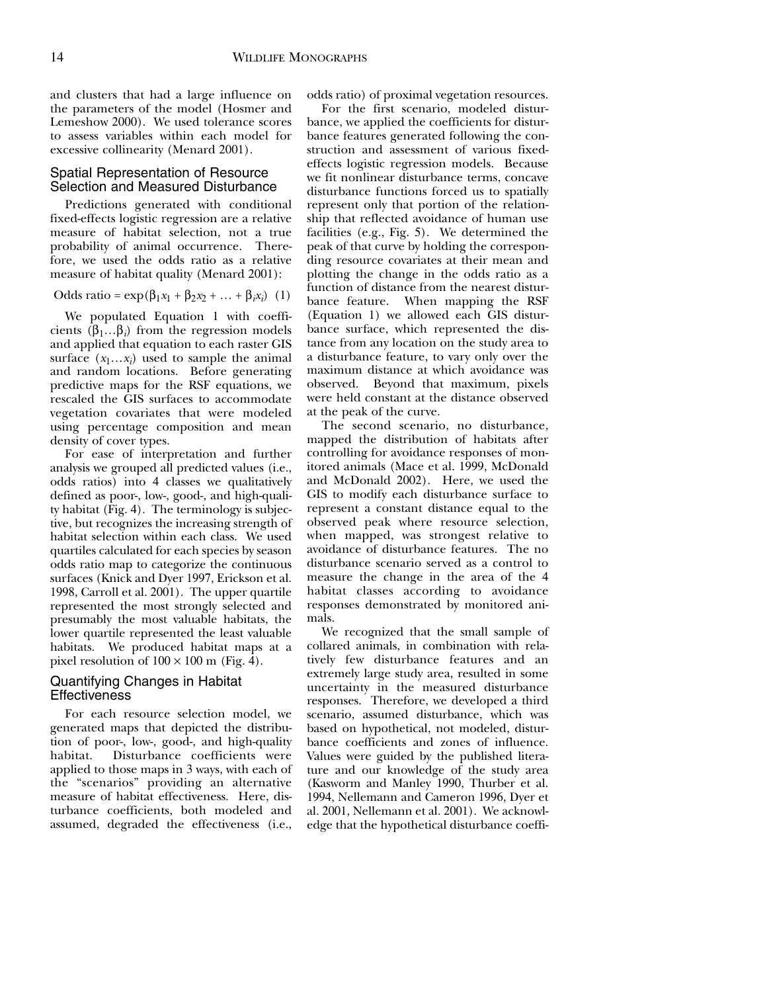and clusters that had a large influence on the parameters of the model (Hosmer and Lemeshow 2000). We used tolerance scores to assess variables within each model for excessive collinearity (Menard 2001).

#### Spatial Representation of Resource Selection and Measured Disturbance

Predictions generated with conditional fixed-effects logistic regression are a relative measure of habitat selection, not a true probability of animal occurrence. Therefore, we used the odds ratio as a relative measure of habitat quality (Menard 2001):

Odds ratio =  $\exp(\beta_1 x_1 + \beta_2 x_2 + ... + \beta_i x_i)$  (1)

We populated Equation 1 with coefficients  $(\beta_1...\beta_i)$  from the regression models and applied that equation to each raster GIS surface  $(x_1...x_i)$  used to sample the animal and random locations. Before generating predictive maps for the RSF equations, we rescaled the GIS surfaces to accommodate vegetation covariates that were modeled using percentage composition and mean density of cover types.

For ease of interpretation and further analysis we grouped all predicted values (i.e., odds ratios) into 4 classes we qualitatively defined as poor-, low-, good-, and high-quality habitat (Fig. 4). The terminology is subjective, but recognizes the increasing strength of habitat selection within each class. We used quartiles calculated for each species by season odds ratio map to categorize the continuous surfaces (Knick and Dyer 1997, Erickson et al. 1998, Carroll et al. 2001). The upper quartile represented the most strongly selected and presumably the most valuable habitats, the lower quartile represented the least valuable habitats. We produced habitat maps at a pixel resolution of  $100 \times 100$  m (Fig. 4).

#### Quantifying Changes in Habitat **Effectiveness**

For each resource selection model, we generated maps that depicted the distribution of poor-, low-, good-, and high-quality habitat. Disturbance coefficients were applied to those maps in 3 ways, with each of the "scenarios" providing an alternative measure of habitat effectiveness. Here, disturbance coefficients, both modeled and assumed, degraded the effectiveness (i.e., odds ratio) of proximal vegetation resources.

For the first scenario, modeled disturbance, we applied the coefficients for disturbance features generated following the construction and assessment of various fixedeffects logistic regression models. Because we fit nonlinear disturbance terms, concave disturbance functions forced us to spatially represent only that portion of the relationship that reflected avoidance of human use facilities (e.g., Fig. 5). We determined the peak of that curve by holding the corresponding resource covariates at their mean and plotting the change in the odds ratio as a function of distance from the nearest disturbance feature. When mapping the RSF (Equation 1) we allowed each GIS disturbance surface, which represented the distance from any location on the study area to a disturbance feature, to vary only over the maximum distance at which avoidance was observed. Beyond that maximum, pixels were held constant at the distance observed at the peak of the curve.

The second scenario, no disturbance, mapped the distribution of habitats after controlling for avoidance responses of monitored animals (Mace et al. 1999, McDonald and McDonald 2002). Here, we used the GIS to modify each disturbance surface to represent a constant distance equal to the observed peak where resource selection, when mapped, was strongest relative to avoidance of disturbance features. The no disturbance scenario served as a control to measure the change in the area of the 4 habitat classes according to avoidance responses demonstrated by monitored animals.

We recognized that the small sample of collared animals, in combination with relatively few disturbance features and an extremely large study area, resulted in some uncertainty in the measured disturbance responses. Therefore, we developed a third scenario, assumed disturbance, which was based on hypothetical, not modeled, disturbance coefficients and zones of influence. Values were guided by the published literature and our knowledge of the study area (Kasworm and Manley 1990, Thurber et al. 1994, Nellemann and Cameron 1996, Dyer et al. 2001, Nellemann et al. 2001). We acknowledge that the hypothetical disturbance coeffi-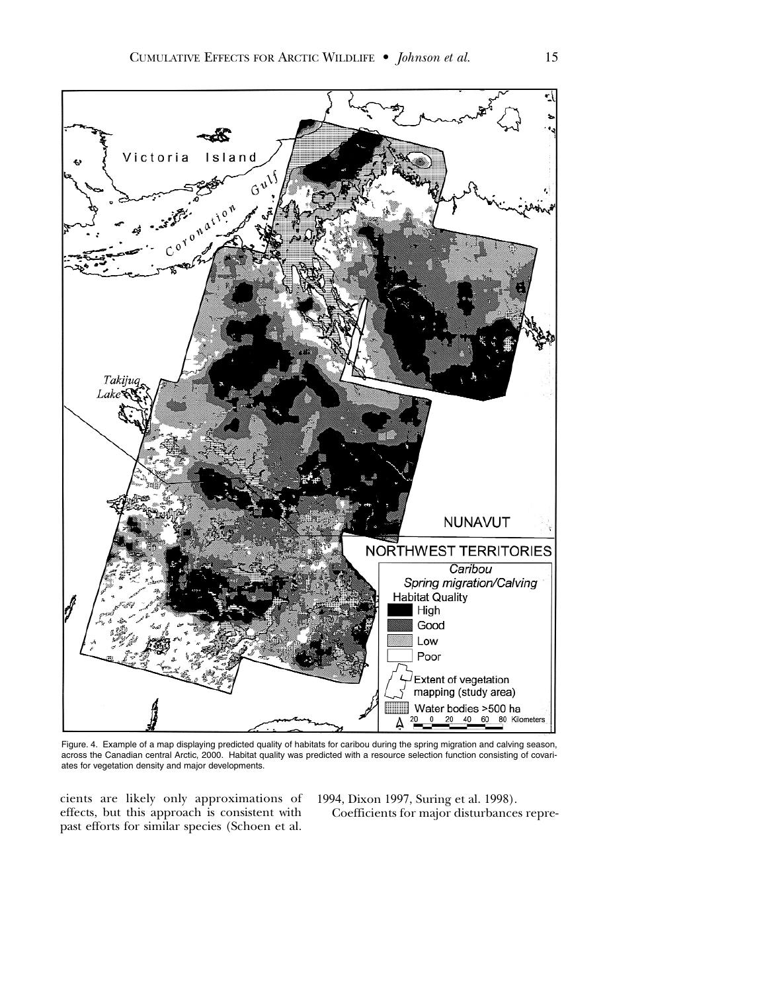

Figure. 4. Example of a map displaying predicted quality of habitats for caribou during the spring migration and calving season, across the Canadian central Arctic, 2000. Habitat quality was predicted with a resource selection function consisting of covariates for vegetation density and major developments.

cients are likely only approximations of effects, but this approach is consistent with past efforts for similar species (Schoen et al.

1994, Dixon 1997, Suring et al. 1998). Coefficients for major disturbances repre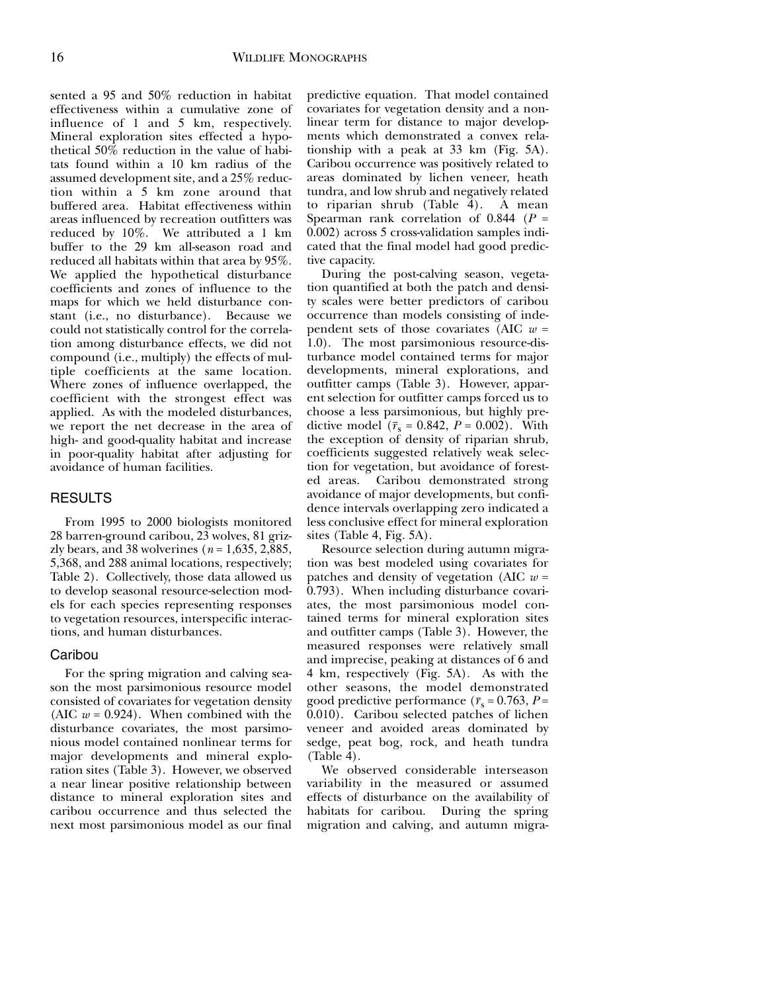sented a 95 and 50% reduction in habitat effectiveness within a cumulative zone of influence of 1 and 5 km, respectively. Mineral exploration sites effected a hypothetical 50% reduction in the value of habitats found within a 10 km radius of the assumed development site, and a 25% reduction within a 5 km zone around that buffered area. Habitat effectiveness within areas influenced by recreation outfitters was reduced by 10%. We attributed a 1 km buffer to the 29 km all-season road and reduced all habitats within that area by 95%. We applied the hypothetical disturbance coefficients and zones of influence to the maps for which we held disturbance constant (i.e., no disturbance). Because we could not statistically control for the correlation among disturbance effects, we did not compound (i.e., multiply) the effects of multiple coefficients at the same location. Where zones of influence overlapped, the coefficient with the strongest effect was applied. As with the modeled disturbances, we report the net decrease in the area of high- and good-quality habitat and increase in poor-quality habitat after adjusting for avoidance of human facilities.

#### **RESULTS**

From 1995 to 2000 biologists monitored 28 barren-ground caribou, 23 wolves, 81 grizzly bears, and 38 wolverines (*n* = 1,635, 2,885, 5,368, and 288 animal locations, respectively; Table 2). Collectively, those data allowed us to develop seasonal resource-selection models for each species representing responses to vegetation resources, interspecific interactions, and human disturbances.

#### Caribou

For the spring migration and calving season the most parsimonious resource model consisted of covariates for vegetation density (AIC  $w = 0.924$ ). When combined with the disturbance covariates, the most parsimonious model contained nonlinear terms for major developments and mineral exploration sites (Table 3). However, we observed a near linear positive relationship between distance to mineral exploration sites and caribou occurrence and thus selected the next most parsimonious model as our final

predictive equation. That model contained covariates for vegetation density and a nonlinear term for distance to major developments which demonstrated a convex relationship with a peak at 33 km (Fig. 5A). Caribou occurrence was positively related to areas dominated by lichen veneer, heath tundra, and low shrub and negatively related to riparian shrub (Table  $\overline{4}$ ). A mean Spearman rank correlation of 0.844 (*P* = 0.002) across 5 cross-validation samples indicated that the final model had good predictive capacity.

During the post-calving season, vegetation quantified at both the patch and density scales were better predictors of caribou occurrence than models consisting of independent sets of those covariates (AIC *w* = 1.0). The most parsimonious resource-disturbance model contained terms for major developments, mineral explorations, and outfitter camps (Table 3). However, apparent selection for outfitter camps forced us to choose a less parsimonious, but highly predictive model  $(\bar{r}_s = 0.842, P = 0.002)$ . With the exception of density of riparian shrub, coefficients suggested relatively weak selection for vegetation, but avoidance of forested areas. Caribou demonstrated strong avoidance of major developments, but confidence intervals overlapping zero indicated a less conclusive effect for mineral exploration sites (Table 4, Fig. 5A).

Resource selection during autumn migration was best modeled using covariates for patches and density of vegetation (AIC *w* = 0.793). When including disturbance covariates, the most parsimonious model contained terms for mineral exploration sites and outfitter camps (Table 3). However, the measured responses were relatively small and imprecise, peaking at distances of 6 and 4 km, respectively (Fig. 5A). As with the other seasons, the model demonstrated good predictive performance ( $\bar{r}_s$  = 0.763, *P* = 0.010). Caribou selected patches of lichen veneer and avoided areas dominated by sedge, peat bog, rock, and heath tundra (Table 4).

We observed considerable interseason variability in the measured or assumed effects of disturbance on the availability of habitats for caribou. During the spring migration and calving, and autumn migra-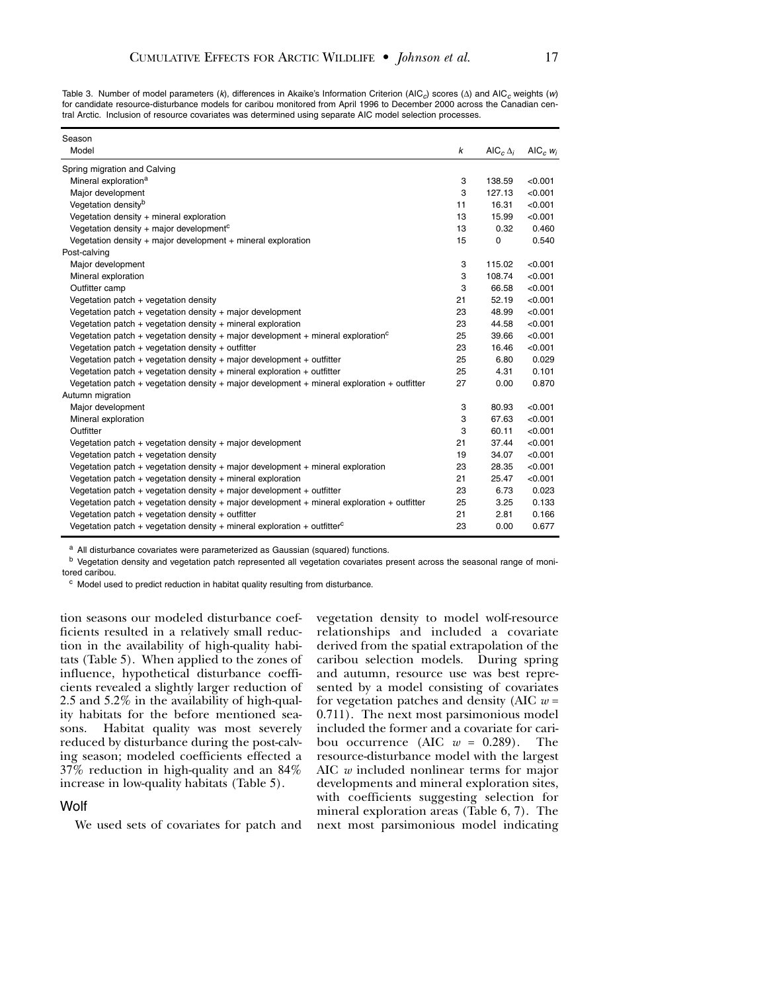Table 3. Number of model parameters (k), differences in Akaike's Information Criterion (AIC<sub>c</sub>) scores ( $\Delta$ ) and AIC<sub>c</sub> weights (w) for candidate resource-disturbance models for caribou monitored from April 1996 to December 2000 across the Canadian central Arctic. Inclusion of resource covariates was determined using separate AIC model selection processes.

| Season                                                                                       |    |                             |               |
|----------------------------------------------------------------------------------------------|----|-----------------------------|---------------|
| Model                                                                                        | k  | AIC <sub>c</sub> $\Delta_i$ | $AIC_c$ $W_i$ |
| Spring migration and Calving                                                                 |    |                             |               |
| Mineral exploration <sup>a</sup>                                                             | 3  | 138.59                      | < 0.001       |
| Major development                                                                            | 3  | 127.13                      | < 0.001       |
| Vegetation density <sup>b</sup>                                                              | 11 | 16.31                       | < 0.001       |
| Vegetation density + mineral exploration                                                     | 13 | 15.99                       | < 0.001       |
| Vegetation density + major development <sup>c</sup>                                          | 13 | 0.32                        | 0.460         |
| Vegetation density + major development + mineral exploration                                 | 15 | 0                           | 0.540         |
| Post-calving                                                                                 |    |                             |               |
| Major development                                                                            | 3  | 115.02                      | < 0.001       |
| Mineral exploration                                                                          | 3  | 108.74                      | < 0.001       |
| Outfitter camp                                                                               | 3  | 66.58                       | < 0.001       |
| Vegetation patch + vegetation density                                                        | 21 | 52.19                       | < 0.001       |
| Vegetation patch + vegetation density + major development                                    | 23 | 48.99                       | < 0.001       |
| Vegetation patch + vegetation density + mineral exploration                                  | 23 | 44.58                       | < 0.001       |
| Vegetation patch + vegetation density + major development + mineral exploration <sup>c</sup> | 25 | 39.66                       | < 0.001       |
| Vegetation patch $+$ vegetation density $+$ outfitter                                        | 23 | 16.46                       | < 0.001       |
| Vegetation patch + vegetation density + major development + outfitter                        | 25 | 6.80                        | 0.029         |
| Vegetation patch + vegetation density + mineral exploration + outfitter                      | 25 | 4.31                        | 0.101         |
| Vegetation patch + vegetation density + major development + mineral exploration + outfitter  | 27 | 0.00                        | 0.870         |
| Autumn migration                                                                             |    |                             |               |
| Major development                                                                            | 3  | 80.93                       | < 0.001       |
| Mineral exploration                                                                          | 3  | 67.63                       | < 0.001       |
| Outfitter                                                                                    | 3  | 60.11                       | < 0.001       |
| Vegetation patch + vegetation density + major development                                    | 21 | 37.44                       | < 0.001       |
| Vegetation patch + vegetation density                                                        | 19 | 34.07                       | < 0.001       |
| Vegetation patch $+$ vegetation density $+$ major development $+$ mineral exploration        | 23 | 28.35                       | < 0.001       |
| Vegetation patch + vegetation density + mineral exploration                                  | 21 | 25.47                       | < 0.001       |
| Vegetation patch + vegetation density + major development + outfitter                        | 23 | 6.73                        | 0.023         |
| Vegetation patch + vegetation density + major development + mineral exploration + outfitter  | 25 | 3.25                        | 0.133         |
| Vegetation patch + vegetation density + outfitter                                            | 21 | 2.81                        | 0.166         |
| Vegetation patch + vegetation density + mineral exploration + outfitter <sup>c</sup>         | 23 | 0.00                        | 0.677         |

a All disturbance covariates were parameterized as Gaussian (squared) functions.

<sup>b</sup> Vegetation density and vegetation patch represented all vegetation covariates present across the seasonal range of monitored caribou.

<sup>c</sup> Model used to predict reduction in habitat quality resulting from disturbance.

tion seasons our modeled disturbance coefficients resulted in a relatively small reduction in the availability of high-quality habitats (Table 5). When applied to the zones of influence, hypothetical disturbance coefficients revealed a slightly larger reduction of 2.5 and 5.2% in the availability of high-quality habitats for the before mentioned seasons. Habitat quality was most severely reduced by disturbance during the post-calving season; modeled coefficients effected a 37% reduction in high-quality and an 84% increase in low-quality habitats (Table 5).

#### **Wolf**

We used sets of covariates for patch and

vegetation density to model wolf-resource relationships and included a covariate derived from the spatial extrapolation of the caribou selection models. During spring and autumn, resource use was best represented by a model consisting of covariates for vegetation patches and density (AIC *w* = 0.711). The next most parsimonious model included the former and a covariate for cari-<br>bou occurrence (AIC  $w = 0.289$ ). The bou occurrence (AIC  $w = 0.289$ ). resource-disturbance model with the largest AIC *w* included nonlinear terms for major developments and mineral exploration sites, with coefficients suggesting selection for mineral exploration areas (Table 6, 7). The next most parsimonious model indicating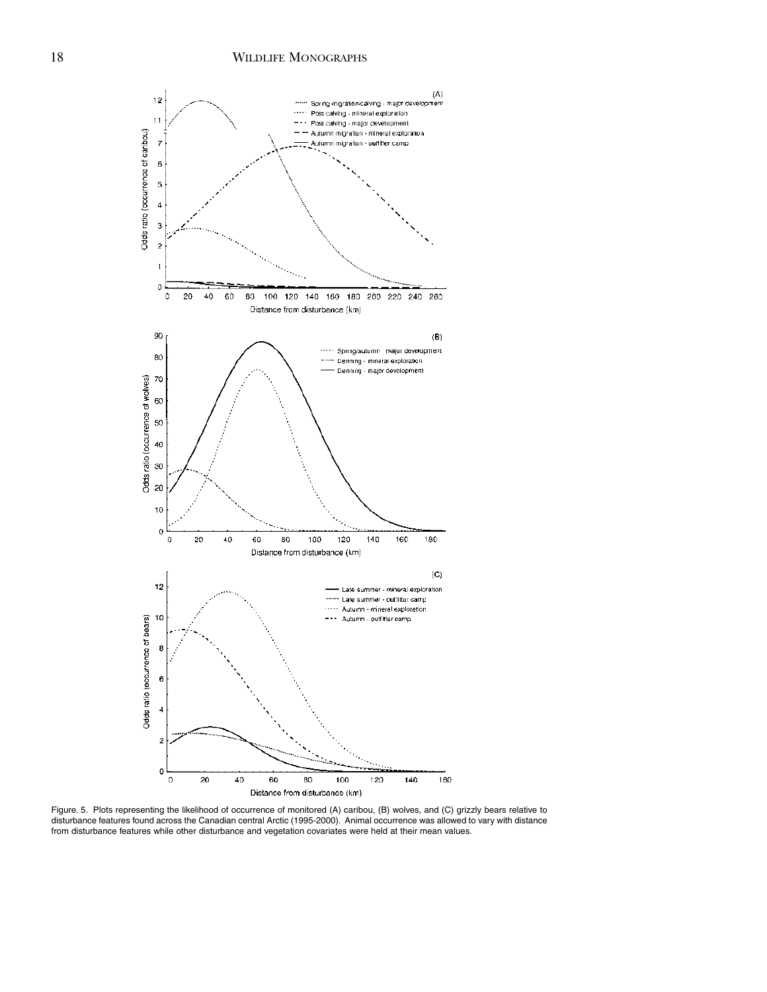

Figure. 5. Plots representing the likelihood of occurrence of monitored (A) caribou, (B) wolves, and (C) grizzly bears relative to disturbance features found across the Canadian central Arctic (1995-2000). Animal occurrence was allowed to vary with distance from disturbance features while other disturbance and vegetation covariates were held at their mean values.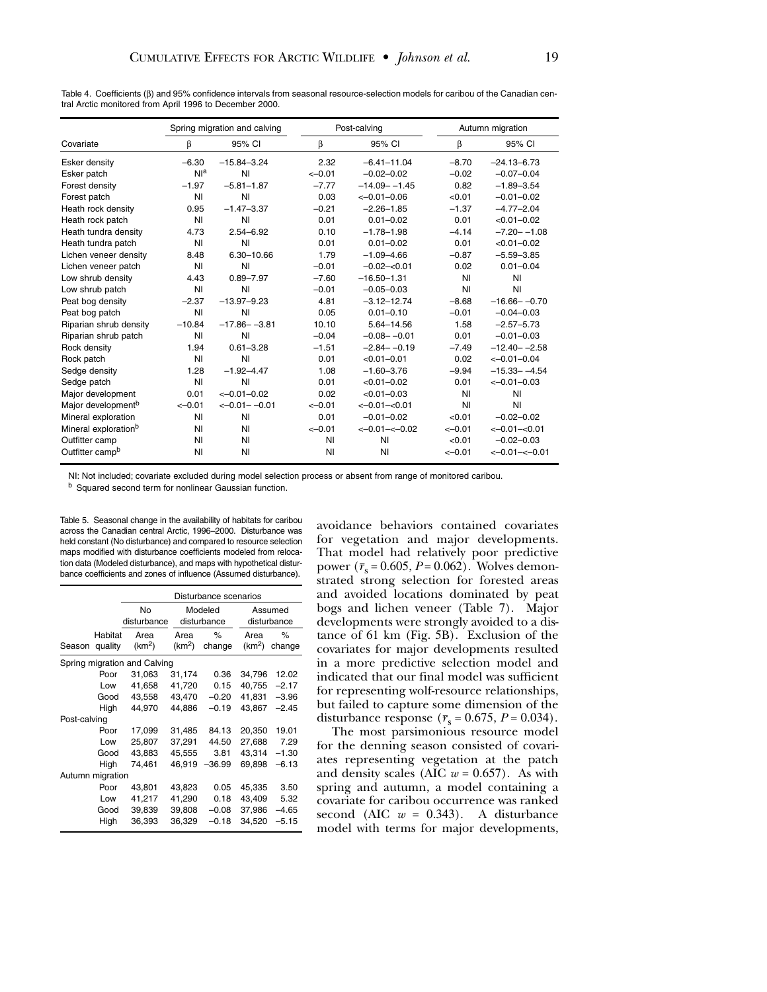|                                  | Spring migration and calving |                  |           | Post-calving     |          | Autumn migration |
|----------------------------------|------------------------------|------------------|-----------|------------------|----------|------------------|
| Covariate                        | β                            | 95% CI           | β         | 95% CI           | β        | 95% CI           |
| Esker density                    | $-6.30$                      | $-15.84 - 3.24$  | 2.32      | $-6.41 - 11.04$  | $-8.70$  | $-24.13 - 6.73$  |
| Esker patch                      | N <sup>a</sup>               | <b>NI</b>        | $<-0.01$  | $-0.02 - 0.02$   | $-0.02$  | $-0.07 - 0.04$   |
| Forest density                   | $-1.97$                      | $-5.81 - 1.87$   | $-7.77$   | $-14.09 - -1.45$ | 0.82     | $-1.89 - 3.54$   |
| Forest patch                     | <b>NI</b>                    | <b>NI</b>        | 0.03      | $<-0.01-0.06$    | < 0.01   | $-0.01 - 0.02$   |
| Heath rock density               | 0.95                         | $-1.47 - 3.37$   | $-0.21$   | $-2.26 - 1.85$   | $-1.37$  | $-4.77 - 2.04$   |
| Heath rock patch                 | NI                           | NI               | 0.01      | $0.01 - 0.02$    | 0.01     | $< 0.01 - 0.02$  |
| Heath tundra density             | 4.73                         | $2.54 - 6.92$    | 0.10      | $-1.78 - 1.98$   | $-4.14$  | $-7.20 - -1.08$  |
| Heath tundra patch               | <b>NI</b>                    | <b>NI</b>        | 0.01      | $0.01 - 0.02$    | 0.01     | $< 0.01 - 0.02$  |
| Lichen veneer density            | 8.48                         | 6.30-10.66       | 1.79      | $-1.09 - 4.66$   | $-0.87$  | $-5.59 - 3.85$   |
| Lichen veneer patch              | NI                           | NI               | $-0.01$   | $-0.02 - 0.01$   | 0.02     | $0.01 - 0.04$    |
| Low shrub density                | 4.43                         | $0.89 - 7.97$    | $-7.60$   | $-16.50 - 1.31$  | NI       | <b>NI</b>        |
| Low shrub patch                  | NI                           | <b>NI</b>        | $-0.01$   | $-0.05 - 0.03$   | ΝI       | <b>NI</b>        |
| Peat bog density                 | $-2.37$                      | $-13.97-9.23$    | 4.81      | $-3.12 - 12.74$  | $-8.68$  | $-16.66 - -0.70$ |
| Peat bog patch                   | NI                           | <b>NI</b>        | 0.05      | $0.01 - 0.10$    | $-0.01$  | $-0.04 - 0.03$   |
| Riparian shrub density           | $-10.84$                     | $-17.86 - -3.81$ | 10.10     | 5.64-14.56       | 1.58     | $-2.57 - 5.73$   |
| Riparian shrub patch             | ΝI                           | ΝI               | $-0.04$   | $-0.08 - -0.01$  | 0.01     | $-0.01 - 0.03$   |
| Rock density                     | 1.94                         | $0.61 - 3.28$    | $-1.51$   | $-2.84 - -0.19$  | $-7.49$  | $-12.40 - -2.58$ |
| Rock patch                       | <b>NI</b>                    | <b>NI</b>        | 0.01      | $< 0.01 - 0.01$  | 0.02     | $<-0.01-0.04$    |
| Sedge density                    | 1.28                         | $-1.92 - 4.47$   | 1.08      | $-1.60 - 3.76$   | $-9.94$  | $-15.33 - -4.54$ |
| Sedge patch                      | <b>NI</b>                    | <b>NI</b>        | 0.01      | $< 0.01 - 0.02$  | 0.01     | $<-0.01-0.03$    |
| Major development                | 0.01                         | $<-0.01-0.02$    | 0.02      | $< 0.01 - 0.03$  | NI       | <b>NI</b>        |
| Major development <sup>b</sup>   | $<-0.01$                     | $<-0.01- -0.01$  | $<-0.01$  | $<-0.01 - 0.01$  | NI       | <b>NI</b>        |
| Mineral exploration              | NI                           | <b>NI</b>        | 0.01      | $-0.01 - 0.02$   | < 0.01   | $-0.02 - 0.02$   |
| Mineral exploration <sup>b</sup> | NI                           | <b>NI</b>        | $<-0.01$  | $<-0.01-(-0.02)$ | $<-0.01$ | $<-0.01 - <0.01$ |
| Outfitter camp                   | NI                           | <b>NI</b>        | <b>NI</b> | NI               | < 0.01   | $-0.02 - 0.03$   |
| Outfitter camp <sup>b</sup>      | <b>NI</b>                    | NI               | <b>NI</b> | NI               | $<-0.01$ | $<-0.01-(-0.01)$ |

NI: Not included; covariate excluded during model selection process or absent from range of monitored caribou.

**b** Squared second term for nonlinear Gaussian function.

Table 5. Seasonal change in the availability of habitats for caribou across the Canadian central Arctic, 1996–2000. Disturbance was held constant (No disturbance) and compared to resource selection maps modified with disturbance coefficients modeled from relocation data (Modeled disturbance), and maps with hypothetical disturbance coefficients and zones of influence (Assumed disturbance).

|                  |                    | Disturbance scenarios        |                            |                         |                            |                         |
|------------------|--------------------|------------------------------|----------------------------|-------------------------|----------------------------|-------------------------|
|                  |                    | No<br>disturbance            |                            | Modeled<br>disturbance  |                            | Assumed<br>disturbance  |
| Season           | Habitat<br>quality | Area<br>(km <sup>2</sup> )   | Area<br>(km <sup>2</sup> ) | $\frac{1}{2}$<br>change | Area<br>(km <sup>2</sup> ) | $\frac{1}{2}$<br>change |
|                  |                    | Spring migration and Calving |                            |                         |                            |                         |
|                  | Poor               | 31,063                       | 31,174                     | 0.36                    | 34,796                     | 12.02                   |
|                  | Low                | 41,658                       | 41,720                     | 0.15                    | 40.755                     | $-2.17$                 |
|                  | Good               | 43.558                       | 43,470                     | $-0.20$                 | 41.831                     | $-3.96$                 |
|                  | High               | 44,970                       | 44,886                     | $-0.19$                 | 43.867                     | $-2.45$                 |
| Post-calving     |                    |                              |                            |                         |                            |                         |
|                  | Poor               | 17,099                       | 31,485                     | 84.13                   | 20,350                     | 19.01                   |
|                  | Low                | 25,807                       | 37,291                     | 44.50                   | 27,688                     | 7.29                    |
|                  | Good               | 43,883                       | 45,555                     | 3.81                    | 43.314                     | $-1.30$                 |
|                  | High               | 74,461                       | 46,919                     | $-36.99$                | 69,898                     | $-6.13$                 |
| Autumn migration |                    |                              |                            |                         |                            |                         |
|                  | Poor               | 43,801                       | 43,823                     | 0.05                    | 45,335                     | 3.50                    |
|                  | Low                | 41,217                       | 41,290                     | 0.18                    | 43,409                     | 5.32                    |
|                  | Good               | 39,839                       | 39,808                     | $-0.08$                 | 37,986                     | $-4.65$                 |
|                  | High               | 36,393                       | 36,329                     | $-0.18$                 | 34.520                     | $-5.15$                 |

avoidance behaviors contained covariates for vegetation and major developments. That model had relatively poor predictive power ( $\bar{r}_s = 0.605$ ,  $P = 0.062$ ). Wolves demonstrated strong selection for forested areas and avoided locations dominated by peat bogs and lichen veneer (Table 7). Major developments were strongly avoided to a distance of 61 km (Fig. 5B). Exclusion of the covariates for major developments resulted in a more predictive selection model and indicated that our final model was sufficient for representing wolf-resource relationships, but failed to capture some dimension of the disturbance response ( $\bar{r}_s = 0.675$ ,  $P = 0.034$ ).

The most parsimonious resource model for the denning season consisted of covariates representing vegetation at the patch and density scales (AIC  $w = 0.657$ ). As with spring and autumn, a model containing a covariate for caribou occurrence was ranked second (AIC  $w = 0.343$ ). A disturbance model with terms for major developments,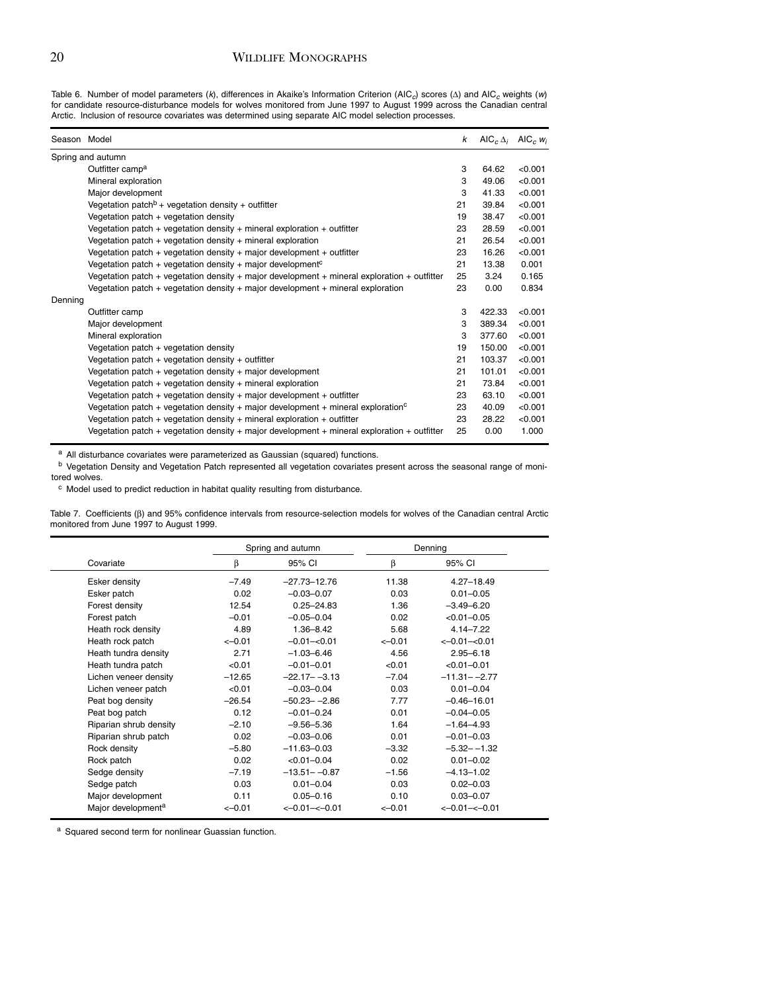Table 6. Number of model parameters (k), differences in Akaike's Information Criterion (AIC<sub>c</sub>) scores ( $\Delta$ ) and AIC<sub>c</sub> weights (w) for candidate resource-disturbance models for wolves monitored from June 1997 to August 1999 across the Canadian central Arctic. Inclusion of resource covariates was determined using separate AIC model selection processes.

| Season Model |                                                                                              | k  |        | AIC <sub>c</sub> $\Delta_i$ AIC <sub>c</sub> $w_i$ |
|--------------|----------------------------------------------------------------------------------------------|----|--------|----------------------------------------------------|
|              | Spring and autumn                                                                            |    |        |                                                    |
|              | Outfitter camp <sup>a</sup>                                                                  | 3  | 64.62  | < 0.001                                            |
|              | Mineral exploration                                                                          | 3  | 49.06  | < 0.001                                            |
|              | Major development                                                                            | 3  | 41.33  | < 0.001                                            |
|              | Vegetation patch <sup>b</sup> + vegetation density + outfitter                               | 21 | 39.84  | < 0.001                                            |
|              | Vegetation patch + vegetation density                                                        | 19 | 38.47  | < 0.001                                            |
|              | Vegetation patch + vegetation density + mineral exploration + outfitter                      | 23 | 28.59  | < 0.001                                            |
|              | Vegetation patch + vegetation density + mineral exploration                                  | 21 | 26.54  | < 0.001                                            |
|              | Vegetation patch + vegetation density + major development + outfitter                        | 23 | 16.26  | < 0.001                                            |
|              | Vegetation patch + vegetation density + major development <sup>c</sup>                       | 21 | 13.38  | 0.001                                              |
|              | Vegetation patch + vegetation density + major development + mineral exploration + outfitter  | 25 | 3.24   | 0.165                                              |
|              | Vegetation patch + vegetation density + major development + mineral exploration              | 23 | 0.00   | 0.834                                              |
| Denning      |                                                                                              |    |        |                                                    |
|              | Outfitter camp                                                                               | 3  | 422.33 | < 0.001                                            |
|              | Major development                                                                            | 3  | 389.34 | < 0.001                                            |
|              | Mineral exploration                                                                          | 3  | 377.60 | < 0.001                                            |
|              | Vegetation patch + vegetation density                                                        | 19 | 150.00 | < 0.001                                            |
|              | Vegetation patch $+$ vegetation density $+$ outfitter                                        | 21 | 103.37 | < 0.001                                            |
|              | Vegetation patch $+$ vegetation density $+$ major development                                | 21 | 101.01 | < 0.001                                            |
|              | Vegetation patch + vegetation density + mineral exploration                                  | 21 | 73.84  | < 0.001                                            |
|              | Vegetation patch + vegetation density + major development + outfitter                        | 23 | 63.10  | < 0.001                                            |
|              | Vegetation patch + vegetation density + major development + mineral exploration <sup>c</sup> | 23 | 40.09  | < 0.001                                            |
|              | Vegetation patch + vegetation density + mineral exploration + outfitter                      | 23 | 28.22  | < 0.001                                            |
|              | Vegetation patch + vegetation density + major development + mineral exploration + outfitter  | 25 | 0.00   | 1.000                                              |

 $^{\rm a}$  All disturbance covariates were parameterized as Gaussian (squared) functions.

<sup>b</sup> Vegetation Density and Vegetation Patch represented all vegetation covariates present across the seasonal range of monitored wolves.

<sup>c</sup> Model used to predict reduction in habitat quality resulting from disturbance.

Table 7. Coefficients (β) and 95% confidence intervals from resource-selection models for wolves of the Canadian central Arctic monitored from June 1997 to August 1999.

|                                |          | Spring and autumn |          | Denning          |  |  |
|--------------------------------|----------|-------------------|----------|------------------|--|--|
| Covariate                      | β        | 95% CI            | β        | 95% CI           |  |  |
| Esker density                  | $-7.49$  | $-27.73 - 12.76$  | 11.38    | 4.27-18.49       |  |  |
| Esker patch                    | 0.02     | $-0.03 - 0.07$    | 0.03     | $0.01 - 0.05$    |  |  |
| Forest density                 | 12.54    | $0.25 - 24.83$    | 1.36     | $-3.49 - 6.20$   |  |  |
| Forest patch                   | $-0.01$  | $-0.05 - 0.04$    | 0.02     | $< 0.01 - 0.05$  |  |  |
| Heath rock density             | 4.89     | $1.36 - 8.42$     | 5.68     | 4.14-7.22        |  |  |
| Heath rock patch               | $<-0.01$ | $-0.01 - 0.01$    | $<-0.01$ | $<-0.01 - 0.01$  |  |  |
| Heath tundra density           | 2.71     | $-1.03 - 6.46$    | 4.56     | $2.95 - 6.18$    |  |  |
| Heath tundra patch             | < 0.01   | $-0.01 - 0.01$    | < 0.01   | $< 0.01 - 0.01$  |  |  |
| Lichen veneer density          | $-12.65$ | $-22.17 - -3.13$  | $-7.04$  | $-11.31 - -2.77$ |  |  |
| Lichen veneer patch            | < 0.01   | $-0.03 - 0.04$    | 0.03     | $0.01 - 0.04$    |  |  |
| Peat bog density               | $-26.54$ | $-50.23 - -2.86$  | 7.77     | $-0.46 - 16.01$  |  |  |
| Peat bog patch                 | 0.12     | $-0.01 - 0.24$    | 0.01     | $-0.04 - 0.05$   |  |  |
| Riparian shrub density         | $-2.10$  | $-9.56 - 5.36$    | 1.64     | $-1.64 - 4.93$   |  |  |
| Riparian shrub patch           | 0.02     | $-0.03 - 0.06$    | 0.01     | $-0.01 - 0.03$   |  |  |
| Rock density                   | $-5.80$  | $-11.63 - 0.03$   | $-3.32$  | $-5.32 - -1.32$  |  |  |
| Rock patch                     | 0.02     | $< 0.01 - 0.04$   | 0.02     | $0.01 - 0.02$    |  |  |
| Sedge density                  | $-7.19$  | $-13.51 - -0.87$  | $-1.56$  | $-4.13 - 1.02$   |  |  |
| Sedge patch                    | 0.03     | $0.01 - 0.04$     | 0.03     | $0.02 - 0.03$    |  |  |
| Major development              | 0.11     | $0.05 - 0.16$     | 0.10     | $0.03 - 0.07$    |  |  |
| Major development <sup>a</sup> | $<-0.01$ | $<-0.01-(-0.01)$  | $<-0.01$ | $<-0.01-(-0.01)$ |  |  |

a Squared second term for nonlinear Guassian function.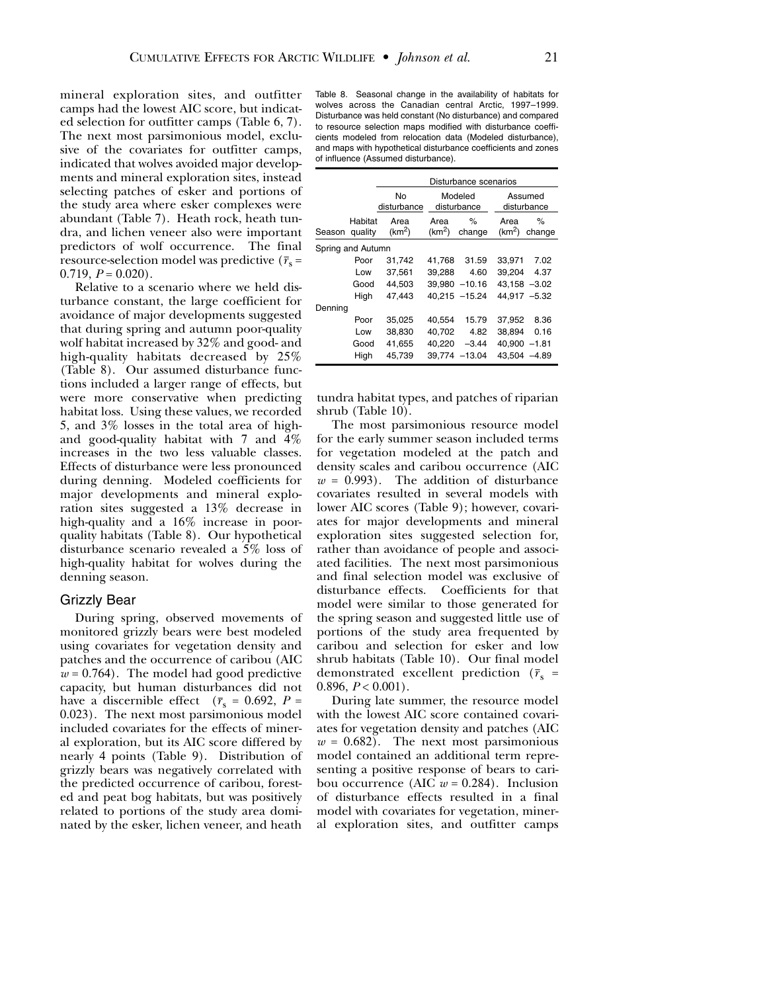mineral exploration sites, and outfitter camps had the lowest AIC score, but indicated selection for outfitter camps (Table 6, 7). The next most parsimonious model, exclusive of the covariates for outfitter camps, indicated that wolves avoided major developments and mineral exploration sites, instead selecting patches of esker and portions of the study area where esker complexes were abundant (Table 7). Heath rock, heath tundra, and lichen veneer also were important predictors of wolf occurrence. The final resource-selection model was predictive  $(\bar{r}_s =$  $0.719, P = 0.020$ .

Relative to a scenario where we held disturbance constant, the large coefficient for avoidance of major developments suggested that during spring and autumn poor-quality wolf habitat increased by 32% and good- and high-quality habitats decreased by 25% (Table 8). Our assumed disturbance functions included a larger range of effects, but were more conservative when predicting habitat loss. Using these values, we recorded 5, and 3% losses in the total area of highand good-quality habitat with 7 and 4% increases in the two less valuable classes. Effects of disturbance were less pronounced during denning. Modeled coefficients for major developments and mineral exploration sites suggested a 13% decrease in high-quality and a 16% increase in poorquality habitats (Table 8). Our hypothetical disturbance scenario revealed a 5% loss of high-quality habitat for wolves during the denning season.

#### Grizzly Bear

During spring, observed movements of monitored grizzly bears were best modeled using covariates for vegetation density and patches and the occurrence of caribou (AIC  $w = 0.764$ ). The model had good predictive capacity, but human disturbances did not have a discernible effect ( $\bar{r}_s = 0.692$ ,  $P =$ 0.023). The next most parsimonious model included covariates for the effects of mineral exploration, but its AIC score differed by nearly 4 points (Table 9). Distribution of grizzly bears was negatively correlated with the predicted occurrence of caribou, forested and peat bog habitats, but was positively related to portions of the study area dominated by the esker, lichen veneer, and heath

Table 8. Seasonal change in the availability of habitats for wolves across the Canadian central Arctic, 1997–1999. Disturbance was held constant (No disturbance) and compared to resource selection maps modified with disturbance coefficients modeled from relocation data (Modeled disturbance), and maps with hypothetical disturbance coefficients and zones of influence (Assumed disturbance).

|                   |         | Disturbance scenarios      |                            |                 |                 |                        |  |
|-------------------|---------|----------------------------|----------------------------|-----------------|-----------------|------------------------|--|
|                   |         | No<br>disturbance          | Modeled<br>disturbance     |                 |                 | Assumed<br>disturbance |  |
| Season quality    | Habitat | Area<br>(km <sup>2</sup> ) | Area<br>(km <sup>2</sup> ) | $\%$<br>change  | Area            | $\%$<br>$(km2)$ change |  |
| Spring and Autumn |         |                            |                            |                 |                 |                        |  |
|                   | Poor    | 31,742                     | 41.768                     | 31.59           | 33,971          | 7.02                   |  |
|                   | Low     | 37,561                     | 39.288                     | 4.60            | 39.204          | 4.37                   |  |
|                   | Good    | 44,503                     |                            | $39,980 -10.16$ |                 | $43,158 - 3.02$        |  |
|                   | High    | 47.443                     |                            | 40.215 -15.24   |                 | 44.917 -5.32           |  |
| Denning           |         |                            |                            |                 |                 |                        |  |
|                   | Poor    | 35,025                     | 40,554                     | 15.79           | 37.952          | 8.36                   |  |
|                   | Low     | 38,830                     | 40,702                     | 4.82            | 38,894          | 0.16                   |  |
|                   | Good    | 41,655                     | 40.220                     | $-3.44$         | $40.900 - 1.81$ |                        |  |
|                   | High    | 45,739                     |                            | 39.774 -13.04   |                 | 43.504 -4.89           |  |

tundra habitat types, and patches of riparian shrub (Table 10).

The most parsimonious resource model for the early summer season included terms for vegetation modeled at the patch and density scales and caribou occurrence (AIC  $w = 0.993$ . The addition of disturbance covariates resulted in several models with lower AIC scores (Table 9); however, covariates for major developments and mineral exploration sites suggested selection for, rather than avoidance of people and associated facilities. The next most parsimonious and final selection model was exclusive of disturbance effects. Coefficients for that model were similar to those generated for the spring season and suggested little use of portions of the study area frequented by caribou and selection for esker and low shrub habitats (Table 10). Our final model demonstrated excellent prediction ( $\bar{r}_s$  = 0.896,  $P < 0.001$ ).

During late summer, the resource model with the lowest AIC score contained covariates for vegetation density and patches (AIC  $w = 0.682$ ). The next most parsimonious model contained an additional term representing a positive response of bears to caribou occurrence (AIC  $w = 0.284$ ). Inclusion of disturbance effects resulted in a final model with covariates for vegetation, mineral exploration sites, and outfitter camps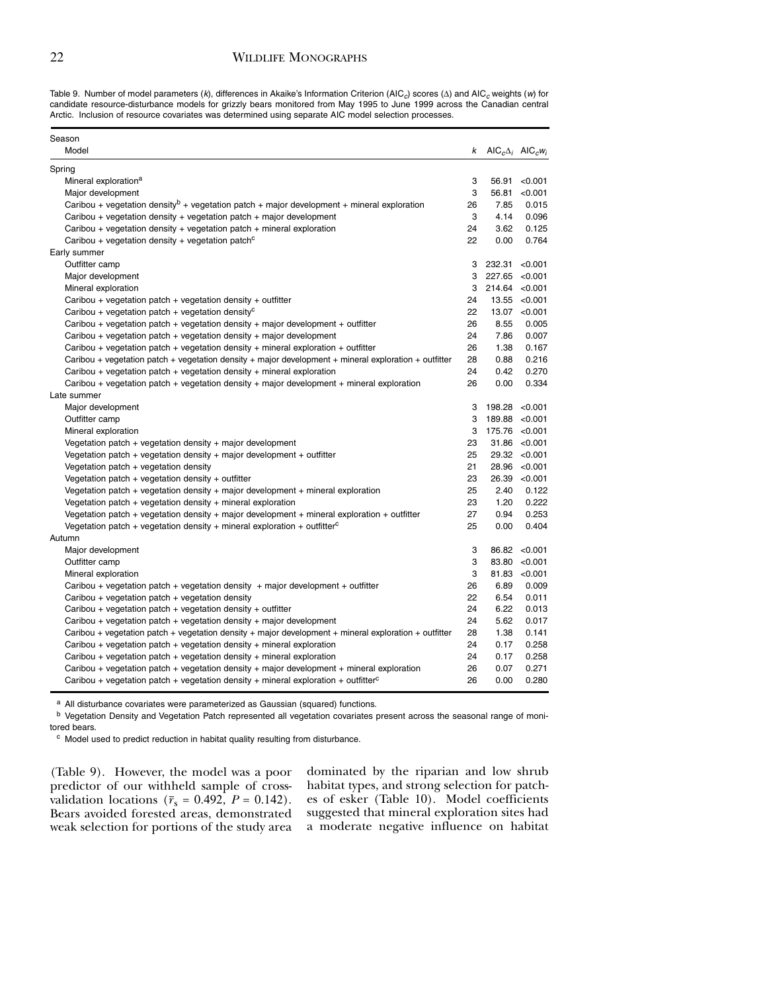Table 9. Number of model parameters (k), differences in Akaike's Information Criterion (AIC<sub>c</sub>) scores ( $\Delta$ ) and AIC<sub>c</sub> weights (w) for candidate resource-disturbance models for grizzly bears monitored from May 1995 to June 1999 across the Canadian central Arctic. Inclusion of resource covariates was determined using separate AIC model selection processes.

| Season                                                                                                 |    |                |                                                             |
|--------------------------------------------------------------------------------------------------------|----|----------------|-------------------------------------------------------------|
| Model                                                                                                  | k  |                | AIC <sub>c</sub> $\Delta_i$ AIC <sub>c</sub> w <sub>i</sub> |
| Spring                                                                                                 |    |                |                                                             |
| Mineral exploration <sup>a</sup>                                                                       | 3  | 56.91          | < 0.001                                                     |
| Major development                                                                                      | 3  | 56.81          | < 0.001                                                     |
| Caribou + vegetation density <sup>b</sup> + vegetation patch + major development + mineral exploration | 26 | 7.85           | 0.015                                                       |
| Caribou + vegetation density + vegetation patch + major development                                    | 3  | 4.14           | 0.096                                                       |
| Caribou + vegetation density + vegetation patch + mineral exploration                                  | 24 | 3.62           | 0.125                                                       |
| Caribou + vegetation density + vegetation patch <sup>c</sup>                                           | 22 | 0.00           | 0.764                                                       |
| Early summer                                                                                           |    |                |                                                             |
| Outfitter camp                                                                                         | 3  | 232.31 < 0.001 |                                                             |
| Major development                                                                                      | 3  | 227.65 < 0.001 |                                                             |
| Mineral exploration                                                                                    | 3  | 214.64 < 0.001 |                                                             |
| Caribou + vegetation patch + vegetation density + outfitter                                            | 24 |                | 13.55 < 0.001                                               |
| Caribou + vegetation patch + vegetation density <sup>c</sup>                                           | 22 |                | 13.07 < 0.001                                               |
| Caribou + vegetation patch + vegetation density + major development + outfitter                        | 26 | 8.55           | 0.005                                                       |
| Caribou + vegetation patch + vegetation density + major development                                    | 24 | 7.86           | 0.007                                                       |
| Caribou + vegetation patch + vegetation density + mineral exploration + outfitter                      | 26 | 1.38           | 0.167                                                       |
| Caribou + vegetation patch + vegetation density + major development + mineral exploration + outfitter  | 28 | 0.88           | 0.216                                                       |
| Caribou + vegetation patch + vegetation density + mineral exploration                                  | 24 | 0.42           | 0.270                                                       |
| Caribou + vegetation patch + vegetation density + major development + mineral exploration              | 26 | 0.00           | 0.334                                                       |
| Late summer                                                                                            |    |                |                                                             |
| Major development                                                                                      | 3  |                | 198.28 < 0.001                                              |
| Outfitter camp                                                                                         | 3  |                | 189.88 < 0.001                                              |
| Mineral exploration                                                                                    | 3  | 175.76 <0.001  |                                                             |
| Vegetation patch + vegetation density + major development                                              | 23 |                | 31.86 < 0.001                                               |
| Vegetation patch + vegetation density + major development + outfitter                                  | 25 |                | 29.32 < 0.001                                               |
| Vegetation patch + vegetation density                                                                  | 21 |                | 28.96 < 0.001                                               |
| Vegetation patch $+$ vegetation density $+$ outfitter                                                  | 23 |                | 26.39 < 0.001                                               |
| Vegetation patch $+$ vegetation density $+$ major development $+$ mineral exploration                  | 25 | 2.40           | 0.122                                                       |
| Vegetation patch + vegetation density + mineral exploration                                            | 23 | 1.20           | 0.222                                                       |
| Vegetation patch + vegetation density + major development + mineral exploration + outfitter            | 27 | 0.94           | 0.253                                                       |
| Vegetation patch + vegetation density + mineral exploration + outfitter <sup>c</sup>                   | 25 | 0.00           | 0.404                                                       |
| Autumn                                                                                                 |    |                |                                                             |
| Major development                                                                                      | 3  |                | 86.82 < 0.001                                               |
| Outfitter camp                                                                                         | 3  |                | 83.80 < 0.001                                               |
| Mineral exploration                                                                                    | 3  |                | 81.83 < 0.001                                               |
| Caribou + vegetation patch + vegetation density + major development + outfitter                        | 26 | 6.89           | 0.009                                                       |
| Caribou + vegetation patch + vegetation density                                                        | 22 | 6.54           | 0.011                                                       |
| Caribou + vegetation patch + vegetation density + outfitter                                            | 24 | 6.22           | 0.013                                                       |
| Caribou + vegetation patch + vegetation density + major development                                    | 24 | 5.62           | 0.017                                                       |
| Caribou + vegetation patch + vegetation density + major development + mineral exploration + outfitter  | 28 | 1.38           | 0.141                                                       |
| Caribou + vegetation patch + vegetation density + mineral exploration                                  | 24 | 0.17           | 0.258                                                       |
| Caribou + vegetation patch + vegetation density + mineral exploration                                  | 24 | 0.17           | 0.258                                                       |
| Caribou + vegetation patch + vegetation density + major development + mineral exploration              | 26 | 0.07           | 0.271                                                       |
| Caribou + vegetation patch + vegetation density + mineral exploration + outfitter <sup>c</sup>         | 26 | 0.00           | 0.280                                                       |
|                                                                                                        |    |                |                                                             |

a All disturbance covariates were parameterized as Gaussian (squared) functions.

<sup>b</sup> Vegetation Density and Vegetation Patch represented all vegetation covariates present across the seasonal range of monitored bears.

<sup>c</sup> Model used to predict reduction in habitat quality resulting from disturbance.

(Table 9). However, the model was a poor predictor of our withheld sample of crossvalidation locations ( $\bar{r}_s = 0.492$ ,  $P = 0.142$ ). Bears avoided forested areas, demonstrated weak selection for portions of the study area dominated by the riparian and low shrub habitat types, and strong selection for patches of esker (Table 10). Model coefficients suggested that mineral exploration sites had a moderate negative influence on habitat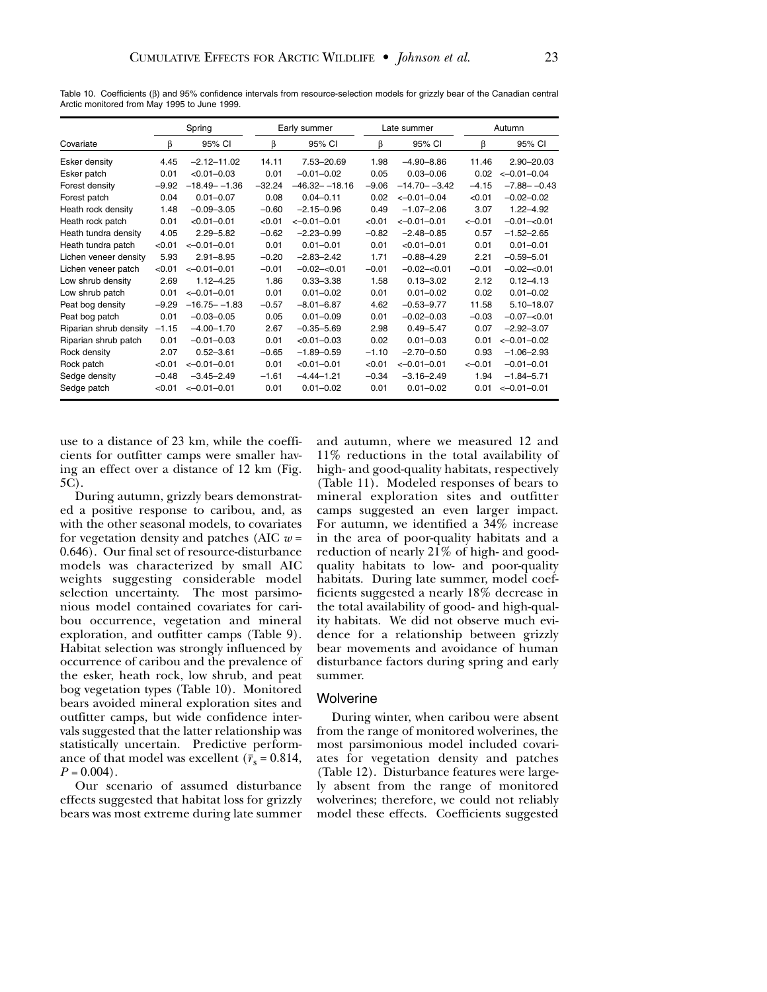|                        |         | Spring           | Early summer |                   |         | Late summer      |          | Autumn          |  |
|------------------------|---------|------------------|--------------|-------------------|---------|------------------|----------|-----------------|--|
| Covariate              | β       | 95% CI           | β            | 95% CI            | β       | 95% CI           | β        | 95% CI          |  |
| Esker density          | 4.45    | $-2.12 - 11.02$  | 14.11        | 7.53-20.69        | 1.98    | $-4.90 - 8.86$   | 11.46    | $2.90 - 20.03$  |  |
| Esker patch            | 0.01    | $< 0.01 - 0.03$  | 0.01         | $-0.01 - 0.02$    | 0.05    | $0.03 - 0.06$    | 0.02     | $<-0.01-0.04$   |  |
| Forest density         | $-9.92$ | $-18.49 - -1.36$ | $-32.24$     | $-46.32 - -18.16$ | $-9.06$ | $-14.70 - -3.42$ | $-4.15$  | $-7.88 - -0.43$ |  |
| Forest patch           | 0.04    | $0.01 - 0.07$    | 0.08         | $0.04 - 0.11$     | 0.02    | $<-0.01-0.04$    | < 0.01   | $-0.02 - 0.02$  |  |
| Heath rock density     | 1.48    | $-0.09 - 3.05$   | $-0.60$      | $-2.15 - 0.96$    | 0.49    | $-1.07 - 2.06$   | 3.07     | $1.22 - 4.92$   |  |
| Heath rock patch       | 0.01    | $< 0.01 - 0.01$  | < 0.01       | $<-0.01-0.01$     | < 0.01  | $<-0.01-0.01$    | $<-0.01$ | $-0.01 - 0.01$  |  |
| Heath tundra density   | 4.05    | $2.29 - 5.82$    | $-0.62$      | $-2.23 - 0.99$    | $-0.82$ | $-2.48 - 0.85$   | 0.57     | $-1.52 - 2.65$  |  |
| Heath tundra patch     | < 0.01  | $<-0.01-0.01$    | 0.01         | $0.01 - 0.01$     | 0.01    | $< 0.01 - 0.01$  | 0.01     | $0.01 - 0.01$   |  |
| Lichen veneer density  | 5.93    | $2.91 - 8.95$    | $-0.20$      | $-2.83 - 2.42$    | 1.71    | $-0.88 - 4.29$   | 2.21     | $-0.59 - 5.01$  |  |
| Lichen veneer patch    | < 0.01  | $<-0.01-0.01$    | $-0.01$      | $-0.02 - 0.01$    | $-0.01$ | $-0.02 - 0.01$   | $-0.01$  | $-0.02 - 0.01$  |  |
| Low shrub density      | 2.69    | $1.12 - 4.25$    | 1.86         | $0.33 - 3.38$     | 1.58    | $0.13 - 3.02$    | 2.12     | $0.12 - 4.13$   |  |
| Low shrub patch        | 0.01    | $<-0.01-0.01$    | 0.01         | $0.01 - 0.02$     | 0.01    | $0.01 - 0.02$    | 0.02     | $0.01 - 0.02$   |  |
| Peat bog density       | $-9.29$ | $-16.75 - -1.83$ | $-0.57$      | $-8.01 - 6.87$    | 4.62    | $-0.53 - 9.77$   | 11.58    | 5.10-18.07      |  |
| Peat bog patch         | 0.01    | $-0.03 - 0.05$   | 0.05         | $0.01 - 0.09$     | 0.01    | $-0.02 - 0.03$   | $-0.03$  | $-0.07 - 0.01$  |  |
| Riparian shrub density | $-1.15$ | $-4.00 - 1.70$   | 2.67         | $-0.35 - 5.69$    | 2.98    | $0.49 - 5.47$    | 0.07     | $-2.92 - 3.07$  |  |
| Riparian shrub patch   | 0.01    | $-0.01 - 0.03$   | 0.01         | $< 0.01 - 0.03$   | 0.02    | $0.01 - 0.03$    | 0.01     | $<-0.01-0.02$   |  |
| Rock density           | 2.07    | $0.52 - 3.61$    | $-0.65$      | $-1.89 - 0.59$    | $-1.10$ | $-2.70 - 0.50$   | 0.93     | $-1.06 - 2.93$  |  |
| Rock patch             | < 0.01  | $<-0.01-0.01$    | 0.01         | $< 0.01 - 0.01$   | < 0.01  | $<-0.01-0.01$    | $<-0.01$ | $-0.01 - 0.01$  |  |
| Sedge density          | $-0.48$ | $-3.45 - 2.49$   | $-1.61$      | $-4.44 - 1.21$    | $-0.34$ | $-3.16 - 2.49$   | 1.94     | $-1.84 - 5.71$  |  |
| Sedge patch            | < 0.01  | $<-0.01-0.01$    | 0.01         | $0.01 - 0.02$     | 0.01    | $0.01 - 0.02$    | 0.01     | $<-0.01-0.01$   |  |

Table 10. Coefficients (β) and 95% confidence intervals from resource-selection models for grizzly bear of the Canadian central Arctic monitored from May 1995 to June 1999.

use to a distance of 23 km, while the coefficients for outfitter camps were smaller having an effect over a distance of 12 km (Fig. 5C).

During autumn, grizzly bears demonstrated a positive response to caribou, and, as with the other seasonal models, to covariates for vegetation density and patches (AIC *w* = 0.646). Our final set of resource-disturbance models was characterized by small AIC weights suggesting considerable model selection uncertainty. The most parsimonious model contained covariates for caribou occurrence, vegetation and mineral exploration, and outfitter camps (Table 9). Habitat selection was strongly influenced by occurrence of caribou and the prevalence of the esker, heath rock, low shrub, and peat bog vegetation types (Table 10). Monitored bears avoided mineral exploration sites and outfitter camps, but wide confidence intervals suggested that the latter relationship was statistically uncertain. Predictive performance of that model was excellent ( $\overline{r}_s = 0.814$ ,  $P = 0.004$ .

Our scenario of assumed disturbance effects suggested that habitat loss for grizzly bears was most extreme during late summer and autumn, where we measured 12 and 11% reductions in the total availability of high- and good-quality habitats, respectively (Table 11). Modeled responses of bears to mineral exploration sites and outfitter camps suggested an even larger impact. For autumn, we identified a 34% increase in the area of poor-quality habitats and a reduction of nearly 21% of high- and goodquality habitats to low- and poor-quality habitats. During late summer, model coefficients suggested a nearly 18% decrease in the total availability of good- and high-quality habitats. We did not observe much evidence for a relationship between grizzly bear movements and avoidance of human disturbance factors during spring and early summer.

#### **Wolverine**

During winter, when caribou were absent from the range of monitored wolverines, the most parsimonious model included covariates for vegetation density and patches (Table 12). Disturbance features were largely absent from the range of monitored wolverines; therefore, we could not reliably model these effects. Coefficients suggested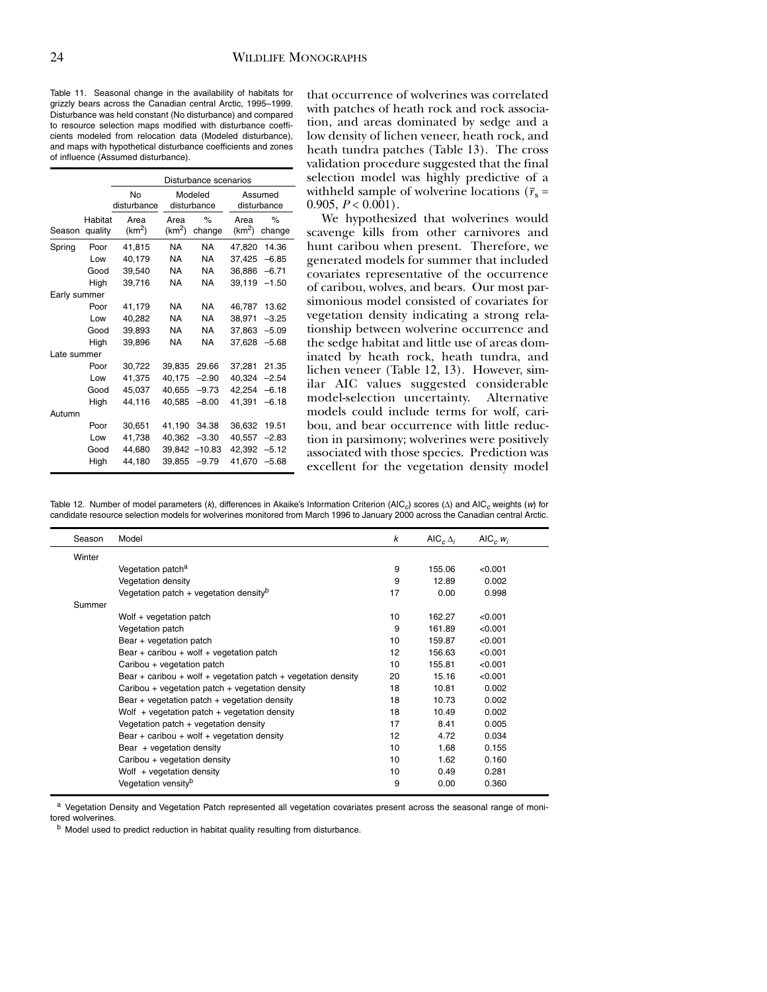Table 11. Seasonal change in the availability of habitats for grizzly bears across the Canadian central Arctic, 1995–1999. Disturbance was held constant (No disturbance) and compared to resource selection maps modified with disturbance coefficients modeled from relocation data (Modeled disturbance), and maps with hypothetical disturbance coefficients and zones of influence (Assumed disturbance).

|              |                    | Disturbance scenarios      |                            |                         |                            |                         |
|--------------|--------------------|----------------------------|----------------------------|-------------------------|----------------------------|-------------------------|
|              |                    | No<br>disturbance          | Modeled<br>disturbance     |                         | Assumed<br>disturbance     |                         |
| Season       | Habitat<br>quality | Area<br>(km <sup>2</sup> ) | Area<br>(km <sup>2</sup> ) | $\frac{1}{2}$<br>change | Area<br>(km <sup>2</sup> ) | $\frac{1}{2}$<br>change |
| Spring       | Poor               | 41,815                     | <b>NA</b>                  | <b>NA</b>               | 47.820                     | 14.36                   |
|              | Low                | 40.179                     | <b>NA</b>                  | <b>NA</b>               | 37.425                     | $-6.85$                 |
|              | Good               | 39.540                     | <b>NA</b>                  | <b>NA</b>               | 36.886                     | $-6.71$                 |
|              | High               | 39.716                     | NA                         | <b>NA</b>               | 39.119                     | $-1.50$                 |
| Early summer |                    |                            |                            |                         |                            |                         |
|              | Poor               | 41,179                     | <b>NA</b>                  | <b>NA</b>               | 46.787                     | 13.62                   |
|              | Low                | 40,282                     | <b>NA</b>                  | <b>NA</b>               | 38.971                     | $-3.25$                 |
|              | Good               | 39.893                     | <b>NA</b>                  | <b>NA</b>               | 37.863                     | $-5.09$                 |
|              | Hiah               | 39.896                     | NA                         | NA                      | 37.628                     | $-5.68$                 |
| Late summer  |                    |                            |                            |                         |                            |                         |
|              | Poor               | 30,722                     | 39.835                     | 29.66                   | 37.281                     | 21.35                   |
|              | Low                | 41,375                     | 40,175                     | $-2.90$                 | 40,324                     | $-2.54$                 |
|              | Good               | 45,037                     | 40,655                     | $-9.73$                 | 42,254                     | $-6.18$                 |
|              | High               | 44.116                     | 40.585                     | $-8.00$                 | 41.391                     | $-6.18$                 |
| Autumn       |                    |                            |                            |                         |                            |                         |
|              | Poor               | 30,651                     | 41,190                     | 34.38                   | 36,632                     | 19.51                   |
|              | Low                | 41,738                     | 40.362                     | $-3.30$                 | 40.557                     | $-2.83$                 |
|              | Good               | 44,680                     |                            | 39,842 -10.83           | 42,392                     | $-5.12$                 |
|              | High               | 44.180                     | $39.855 - 9.79$            |                         | 41.670                     | $-5.68$                 |

that occurrence of wolverines was correlated with patches of heath rock and rock association, and areas dominated by sedge and a low density of lichen veneer, heath rock, and heath tundra patches (Table 13). The cross validation procedure suggested that the final selection model was highly predictive of a withheld sample of wolverine locations ( $\bar{r}_s$  = 0.905,  $P < 0.001$ ).

We hypothesized that wolverines would scavenge kills from other carnivores and hunt caribou when present. Therefore, we generated models for summer that included covariates representative of the occurrence of caribou, wolves, and bears. Our most parsimonious model consisted of covariates for vegetation density indicating a strong relationship between wolverine occurrence and the sedge habitat and little use of areas dominated by heath rock, heath tundra, and lichen veneer (Table 12, 13). However, similar AIC values suggested considerable model-selection uncertainty. Alternative models could include terms for wolf, caribou, and bear occurrence with little reduction in parsimony; wolverines were positively associated with those species. Prediction was excellent for the vegetation density model

Table 12. Number of model parameters (k), differences in Akaike's Information Criterion (AIC<sub>c</sub>) scores ( $\Delta$ ) and AIC<sub>c</sub> weights (w) for candidate resource selection models for wolverines monitored from March 1996 to January 2000 across the Canadian central Arctic.

| Season | Model                                                         | k  | AIC $\Delta_i$ | $\mathsf{AIC}_c$ $W_i$ |  |
|--------|---------------------------------------------------------------|----|----------------|------------------------|--|
| Winter |                                                               |    |                |                        |  |
|        | Vegetation patch <sup>a</sup>                                 | 9  | 155.06         | < 0.001                |  |
|        | Vegetation density                                            | 9  | 12.89          | 0.002                  |  |
|        | Vegetation patch + vegetation density <sup>b</sup>            | 17 | 0.00           | 0.998                  |  |
| Summer |                                                               |    |                |                        |  |
|        | Wolf + vegetation patch                                       | 10 | 162.27         | < 0.001                |  |
|        | Vegetation patch                                              | 9  | 161.89         | < 0.001                |  |
|        | Bear + vegetation patch                                       | 10 | 159.87         | < 0.001                |  |
|        | Bear + caribou + wolf + vegetation patch                      | 12 | 156.63         | < 0.001                |  |
|        | Caribou + vegetation patch                                    | 10 | 155.81         | < 0.001                |  |
|        | Bear + caribou + wolf + vegetation patch + vegetation density | 20 | 15.16          | < 0.001                |  |
|        | Caribou + vegetation patch + vegetation density               | 18 | 10.81          | 0.002                  |  |
|        | Bear + vegetation patch + vegetation density                  | 18 | 10.73          | 0.002                  |  |
|        | Wolf $+$ vegetation patch $+$ vegetation density              | 18 | 10.49          | 0.002                  |  |
|        | Vegetation patch + vegetation density                         | 17 | 8.41           | 0.005                  |  |
|        | Bear + caribou + wolf + vegetation density                    | 12 | 4.72           | 0.034                  |  |
|        | Bear $+$ vegetation density                                   | 10 | 1.68           | 0.155                  |  |
|        | Caribou + vegetation density                                  | 10 | 1.62           | 0.160                  |  |
|        | Wolf $+$ vegetation density                                   | 10 | 0.49           | 0.281                  |  |
|        | Vegetation vensity <sup>b</sup>                               | 9  | 0.00           | 0.360                  |  |

a Vegetation Density and Vegetation Patch represented all vegetation covariates present across the seasonal range of monitored wolverines.

b Model used to predict reduction in habitat quality resulting from disturbance.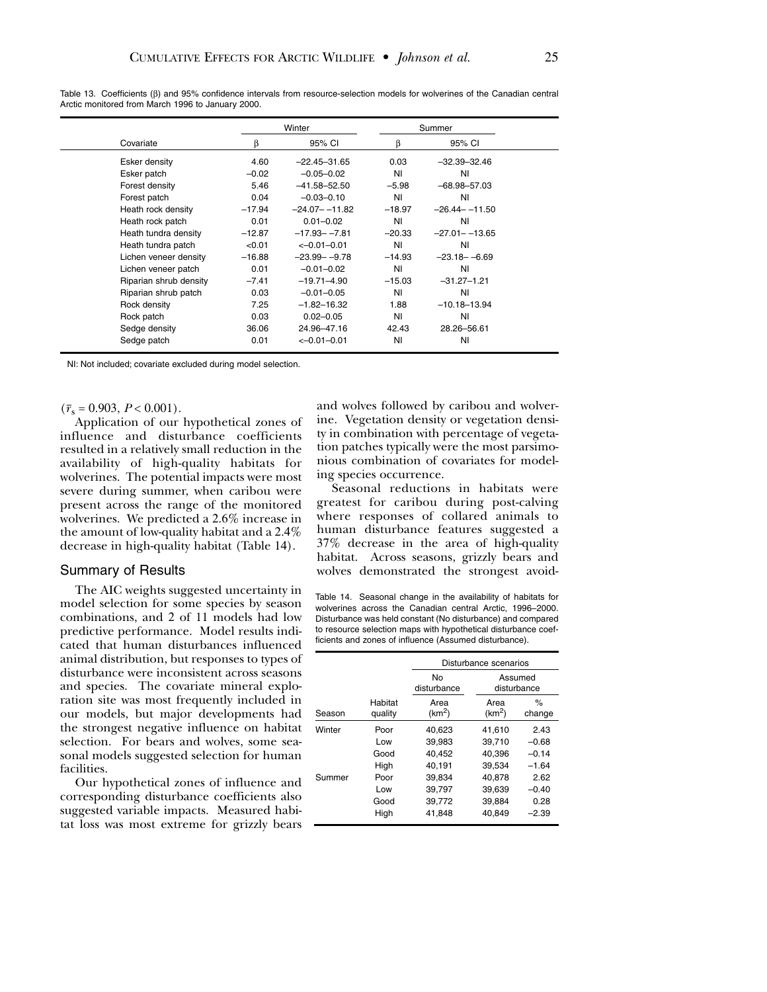|                        | Winter   |                   | Summer   |                   |
|------------------------|----------|-------------------|----------|-------------------|
| Covariate              | ß        | 95% CI            | ß        | 95% CI            |
| Esker density          | 4.60     | $-22.45 - 31.65$  | 0.03     | $-32.39 - 32.46$  |
| Esker patch            | $-0.02$  | $-0.05 - 0.02$    | ΝI       | ΝI                |
| Forest density         | 5.46     | $-41.58 - 52.50$  | $-5.98$  | $-68.98 - 57.03$  |
| Forest patch           | 0.04     | $-0.03 - 0.10$    | NI       | ΝI                |
| Heath rock density     | $-17.94$ | $-24.07 - -11.82$ | $-18.97$ | $-26.44 - -11.50$ |
| Heath rock patch       | 0.01     | $0.01 - 0.02$     | NI       | ΝI                |
| Heath tundra density   | $-12.87$ | $-17.93 - -7.81$  | $-20.33$ | $-27.01 - -13.65$ |
| Heath tundra patch     | < 0.01   | $<-0.01-0.01$     | ΝI       | ΝI                |
| Lichen veneer density  | $-16.88$ | $-23.99 - -9.78$  | $-14.93$ | $-23.18 - -6.69$  |
| Lichen veneer patch    | 0.01     | $-0.01 - 0.02$    | ΝI       | ΝI                |
| Riparian shrub density | $-7.41$  | $-19.71 - 4.90$   | $-15.03$ | $-31.27 - 1.21$   |
| Riparian shrub patch   | 0.03     | $-0.01 - 0.05$    | ΝI       | ΝI                |
| Rock density           | 7.25     | $-1.82 - 16.32$   | 1.88     | $-10.18 - 13.94$  |
| Rock patch             | 0.03     | $0.02 - 0.05$     | ΝI       | ΝI                |
| Sedge density          | 36.06    | 24.96-47.16       | 42.43    | 28.26-56.61       |
| Sedge patch            | 0.01     | $<-0.01-0.01$     | ΝI       | ΝI                |

Table 13. Coefficients (β) and 95% confidence intervals from resource-selection models for wolverines of the Canadian central Arctic monitored from March 1996 to January 2000.

NI: Not included; covariate excluded during model selection.

 $(\bar{r}_s = 0.903, P < 0.001).$ 

Application of our hypothetical zones of influence and disturbance coefficients resulted in a relatively small reduction in the availability of high-quality habitats for wolverines. The potential impacts were most severe during summer, when caribou were present across the range of the monitored wolverines. We predicted a 2.6% increase in the amount of low-quality habitat and a 2.4% decrease in high-quality habitat (Table 14).

#### Summary of Results

The AIC weights suggested uncertainty in model selection for some species by season combinations, and 2 of 11 models had low predictive performance. Model results indicated that human disturbances influenced animal distribution, but responses to types of disturbance were inconsistent across seasons and species. The covariate mineral exploration site was most frequently included in our models, but major developments had the strongest negative influence on habitat selection. For bears and wolves, some seasonal models suggested selection for human facilities.

Our hypothetical zones of influence and corresponding disturbance coefficients also suggested variable impacts. Measured habitat loss was most extreme for grizzly bears and wolves followed by caribou and wolverine. Vegetation density or vegetation density in combination with percentage of vegetation patches typically were the most parsimonious combination of covariates for modeling species occurrence.

Seasonal reductions in habitats were greatest for caribou during post-calving where responses of collared animals to human disturbance features suggested a 37% decrease in the area of high-quality habitat. Across seasons, grizzly bears and wolves demonstrated the strongest avoid-

Table 14. Seasonal change in the availability of habitats for wolverines across the Canadian central Arctic, 1996–2000. Disturbance was held constant (No disturbance) and compared to resource selection maps with hypothetical disturbance coefficients and zones of influence (Assumed disturbance).

|        |         | Disturbance scenarios |                        |         |  |  |
|--------|---------|-----------------------|------------------------|---------|--|--|
|        |         | No<br>disturbance     | Assumed<br>disturbance |         |  |  |
| Season | Habitat | Area                  | Area                   | %       |  |  |
|        | quality | (km <sup>2</sup> )    | (km <sup>2</sup> )     | change  |  |  |
| Winter | Poor    | 40.623                | 41.610                 | 2.43    |  |  |
|        | Low     | 39,983                | 39,710                 | $-0.68$ |  |  |
|        | Good    | 40.452                | 40.396                 | $-0.14$ |  |  |
| Summer | High    | 40,191                | 39.534                 | $-1.64$ |  |  |
|        | Poor    | 39.834                | 40.878                 | 2.62    |  |  |
|        | Low     | 39.797                | 39.639                 | $-0.40$ |  |  |
|        | Good    | 39.772                | 39.884                 | 0.28    |  |  |
|        | High    | 41,848                | 40.849                 | $-2.39$ |  |  |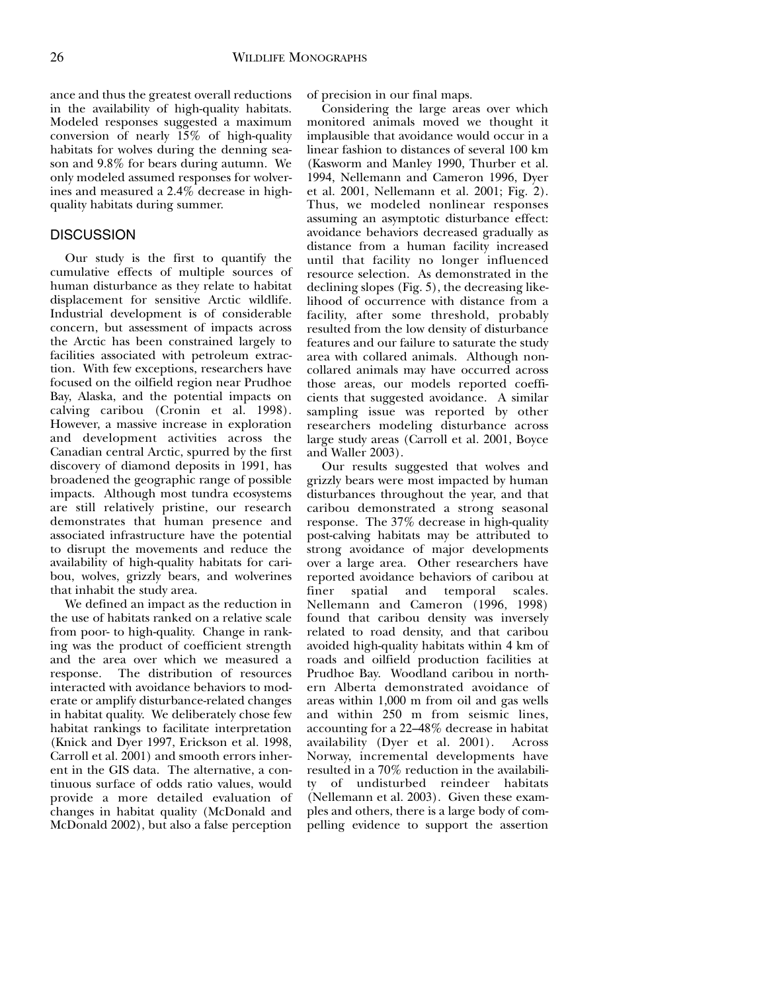ance and thus the greatest overall reductions in the availability of high-quality habitats. Modeled responses suggested a maximum conversion of nearly 15% of high-quality habitats for wolves during the denning season and 9.8% for bears during autumn. We only modeled assumed responses for wolverines and measured a 2.4% decrease in highquality habitats during summer.

#### **DISCUSSION**

Our study is the first to quantify the cumulative effects of multiple sources of human disturbance as they relate to habitat displacement for sensitive Arctic wildlife. Industrial development is of considerable concern, but assessment of impacts across the Arctic has been constrained largely to facilities associated with petroleum extraction. With few exceptions, researchers have focused on the oilfield region near Prudhoe Bay, Alaska, and the potential impacts on calving caribou (Cronin et al. 1998). However, a massive increase in exploration and development activities across the Canadian central Arctic, spurred by the first discovery of diamond deposits in 1991, has broadened the geographic range of possible impacts. Although most tundra ecosystems are still relatively pristine, our research demonstrates that human presence and associated infrastructure have the potential to disrupt the movements and reduce the availability of high-quality habitats for caribou, wolves, grizzly bears, and wolverines that inhabit the study area.

We defined an impact as the reduction in the use of habitats ranked on a relative scale from poor- to high-quality. Change in ranking was the product of coefficient strength and the area over which we measured a response. The distribution of resources interacted with avoidance behaviors to moderate or amplify disturbance-related changes in habitat quality. We deliberately chose few habitat rankings to facilitate interpretation (Knick and Dyer 1997, Erickson et al. 1998, Carroll et al. 2001) and smooth errors inherent in the GIS data. The alternative, a continuous surface of odds ratio values, would provide a more detailed evaluation of changes in habitat quality (McDonald and McDonald 2002), but also a false perception

of precision in our final maps.

Considering the large areas over which monitored animals moved we thought it implausible that avoidance would occur in a linear fashion to distances of several 100 km (Kasworm and Manley 1990, Thurber et al. 1994, Nellemann and Cameron 1996, Dyer et al. 2001, Nellemann et al. 2001; Fig. 2). Thus, we modeled nonlinear responses assuming an asymptotic disturbance effect: avoidance behaviors decreased gradually as distance from a human facility increased until that facility no longer influenced resource selection. As demonstrated in the declining slopes (Fig. 5), the decreasing likelihood of occurrence with distance from a facility, after some threshold, probably resulted from the low density of disturbance features and our failure to saturate the study area with collared animals. Although noncollared animals may have occurred across those areas, our models reported coefficients that suggested avoidance. A similar sampling issue was reported by other researchers modeling disturbance across large study areas (Carroll et al. 2001, Boyce and Waller 2003).

Our results suggested that wolves and grizzly bears were most impacted by human disturbances throughout the year, and that caribou demonstrated a strong seasonal response. The 37% decrease in high-quality post-calving habitats may be attributed to strong avoidance of major developments over a large area. Other researchers have reported avoidance behaviors of caribou at finer spatial and temporal scales. Nellemann and Cameron (1996, 1998) found that caribou density was inversely related to road density, and that caribou avoided high-quality habitats within 4 km of roads and oilfield production facilities at Prudhoe Bay. Woodland caribou in northern Alberta demonstrated avoidance of areas within 1,000 m from oil and gas wells and within 250 m from seismic lines, accounting for a 22–48% decrease in habitat availability (Dyer et al. 2001). Across Norway, incremental developments have resulted in a 70% reduction in the availability of undisturbed reindeer habitats (Nellemann et al. 2003). Given these examples and others, there is a large body of compelling evidence to support the assertion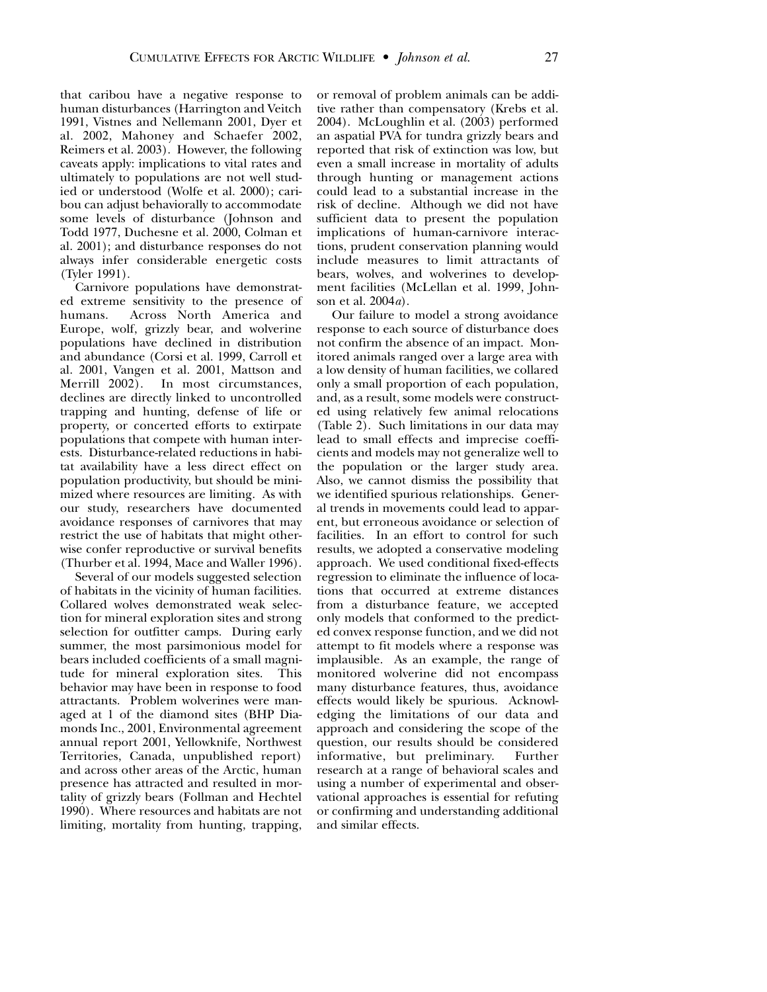that caribou have a negative response to human disturbances (Harrington and Veitch 1991, Vistnes and Nellemann 2001, Dyer et al. 2002, Mahoney and Schaefer 2002, Reimers et al. 2003). However, the following caveats apply: implications to vital rates and ultimately to populations are not well studied or understood (Wolfe et al. 2000); caribou can adjust behaviorally to accommodate some levels of disturbance (Johnson and Todd 1977, Duchesne et al. 2000, Colman et al. 2001); and disturbance responses do not always infer considerable energetic costs (Tyler 1991).

Carnivore populations have demonstrated extreme sensitivity to the presence of humans. Across North America and Europe, wolf, grizzly bear, and wolverine populations have declined in distribution and abundance (Corsi et al. 1999, Carroll et al. 2001, Vangen et al. 2001, Mattson and In most circumstances, declines are directly linked to uncontrolled trapping and hunting, defense of life or property, or concerted efforts to extirpate populations that compete with human interests. Disturbance-related reductions in habitat availability have a less direct effect on population productivity, but should be minimized where resources are limiting. As with our study, researchers have documented avoidance responses of carnivores that may restrict the use of habitats that might otherwise confer reproductive or survival benefits (Thurber et al. 1994, Mace and Waller 1996).

Several of our models suggested selection of habitats in the vicinity of human facilities. Collared wolves demonstrated weak selection for mineral exploration sites and strong selection for outfitter camps. During early summer, the most parsimonious model for bears included coefficients of a small magnitude for mineral exploration sites. This behavior may have been in response to food attractants. Problem wolverines were managed at 1 of the diamond sites (BHP Diamonds Inc., 2001, Environmental agreement annual report 2001, Yellowknife, Northwest Territories, Canada, unpublished report) and across other areas of the Arctic, human presence has attracted and resulted in mortality of grizzly bears (Follman and Hechtel 1990). Where resources and habitats are not limiting, mortality from hunting, trapping,

or removal of problem animals can be additive rather than compensatory (Krebs et al. 2004). McLoughlin et al. (2003) performed an aspatial PVA for tundra grizzly bears and reported that risk of extinction was low, but even a small increase in mortality of adults through hunting or management actions could lead to a substantial increase in the risk of decline. Although we did not have sufficient data to present the population implications of human-carnivore interactions, prudent conservation planning would include measures to limit attractants of bears, wolves, and wolverines to development facilities (McLellan et al. 1999, Johnson et al. 2004*a*).

Our failure to model a strong avoidance response to each source of disturbance does not confirm the absence of an impact. Monitored animals ranged over a large area with a low density of human facilities, we collared only a small proportion of each population, and, as a result, some models were constructed using relatively few animal relocations (Table 2). Such limitations in our data may lead to small effects and imprecise coefficients and models may not generalize well to the population or the larger study area. Also, we cannot dismiss the possibility that we identified spurious relationships. General trends in movements could lead to apparent, but erroneous avoidance or selection of facilities. In an effort to control for such results, we adopted a conservative modeling approach. We used conditional fixed-effects regression to eliminate the influence of locations that occurred at extreme distances from a disturbance feature, we accepted only models that conformed to the predicted convex response function, and we did not attempt to fit models where a response was implausible. As an example, the range of monitored wolverine did not encompass many disturbance features, thus, avoidance effects would likely be spurious. Acknowledging the limitations of our data and approach and considering the scope of the question, our results should be considered informative, but preliminary. Further research at a range of behavioral scales and using a number of experimental and observational approaches is essential for refuting or confirming and understanding additional and similar effects.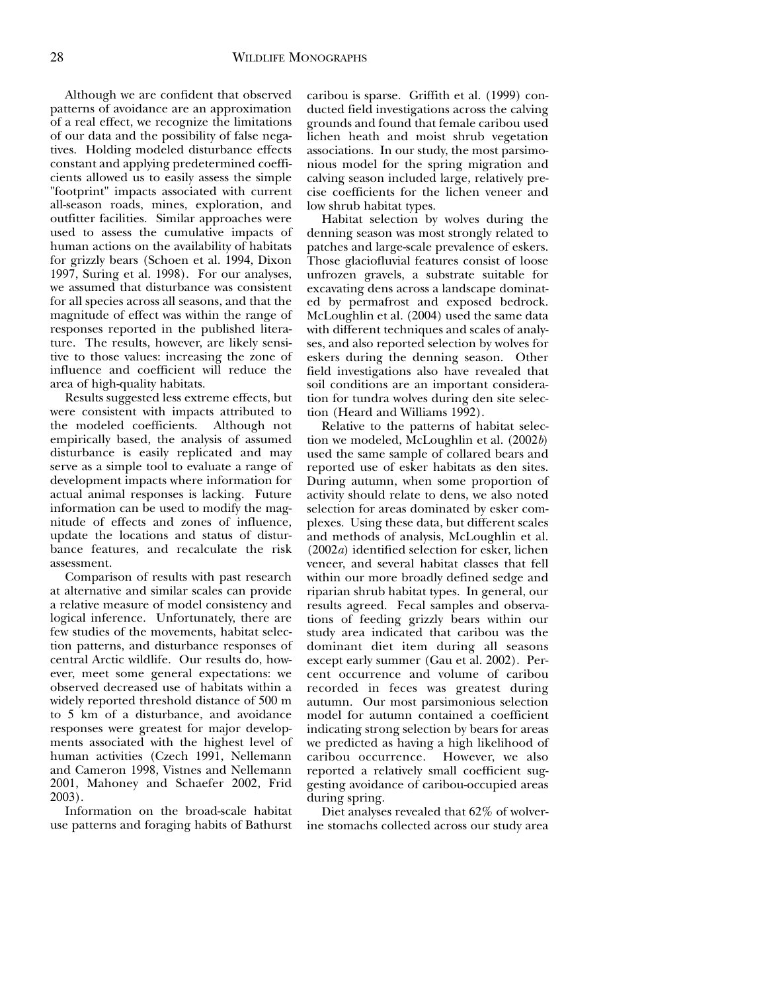Although we are confident that observed patterns of avoidance are an approximation of a real effect, we recognize the limitations of our data and the possibility of false negatives. Holding modeled disturbance effects constant and applying predetermined coefficients allowed us to easily assess the simple "footprint" impacts associated with current all-season roads, mines, exploration, and outfitter facilities. Similar approaches were used to assess the cumulative impacts of human actions on the availability of habitats for grizzly bears (Schoen et al. 1994, Dixon 1997, Suring et al. 1998). For our analyses, we assumed that disturbance was consistent for all species across all seasons, and that the magnitude of effect was within the range of responses reported in the published literature. The results, however, are likely sensitive to those values: increasing the zone of influence and coefficient will reduce the area of high-quality habitats.

Results suggested less extreme effects, but were consistent with impacts attributed to the modeled coefficients. Although not empirically based, the analysis of assumed disturbance is easily replicated and may serve as a simple tool to evaluate a range of development impacts where information for actual animal responses is lacking. Future information can be used to modify the magnitude of effects and zones of influence, update the locations and status of disturbance features, and recalculate the risk assessment.

Comparison of results with past research at alternative and similar scales can provide a relative measure of model consistency and logical inference. Unfortunately, there are few studies of the movements, habitat selection patterns, and disturbance responses of central Arctic wildlife. Our results do, however, meet some general expectations: we observed decreased use of habitats within a widely reported threshold distance of 500 m to 5 km of a disturbance, and avoidance responses were greatest for major developments associated with the highest level of human activities (Czech 1991, Nellemann and Cameron 1998, Vistnes and Nellemann 2001, Mahoney and Schaefer 2002, Frid 2003).

Information on the broad-scale habitat use patterns and foraging habits of Bathurst caribou is sparse. Griffith et al. (1999) conducted field investigations across the calving grounds and found that female caribou used lichen heath and moist shrub vegetation associations. In our study, the most parsimonious model for the spring migration and calving season included large, relatively precise coefficients for the lichen veneer and low shrub habitat types.

Habitat selection by wolves during the denning season was most strongly related to patches and large-scale prevalence of eskers. Those glaciofluvial features consist of loose unfrozen gravels, a substrate suitable for excavating dens across a landscape dominated by permafrost and exposed bedrock. McLoughlin et al. (2004) used the same data with different techniques and scales of analyses, and also reported selection by wolves for eskers during the denning season. Other field investigations also have revealed that soil conditions are an important consideration for tundra wolves during den site selection (Heard and Williams 1992).

Relative to the patterns of habitat selection we modeled, McLoughlin et al. (2002*b*) used the same sample of collared bears and reported use of esker habitats as den sites. During autumn, when some proportion of activity should relate to dens, we also noted selection for areas dominated by esker complexes. Using these data, but different scales and methods of analysis, McLoughlin et al. (2002*a*) identified selection for esker, lichen veneer, and several habitat classes that fell within our more broadly defined sedge and riparian shrub habitat types. In general, our results agreed. Fecal samples and observations of feeding grizzly bears within our study area indicated that caribou was the dominant diet item during all seasons except early summer (Gau et al. 2002). Percent occurrence and volume of caribou recorded in feces was greatest during autumn. Our most parsimonious selection model for autumn contained a coefficient indicating strong selection by bears for areas we predicted as having a high likelihood of caribou occurrence. However, we also reported a relatively small coefficient suggesting avoidance of caribou-occupied areas during spring.

Diet analyses revealed that 62% of wolverine stomachs collected across our study area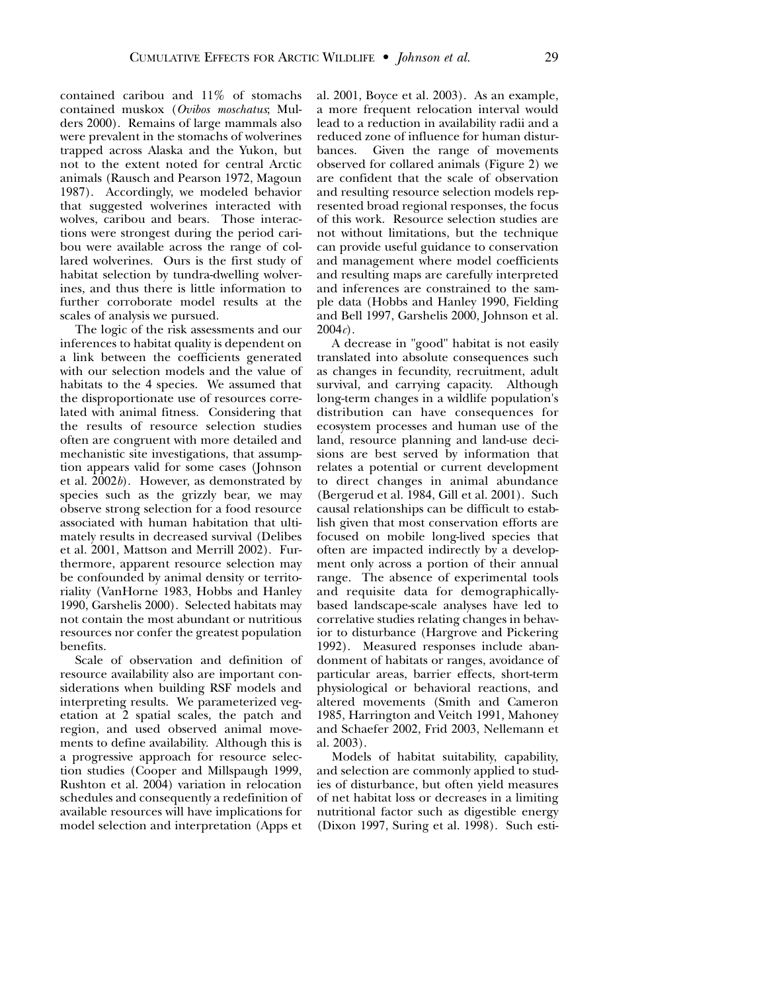contained caribou and 11% of stomachs contained muskox (*Ovibos moschatus*; Mulders 2000). Remains of large mammals also were prevalent in the stomachs of wolverines trapped across Alaska and the Yukon, but not to the extent noted for central Arctic animals (Rausch and Pearson 1972, Magoun 1987). Accordingly, we modeled behavior that suggested wolverines interacted with wolves, caribou and bears. Those interactions were strongest during the period caribou were available across the range of collared wolverines. Ours is the first study of habitat selection by tundra-dwelling wolverines, and thus there is little information to further corroborate model results at the scales of analysis we pursued.

The logic of the risk assessments and our inferences to habitat quality is dependent on a link between the coefficients generated with our selection models and the value of habitats to the 4 species. We assumed that the disproportionate use of resources correlated with animal fitness. Considering that the results of resource selection studies often are congruent with more detailed and mechanistic site investigations, that assumption appears valid for some cases (Johnson et al. 2002*b*). However, as demonstrated by species such as the grizzly bear, we may observe strong selection for a food resource associated with human habitation that ultimately results in decreased survival (Delibes et al. 2001, Mattson and Merrill 2002). Furthermore, apparent resource selection may be confounded by animal density or territoriality (VanHorne 1983, Hobbs and Hanley 1990, Garshelis 2000). Selected habitats may not contain the most abundant or nutritious resources nor confer the greatest population benefits.

Scale of observation and definition of resource availability also are important considerations when building RSF models and interpreting results. We parameterized vegetation at 2 spatial scales, the patch and region, and used observed animal movements to define availability. Although this is a progressive approach for resource selection studies (Cooper and Millspaugh 1999, Rushton et al. 2004) variation in relocation schedules and consequently a redefinition of available resources will have implications for model selection and interpretation (Apps et

al. 2001, Boyce et al. 2003). As an example, a more frequent relocation interval would lead to a reduction in availability radii and a reduced zone of influence for human disturbances. Given the range of movements observed for collared animals (Figure 2) we are confident that the scale of observation and resulting resource selection models represented broad regional responses, the focus of this work. Resource selection studies are not without limitations, but the technique can provide useful guidance to conservation and management where model coefficients and resulting maps are carefully interpreted and inferences are constrained to the sample data (Hobbs and Hanley 1990, Fielding and Bell 1997, Garshelis 2000, Johnson et al. 2004*c*).

A decrease in "good" habitat is not easily translated into absolute consequences such as changes in fecundity, recruitment, adult survival, and carrying capacity. Although long-term changes in a wildlife population's distribution can have consequences for ecosystem processes and human use of the land, resource planning and land-use decisions are best served by information that relates a potential or current development to direct changes in animal abundance (Bergerud et al. 1984, Gill et al. 2001). Such causal relationships can be difficult to establish given that most conservation efforts are focused on mobile long-lived species that often are impacted indirectly by a development only across a portion of their annual range. The absence of experimental tools and requisite data for demographicallybased landscape-scale analyses have led to correlative studies relating changes in behavior to disturbance (Hargrove and Pickering 1992). Measured responses include abandonment of habitats or ranges, avoidance of particular areas, barrier effects, short-term physiological or behavioral reactions, and altered movements (Smith and Cameron 1985, Harrington and Veitch 1991, Mahoney and Schaefer 2002, Frid 2003, Nellemann et al. 2003).

Models of habitat suitability, capability, and selection are commonly applied to studies of disturbance, but often yield measures of net habitat loss or decreases in a limiting nutritional factor such as digestible energy (Dixon 1997, Suring et al. 1998). Such esti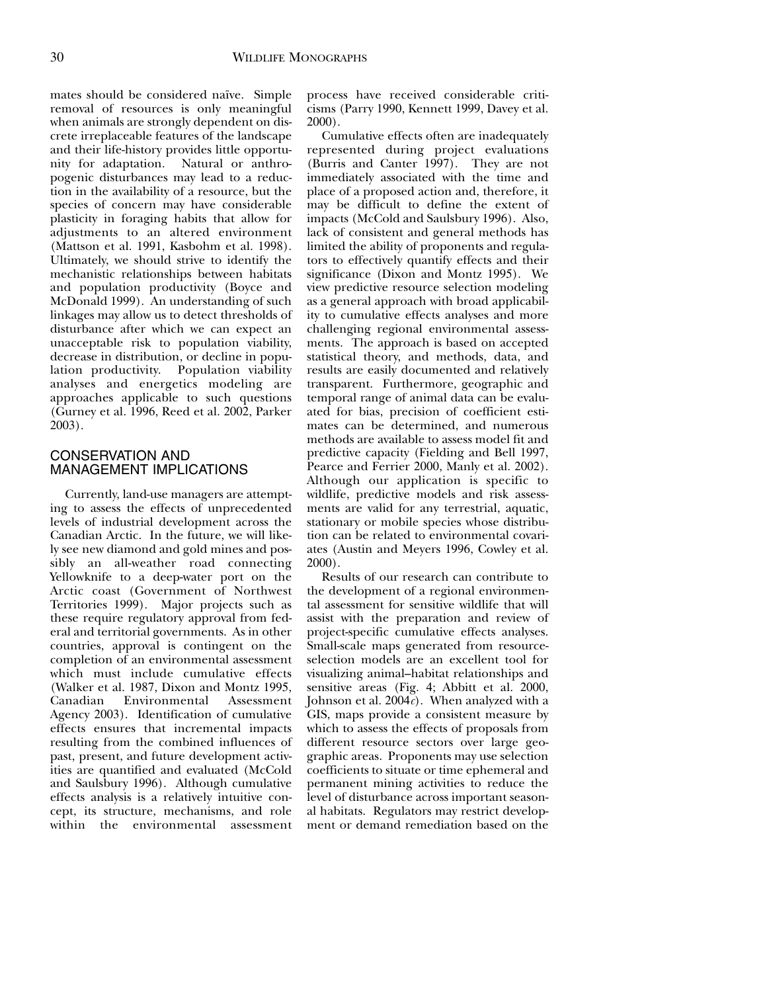mates should be considered naïve. Simple removal of resources is only meaningful when animals are strongly dependent on discrete irreplaceable features of the landscape and their life-history provides little opportunity for adaptation. Natural or anthropogenic disturbances may lead to a reduction in the availability of a resource, but the species of concern may have considerable plasticity in foraging habits that allow for adjustments to an altered environment (Mattson et al. 1991, Kasbohm et al. 1998). Ultimately, we should strive to identify the mechanistic relationships between habitats and population productivity (Boyce and McDonald 1999). An understanding of such linkages may allow us to detect thresholds of disturbance after which we can expect an unacceptable risk to population viability, decrease in distribution, or decline in population productivity. Population viability analyses and energetics modeling are approaches applicable to such questions (Gurney et al. 1996, Reed et al. 2002, Parker 2003).

#### CONSERVATION AND MANAGEMENT IMPLICATIONS

Currently, land-use managers are attempting to assess the effects of unprecedented levels of industrial development across the Canadian Arctic. In the future, we will likely see new diamond and gold mines and possibly an all-weather road connecting Yellowknife to a deep-water port on the Arctic coast (Government of Northwest Territories 1999). Major projects such as these require regulatory approval from federal and territorial governments. As in other countries, approval is contingent on the completion of an environmental assessment which must include cumulative effects (Walker et al. 1987, Dixon and Montz 1995, Environmental Assessment Agency 2003). Identification of cumulative effects ensures that incremental impacts resulting from the combined influences of past, present, and future development activities are quantified and evaluated (McCold and Saulsbury 1996). Although cumulative effects analysis is a relatively intuitive concept, its structure, mechanisms, and role within the environmental assessment

process have received considerable criticisms (Parry 1990, Kennett 1999, Davey et al. 2000).

Cumulative effects often are inadequately represented during project evaluations (Burris and Canter 1997). They are not immediately associated with the time and place of a proposed action and, therefore, it may be difficult to define the extent of impacts (McCold and Saulsbury 1996). Also, lack of consistent and general methods has limited the ability of proponents and regulators to effectively quantify effects and their significance (Dixon and Montz 1995). We view predictive resource selection modeling as a general approach with broad applicability to cumulative effects analyses and more challenging regional environmental assessments. The approach is based on accepted statistical theory, and methods, data, and results are easily documented and relatively transparent. Furthermore, geographic and temporal range of animal data can be evaluated for bias, precision of coefficient estimates can be determined, and numerous methods are available to assess model fit and predictive capacity (Fielding and Bell 1997, Pearce and Ferrier 2000, Manly et al. 2002). Although our application is specific to wildlife, predictive models and risk assessments are valid for any terrestrial, aquatic, stationary or mobile species whose distribution can be related to environmental covariates (Austin and Meyers 1996, Cowley et al. 2000).

Results of our research can contribute to the development of a regional environmental assessment for sensitive wildlife that will assist with the preparation and review of project-specific cumulative effects analyses. Small-scale maps generated from resourceselection models are an excellent tool for visualizing animal–habitat relationships and sensitive areas (Fig. 4; Abbitt et al. 2000, Johnson et al.  $2004\bar{c}$ . When analyzed with a GIS, maps provide a consistent measure by which to assess the effects of proposals from different resource sectors over large geographic areas. Proponents may use selection coefficients to situate or time ephemeral and permanent mining activities to reduce the level of disturbance across important seasonal habitats. Regulators may restrict development or demand remediation based on the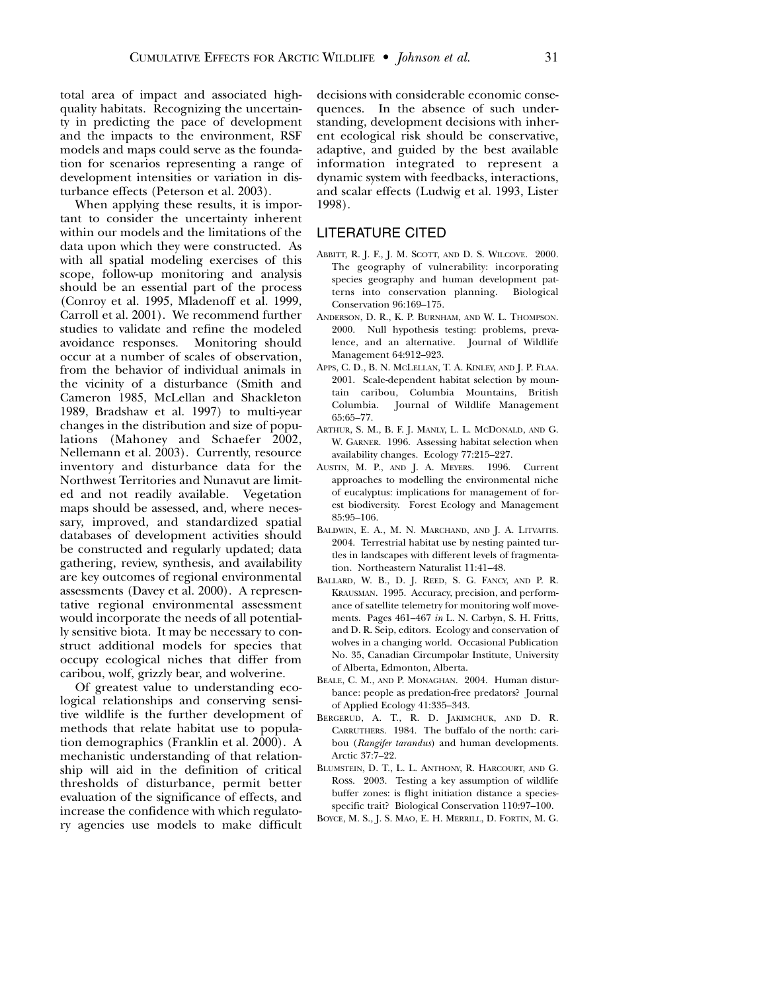total area of impact and associated highquality habitats. Recognizing the uncertainty in predicting the pace of development and the impacts to the environment, RSF models and maps could serve as the foundation for scenarios representing a range of development intensities or variation in disturbance effects (Peterson et al. 2003).

When applying these results, it is important to consider the uncertainty inherent within our models and the limitations of the data upon which they were constructed. As with all spatial modeling exercises of this scope, follow-up monitoring and analysis should be an essential part of the process (Conroy et al. 1995, Mladenoff et al. 1999, Carroll et al. 2001). We recommend further studies to validate and refine the modeled avoidance responses. Monitoring should occur at a number of scales of observation, from the behavior of individual animals in the vicinity of a disturbance (Smith and Cameron 1985, McLellan and Shackleton 1989, Bradshaw et al. 1997) to multi-year changes in the distribution and size of populations (Mahoney and Schaefer 2002, Nellemann et al. 2003). Currently, resource inventory and disturbance data for the Northwest Territories and Nunavut are limited and not readily available. Vegetation maps should be assessed, and, where necessary, improved, and standardized spatial databases of development activities should be constructed and regularly updated; data gathering, review, synthesis, and availability are key outcomes of regional environmental assessments (Davey et al. 2000). A representative regional environmental assessment would incorporate the needs of all potentially sensitive biota. It may be necessary to construct additional models for species that occupy ecological niches that differ from caribou, wolf, grizzly bear, and wolverine.

Of greatest value to understanding ecological relationships and conserving sensitive wildlife is the further development of methods that relate habitat use to population demographics (Franklin et al.  $2000$ ). A mechanistic understanding of that relationship will aid in the definition of critical thresholds of disturbance, permit better evaluation of the significance of effects, and increase the confidence with which regulatory agencies use models to make difficult decisions with considerable economic consequences. In the absence of such understanding, development decisions with inherent ecological risk should be conservative, adaptive, and guided by the best available information integrated to represent a dynamic system with feedbacks, interactions, and scalar effects (Ludwig et al. 1993, Lister 1998).

### LITERATURE CITED

- ABBITT, R. J. F., J. M. SCOTT, AND D. S. WILCOVE. 2000. The geography of vulnerability: incorporating species geography and human development patterns into conservation planning. Biological Conservation 96:169–175.
- ANDERSON, D. R., K. P. BURNHAM, AND W. L. THOMPSON. 2000. Null hypothesis testing: problems, prevalence, and an alternative. Journal of Wildlife Management 64:912–923.
- APPS, C. D., B. N. MCLELLAN, T. A. KINLEY, AND J. P. FLAA. 2001. Scale-dependent habitat selection by mountain caribou, Columbia Mountains, British Columbia. Journal of Wildlife Management 65:65–77.
- ARTHUR, S. M., B. F. J. MANLY, L. L. MCDONALD, AND G. W. GARNER. 1996. Assessing habitat selection when availability changes. Ecology 77:215–227.
- AUSTIN, M. P., AND J. A. MEYERS. 1996. Current approaches to modelling the environmental niche of eucalyptus: implications for management of forest biodiversity. Forest Ecology and Management 85:95–106.
- BALDWIN, E. A., M. N. MARCHAND, AND J. A. LITVAITIS. 2004. Terrestrial habitat use by nesting painted turtles in landscapes with different levels of fragmentation. Northeastern Naturalist 11:41–48.
- BALLARD, W. B., D. J. REED, S. G. FANCY, AND P. R. KRAUSMAN. 1995. Accuracy, precision, and performance of satellite telemetry for monitoring wolf movements. Pages 461–467 *in* L. N. Carbyn, S. H. Fritts, and D. R. Seip, editors. Ecology and conservation of wolves in a changing world. Occasional Publication No. 35, Canadian Circumpolar Institute, University of Alberta, Edmonton, Alberta.
- BEALE, C. M., AND P. MONAGHAN. 2004. Human disturbance: people as predation-free predators? Journal of Applied Ecology 41:335–343.
- BERGERUD, A. T., R. D. JAKIMCHUK, AND D. R. CARRUTHERS. 1984. The buffalo of the north: caribou (*Rangifer tarandus*) and human developments. Arctic 37:7–22.
- BLUMSTEIN, D. T., L. L. ANTHONY, R. HARCOURT, AND G. ROSS. 2003. Testing a key assumption of wildlife buffer zones: is flight initiation distance a speciesspecific trait? Biological Conservation 110:97–100.
- BOYCE, M. S., J. S. MAO, E. H. MERRILL, D. FORTIN, M. G.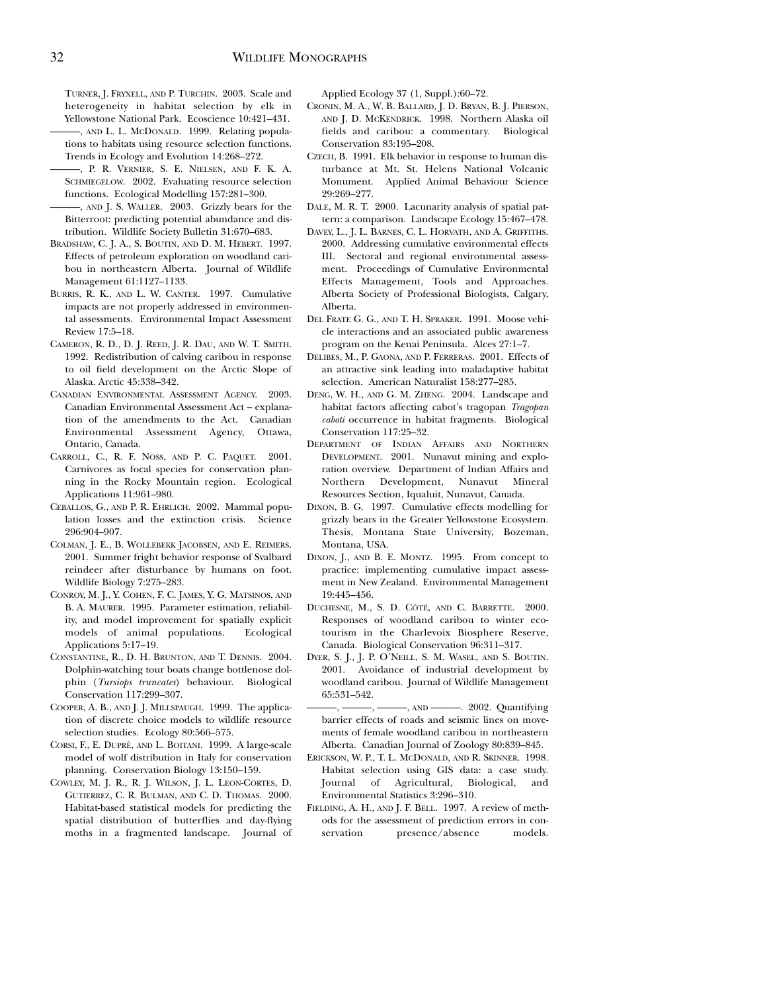TURNER, J. FRYXELL, AND P. TURCHIN. 2003. Scale and heterogeneity in habitat selection by elk in Yellowstone National Park. Ecoscience 10:421–431. ———, AND L. L. MCDONALD. 1999. Relating populations to habitats using resource selection functions. Trends in Ecology and Evolution 14:268–272.

- ———, P. R. VERNIER, S. E. NIELSEN, AND F. K. A. SCHMIEGELOW. 2002. Evaluating resource selection functions. Ecological Modelling 157:281–300.
- , AND J. S. WALLER. 2003. Grizzly bears for the Bitterroot: predicting potential abundance and distribution. Wildlife Society Bulletin 31:670–683.
- BRADSHAW, C. J. A., S. BOUTIN, AND D. M. HEBERT. 1997. Effects of petroleum exploration on woodland caribou in northeastern Alberta. Journal of Wildlife Management 61:1127–1133.
- BURRIS, R. K., AND L. W. CANTER. 1997. Cumulative impacts are not properly addressed in environmental assessments. Environmental Impact Assessment Review 17:5–18.
- CAMERON, R. D., D. J. REED, J. R. DAU, AND W. T. SMITH. 1992. Redistribution of calving caribou in response to oil field development on the Arctic Slope of Alaska. Arctic 45:338–342.
- CANADIAN ENVIRONMENTAL ASSESSMENT AGENCY. 2003. Canadian Environmental Assessment Act – explanation of the amendments to the Act. Canadian Environmental Assessment Agency, Ottawa, Ontario, Canada.
- CARROLL, C., R. F. NOSS, AND P. C. PAQUET. 2001. Carnivores as focal species for conservation planning in the Rocky Mountain region. Ecological Applications 11:961–980.
- CEBALLOS, G., AND P. R. EHRLICH. 2002. Mammal population losses and the extinction crisis. Science 296:904–907.
- COLMAN, J. E., B. WOLLEBEKK JACOBSEN, AND E. REIMERS. 2001. Summer fright behavior response of Svalbard reindeer after disturbance by humans on foot. Wildlife Biology 7:275–283.
- CONROY, M. J., Y. COHEN, F. C. JAMES, Y. G. MATSINOS, AND B. A. MAURER. 1995. Parameter estimation, reliability, and model improvement for spatially explicit models of animal populations. Ecological Applications 5:17–19.
- CONSTANTINE, R., D. H. BRUNTON, AND T. DENNIS. 2004. Dolphin-watching tour boats change bottlenose dolphin (*Tursiops truncates*) behaviour. Biological Conservation 117:299–307.
- COOPER, A. B., AND J. J. MILLSPAUGH. 1999. The application of discrete choice models to wildlife resource selection studies. Ecology 80:566–575.
- CORSI, F., E. DUPRÈ, AND L. BOITANI. 1999. A large-scale model of wolf distribution in Italy for conservation planning. Conservation Biology 13:150–159.
- COWLEY, M. J. R., R. J. WILSON, J. L. LEON-CORTES, D. GUTIERREZ, C. R. BULMAN, AND C. D. THOMAS. 2000. Habitat-based statistical models for predicting the spatial distribution of butterflies and day-flying moths in a fragmented landscape. Journal of

Applied Ecology 37 (1, Suppl.):60–72.

- CRONIN, M. A., W. B. BALLARD, J. D. BRYAN, B. J. PIERSON, AND J. D. MCKENDRICK. 1998. Northern Alaska oil fields and caribou: a commentary. Biological Conservation 83:195–208.
- CZECH, B. 1991. Elk behavior in response to human disturbance at Mt. St. Helens National Volcanic Monument. Applied Animal Behaviour Science 29:269–277.
- DALE, M. R. T. 2000. Lacunarity analysis of spatial pattern: a comparison. Landscape Ecology 15:467–478.
- DAVEY, L., J. L. BARNES, C. L. HORVATH, AND A. GRIFFITHS. 2000. Addressing cumulative environmental effects III. Sectoral and regional environmental assessment. Proceedings of Cumulative Environmental Effects Management, Tools and Approaches. Alberta Society of Professional Biologists, Calgary, Alberta.
- DEL FRATE G. G., AND T. H. SPRAKER. 1991. Moose vehicle interactions and an associated public awareness program on the Kenai Peninsula. Alces 27:1–7.
- DELIBES, M., P. GAONA, AND P. FERRERAS. 2001. Effects of an attractive sink leading into maladaptive habitat selection. American Naturalist 158:277–285.
- DENG, W. H., AND G. M. ZHENG. 2004. Landscape and habitat factors affecting cabot's tragopan *Tragopan caboti* occurrence in habitat fragments. Biological Conservation 117:25–32.
- DEPARTMENT OF INDIAN AFFAIRS AND NORTHERN DEVELOPMENT. 2001. Nunavut mining and exploration overview. Department of Indian Affairs and Northern Development, Nunavut Mineral Resources Section, Iqualuit, Nunavut, Canada.
- DIXON, B. G. 1997. Cumulative effects modelling for grizzly bears in the Greater Yellowstone Ecosystem. Thesis, Montana State University, Bozeman, Montana, USA.
- DIXON, J., AND B. E. MONTZ. 1995. From concept to practice: implementing cumulative impact assessment in New Zealand. Environmental Management 19:445–456.
- DUCHESNE, M., S. D. CÔTÉ, AND C. BARRETTE. 2000. Responses of woodland caribou to winter ecotourism in the Charlevoix Biosphere Reserve, Canada. Biological Conservation 96:311–317.
- DYER, S. J., J. P. O'NEILL, S. M. WASEL, AND S. BOUTIN. 2001. Avoidance of industrial development by woodland caribou. Journal of Wildlife Management 65:531–542.
- ———, ———, ———, AND ———. 2002. Quantifying barrier effects of roads and seismic lines on movements of female woodland caribou in northeastern Alberta. Canadian Journal of Zoology 80:839–845.
- ERICKSON, W. P., T. L. MCDONALD, AND R. SKINNER. 1998. Habitat selection using GIS data: a case study. Journal of Agricultural, Biological, and Environmental Statistics 3:296–310.
- FIELDING, A. H., AND J. F. BELL. 1997. A review of methods for the assessment of prediction errors in conservation presence/absence models.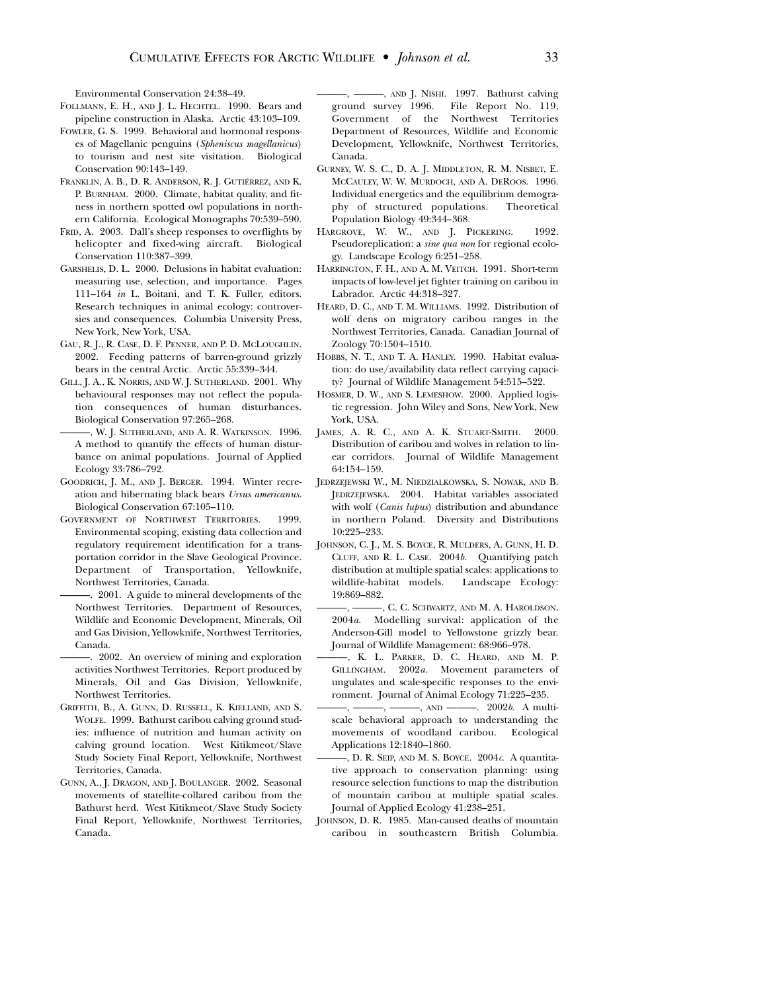Environmental Conservation 24:38–49.

- FOLLMANN, E. H., AND J. L. HECHTEL. 1990. Bears and pipeline construction in Alaska. Arctic 43:103–109.
- FOWLER, G. S. 1999. Behavioral and hormonal responses of Magellanic penguins (*Spheniscus magellanicus*) to tourism and nest site visitation. Biological Conservation 90:143–149.
- FRANKLIN, A. B., D. R. ANDERSON, R. J. GUTIÉRREZ, AND K. P. BURNHAM. 2000. Climate, habitat quality, and fitness in northern spotted owl populations in northern California. Ecological Monographs 70:539–590.
- FRID, A. 2003. Dall's sheep responses to overflights by helicopter and fixed-wing aircraft. Biological Conservation 110:387–399.
- GARSHELIS, D. L. 2000. Delusions in habitat evaluation: measuring use, selection, and importance. Pages 111–164 *in* L. Boitani, and T. K. Fuller, editors. Research techniques in animal ecology: controversies and consequences. Columbia University Press, New York, New York, USA.
- GAU, R. J., R. CASE, D. F. PENNER, AND P. D. MCLOUGHLIN. 2002. Feeding patterns of barren-ground grizzly bears in the central Arctic. Arctic 55:339–344.
- GILL, J. A., K. NORRIS, AND W. J. SUTHERLAND. 2001. Why behavioural responses may not reflect the population consequences of human disturbances. Biological Conservation 97:265–268.
- -, W. J. SUTHERLAND, AND A. R. WATKINSON. 1996. A method to quantify the effects of human disturbance on animal populations. Journal of Applied Ecology 33:786–792.
- GOODRICH, J. M., AND J. BERGER. 1994. Winter recreation and hibernating black bears *Ursus americanus*. Biological Conservation 67:105–110.
- GOVERNMENT OF NORTHWEST TERRITORIES. 1999. Environmental scoping, existing data collection and regulatory requirement identification for a transportation corridor in the Slave Geological Province. Department of Transportation, Yellowknife, Northwest Territories, Canada.
	- ———. 2001. A guide to mineral developments of the Northwest Territories. Department of Resources, Wildlife and Economic Development, Minerals, Oil and Gas Division, Yellowknife, Northwest Territories, Canada.
	- ———. 2002. An overview of mining and exploration activities Northwest Territories. Report produced by Minerals, Oil and Gas Division, Yellowknife, Northwest Territories.
- GRIFFITH, B., A. GUNN, D. RUSSELL, K. KIELLAND, AND S. WOLFE. 1999. Bathurst caribou calving ground studies: influence of nutrition and human activity on calving ground location. West Kitikmeot/Slave Study Society Final Report, Yellowknife, Northwest Territories, Canada.
- GUNN, A., J. DRAGON, AND J. BOULANGER. 2002. Seasonal movements of statellite-collared caribou from the Bathurst herd. West Kitikmeot/Slave Study Society Final Report, Yellowknife, Northwest Territories, Canada.
- $-$ ,  $-$ ,  $\sim$ ,  $\sim$ ,  $\sim$ ,  $\sim$ ,  $\sim$ ,  $\sim$ ,  $\sim$ ,  $\sim$ ,  $\sim$ ,  $\sim$ ,  $\sim$ ,  $\sim$ ,  $\sim$ ,  $\sim$ ,  $\sim$ ,  $\sim$ ,  $\sim$ ,  $\sim$ ,  $\sim$ ,  $\sim$ ,  $\sim$ ,  $\sim$ ,  $\sim$ ,  $\sim$ ,  $\sim$ ,  $\sim$ ,  $\sim$ ,  $\sim$ ,  $\sim$ ,  $\sim$ ,  $\sim$ ,  $\sim$ ,  $\sim$ ,  $\sim$ ,  $\sim$ , ground survey 1996. File Report No. 119, Government of the Northwest Territories Department of Resources, Wildlife and Economic Development, Yellowknife, Northwest Territories, Canada.
- GURNEY, W. S. C., D. A. J. MIDDLETON, R. M. NISBET, E. MCCAULEY, W. W. MURDOCH, AND A. DEROOS. 1996. Individual energetics and the equilibrium demography of structured populations. Theoretical Population Biology 49:344–368.
- HARGROVE, W. W., AND J. PICKERING. 1992. Pseudoreplication: a *sine qua non* for regional ecology. Landscape Ecology 6:251–258.
- HARRINGTON, F. H., AND A. M. VEITCH. 1991. Short-term impacts of low-level jet fighter training on caribou in Labrador. Arctic 44:318–327.
- HEARD, D. C., AND T. M. WILLIAMS. 1992. Distribution of wolf dens on migratory caribou ranges in the Northwest Territories, Canada. Canadian Journal of Zoology 70:1504–1510.
- HOBBS, N. T., AND T. A. HANLEY. 1990. Habitat evaluation: do use/availability data reflect carrying capacity? Journal of Wildlife Management 54:515–522.
- HOSMER, D. W., AND S. LEMESHOW. 2000. Applied logistic regression. John Wiley and Sons, New York, New York, USA.
- JAMES, A. R. C., AND A. K. STUART-SMITH. 2000. Distribution of caribou and wolves in relation to linear corridors. Journal of Wildlife Management 64:154–159.
- JEDRZEJEWSKI W., M. NIEDZIALKOWSKA, S. NOWAK, AND B. JEDRZEJEWSKA. 2004. Habitat variables associated with wolf (*Canis lupus*) distribution and abundance in northern Poland. Diversity and Distributions 10:225–233.
- JOHNSON, C. J., M. S. BOYCE, R. MULDERS, A. GUNN, H. D. CLUFF, AND R. L. CASE. 2004*b*. Quantifying patch distribution at multiple spatial scales: applications to wildlife-habitat models. Landscape Ecology: 19:869–882.
	- -, C. C. SCHWARTZ, AND M. A. HAROLDSON. 2004*a*. Modelling survival: application of the Anderson-Gill model to Yellowstone grizzly bear. Journal of Wildlife Management: 68:966–978.
	- -, K. L. PARKER, D. C. HEARD, AND M. P. GILLINGHAM. 2002*a*. Movement parameters of ungulates and scale-specific responses to the environment. Journal of Animal Ecology 71:225–235.
	- ———, ———, ———, AND ———. 2002*b*. A multiscale behavioral approach to understanding the movements of woodland caribou. Ecological Applications 12:1840–1860.
	- ———, D. R. SEIP, AND M. S. BOYCE. 2004*c*. A quantitative approach to conservation planning: using resource selection functions to map the distribution of mountain caribou at multiple spatial scales. Journal of Applied Ecology 41:238–251.
- JOHNSON, D. R. 1985. Man-caused deaths of mountain caribou in southeastern British Columbia.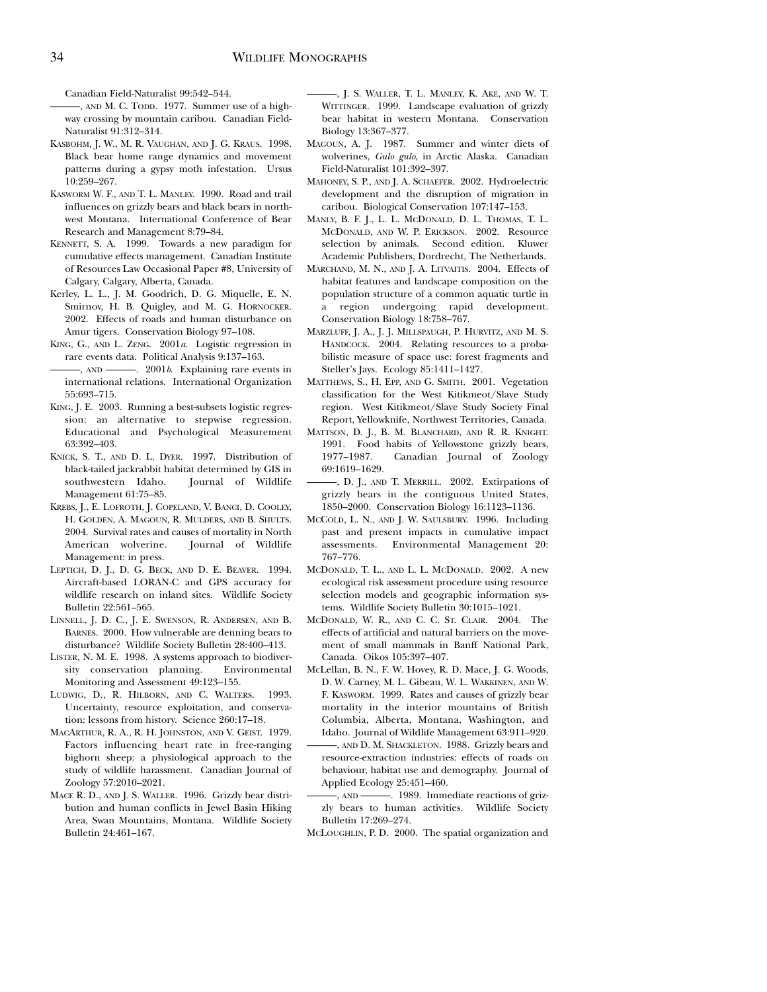Canadian Field-Naturalist 99:542–544.

- -, AND M. C. TODD. 1977. Summer use of a highway crossing by mountain caribou. Canadian Field-Naturalist 91:312–314.
- KASBOHM, J. W., M. R. VAUGHAN, AND J. G. KRAUS. 1998. Black bear home range dynamics and movement patterns during a gypsy moth infestation. Ursus 10:259–267.
- KASWORM W. F., AND T. L. MANLEY. 1990. Road and trail influences on grizzly bears and black bears in northwest Montana. International Conference of Bear Research and Management 8:79–84.
- KENNETT, S. A. 1999. Towards a new paradigm for cumulative effects management. Canadian Institute of Resources Law Occasional Paper #8, University of Calgary, Calgary, Alberta, Canada.
- Kerley, L. L., J. M. Goodrich, D. G. Miquelle, E. N. Smirnov, H. B. Quigley, and M. G. HORNOCKER. 2002. Effects of roads and human disturbance on Amur tigers. Conservation Biology 97–108.
- KING, G., AND L. ZENG. 2001*a*. Logistic regression in rare events data. Political Analysis 9:137–163.
- ———, AND ———. 2001*b*. Explaining rare events in international relations. International Organization 55:693–715.
- KING, J. E. 2003. Running a best-subsets logistic regression: an alternative to stepwise regression. Educational and Psychological Measurement 63:392–403.
- KNICK, S. T., AND D. L. DYER. 1997. Distribution of black-tailed jackrabbit habitat determined by GIS in southwestern Idaho. Journal of Wildlife Management 61:75–85.
- KREBS, J., E. LOFROTH, J. COPELAND, V. BANCI, D. COOLEY, H. GOLDEN, A. MAGOUN, R. MULDERS, AND B. SHULTS. 2004. Survival rates and causes of mortality in North American wolverine. Journal of Wildlife Management: in press.
- LEPTICH, D. J., D. G. BECK, AND D. E. BEAVER. 1994. Aircraft-based LORAN-C and GPS accuracy for wildlife research on inland sites. Wildlife Society Bulletin 22:561–565.
- LINNELL, J. D. C., J. E. SWENSON, R. ANDERSEN, AND B. BARNES. 2000. How vulnerable are denning bears to disturbance? Wildlife Society Bulletin 28:400–413.
- LISTER, N. M. E. 1998. A systems approach to biodiversity conservation planning. Environmental Monitoring and Assessment 49:123–155.
- LUDWIG, D., R. HILBORN, AND C. WALTERS. 1993. Uncertainty, resource exploitation, and conservation: lessons from history. Science 260:17–18.
- MACARTHUR, R. A., R. H. JOHNSTON, AND V. GEIST. 1979. Factors influencing heart rate in free-ranging bighorn sheep: a physiological approach to the study of wildlife harassment. Canadian Journal of Zoology 57:2010–2021.
- MACE R. D., AND J. S. WALLER. 1996. Grizzly bear distribution and human conflicts in Jewel Basin Hiking Area, Swan Mountains, Montana. Wildlife Society Bulletin 24:461–167.
- ———, J. S. WALLER, T. L. MANLEY, K. AKE, AND W. T. WITTINGER. 1999. Landscape evaluation of grizzly bear habitat in western Montana. Conservation Biology 13:367–377.
- MAGOUN, A. J. 1987. Summer and winter diets of wolverines, *Gulo gulo*, in Arctic Alaska. Canadian Field-Naturalist 101:392–397.
- MAHONEY, S. P., AND J. A. SCHAEFER. 2002. Hydroelectric development and the disruption of migration in caribou. Biological Conservation 107:147–153.
- MANLY, B. F. J., L. L. MCDONALD, D. L. THOMAS, T. L. MCDONALD, AND W. P. ERICKSON. 2002. Resource selection by animals. Second edition. Kluwer Academic Publishers, Dordrecht, The Netherlands.
- MARCHAND, M. N., AND J. A. LITVAITIS. 2004. Effects of habitat features and landscape composition on the population structure of a common aquatic turtle in a region undergoing rapid development. Conservation Biology 18:758–767.
- MARZLUFF, J. A., J. J. MILLSPAUGH, P. HURVITZ, AND M. S. HANDCOCK. 2004. Relating resources to a probabilistic measure of space use: forest fragments and Steller's Jays. Ecology 85:1411–1427.
- MATTHEWS, S., H. EPP, AND G. SMITH. 2001. Vegetation classification for the West Kitikmeot/Slave Study region. West Kitikmeot/Slave Study Society Final Report, Yellowknife, Northwest Territories, Canada.
- MATTSON, D. J., B. M. BLANCHARD, AND R. R. KNIGHT. 1991. Food habits of Yellowstone grizzly bears, 1977–1987. Canadian Journal of Zoology 69:1619–1629.
- ———, D. J., AND T. MERRILL. 2002. Extirpations of grizzly bears in the contiguous United States, 1850–2000. Conservation Biology 16:1123–1136.
- MCCOLD, L. N., AND J. W. SAULSBURY. 1996. Including past and present impacts in cumulative impact assessments. Environmental Management 20: 767–776.
- MCDONALD, T. L., AND L. L. MCDONALD. 2002. A new ecological risk assessment procedure using resource selection models and geographic information systems. Wildlife Society Bulletin 30:1015–1021.
- MCDONALD, W. R., AND C. C. ST. CLAIR. 2004. The effects of artificial and natural barriers on the movement of small mammals in Banff National Park, Canada. Oikos 105:397–407.
- McLellan, B. N., F. W. Hovey, R. D. Mace, J. G. Woods, D. W. Carney, M. L. Gibeau, W. L. WAKKINEN, AND W. F. KASWORM. 1999. Rates and causes of grizzly bear mortality in the interior mountains of British Columbia, Alberta, Montana, Washington, and Idaho. Journal of Wildlife Management 63:911–920.
- , AND D. M. SHACKLETON. 1988. Grizzly bears and resource-extraction industries: effects of roads on behaviour, habitat use and demography. Journal of Applied Ecology 25:451–460.
- ———, AND ———. 1989. Immediate reactions of grizzly bears to human activities. Wildlife Society Bulletin 17:269–274.
- MCLOUGHLIN, P. D. 2000. The spatial organization and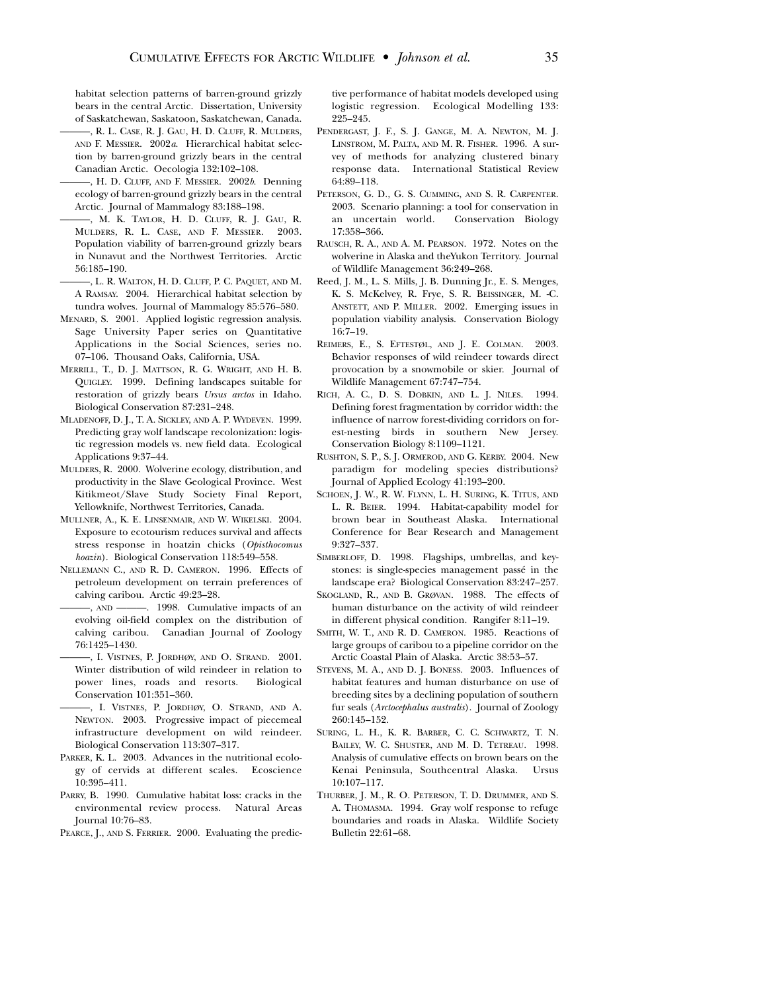habitat selection patterns of barren-ground grizzly bears in the central Arctic. Dissertation, University of Saskatchewan, Saskatoon, Saskatchewan, Canada. ———, R. L. CASE, R. J. GAU, H. D. CLUFF, R. MULDERS, AND F. MESSIER. 2002*a*. Hierarchical habitat selec-

- tion by barren-ground grizzly bears in the central Canadian Arctic. Oecologia 132:102–108. ———, H. D. CLUFF, AND F. MESSIER. 2002*b*. Denning
- ecology of barren-ground grizzly bears in the central Arctic. Journal of Mammalogy 83:188–198.
- ———, M. K. TAYLOR, H. D. CLUFF, R. J. GAU, R. MULDERS, R. L. CASE, AND F. MESSIER. 2003. Population viability of barren-ground grizzly bears in Nunavut and the Northwest Territories. Arctic 56:185–190.
- ———, L. R. WALTON, H. D. CLUFF, P. C. PAQUET, AND M. A RAMSAY. 2004. Hierarchical habitat selection by tundra wolves. Journal of Mammalogy 85:576–580.
- MENARD, S. 2001. Applied logistic regression analysis. Sage University Paper series on Quantitative Applications in the Social Sciences, series no. 07–106. Thousand Oaks, California, USA.
- MERRILL, T., D. J. MATTSON, R. G. WRIGHT, AND H. B. QUIGLEY. 1999. Defining landscapes suitable for restoration of grizzly bears *Ursus arctos* in Idaho. Biological Conservation 87:231–248.
- MLADENOFF, D. J., T. A. SICKLEY, AND A. P. WYDEVEN. 1999. Predicting gray wolf landscape recolonization: logistic regression models vs. new field data. Ecological Applications 9:37–44.
- MULDERS, R. 2000. Wolverine ecology, distribution, and productivity in the Slave Geological Province. West Kitikmeot/Slave Study Society Final Report, Yellowknife, Northwest Territories, Canada.
- MULLNER, A., K. E. LINSENMAIR, AND W. WIKELSKI. 2004. Exposure to ecotourism reduces survival and affects stress response in hoatzin chicks (*Opisthocomus hoazin*). Biological Conservation 118:549–558.
- NELLEMANN C., AND R. D. CAMERON. 1996. Effects of petroleum development on terrain preferences of calving caribou. Arctic 49:23–28.
- ———, AND ———. 1998. Cumulative impacts of an evolving oil-field complex on the distribution of calving caribou. Canadian Journal of Zoology 76:1425–1430.
- ———, I. VISTNES, P. JORDHØY, AND O. STRAND. 2001. Winter distribution of wild reindeer in relation to power lines, roads and resorts. Biological Conservation 101:351–360.
- ———, I. VISTNES, P. JORDHØY, O. STRAND, AND A. NEWTON. 2003. Progressive impact of piecemeal infrastructure development on wild reindeer. Biological Conservation 113:307–317.
- PARKER, K. L. 2003. Advances in the nutritional ecology of cervids at different scales. Ecoscience 10:395–411.
- PARRY, B. 1990. Cumulative habitat loss: cracks in the environmental review process. Natural Areas Journal 10:76–83.
- PEARCE, J., AND S. FERRIER. 2000. Evaluating the predic-

tive performance of habitat models developed using logistic regression. Ecological Modelling 133: 225–245.

- PENDERGAST, J. F., S. J. GANGE, M. A. NEWTON, M. J. LINSTROM, M. PALTA, AND M. R. FISHER. 1996. A survey of methods for analyzing clustered binary response data. International Statistical Review 64:89–118.
- PETERSON, G. D., G. S. CUMMING, AND S. R. CARPENTER. 2003. Scenario planning: a tool for conservation in an uncertain world. Conservation Biology 17:358–366.
- RAUSCH, R. A., AND A. M. PEARSON. 1972. Notes on the wolverine in Alaska and theYukon Territory. Journal of Wildlife Management 36:249–268.
- Reed, J. M., L. S. Mills, J. B. Dunning Jr., E. S. Menges, K. S. McKelvey, R. Frye, S. R. BEISSINGER, M. -C. ANSTETT, AND P. MILLER. 2002. Emerging issues in population viability analysis. Conservation Biology 16:7–19.
- REIMERS, E., S. EFTESTØL, AND J. E. COLMAN. 2003. Behavior responses of wild reindeer towards direct provocation by a snowmobile or skier. Journal of Wildlife Management 67:747–754.
- RICH, A. C., D. S. DOBKIN, AND L. J. NILES. 1994. Defining forest fragmentation by corridor width: the influence of narrow forest-dividing corridors on forest-nesting birds in southern New Jersey. Conservation Biology 8:1109–1121.
- RUSHTON, S. P., S. J. ORMEROD, AND G. KERBY. 2004. New paradigm for modeling species distributions? Journal of Applied Ecology 41:193–200.
- SCHOEN, J. W., R. W. FLYNN, L. H. SURING, K. TITUS, AND L. R. BEIER. 1994. Habitat-capability model for brown bear in Southeast Alaska. International Conference for Bear Research and Management 9:327–337.
- SIMBERLOFF, D. 1998. Flagships, umbrellas, and keystones: is single-species management passé in the landscape era? Biological Conservation 83:247–257.
- SKOGLAND, R., AND B. GRØVAN. 1988. The effects of human disturbance on the activity of wild reindeer in different physical condition. Rangifer 8:11–19.
- SMITH, W. T., AND R. D. CAMERON. 1985. Reactions of large groups of caribou to a pipeline corridor on the Arctic Coastal Plain of Alaska. Arctic 38:53–57.
- STEVENS, M. A., AND D. J. BONESS. 2003. Influences of habitat features and human disturbance on use of breeding sites by a declining population of southern fur seals (*Arctocephalus australis*). Journal of Zoology 260:145–152.
- SURING, L. H., K. R. BARBER, C. C. SCHWARTZ, T. N. BAILEY, W. C. SHUSTER, AND M. D. TETREAU. 1998. Analysis of cumulative effects on brown bears on the Kenai Peninsula, Southcentral Alaska. Ursus 10:107–117.
- THURBER, J. M., R. O. PETERSON, T. D. DRUMMER, AND S. A. THOMASMA. 1994. Gray wolf response to refuge boundaries and roads in Alaska. Wildlife Society Bulletin 22:61–68.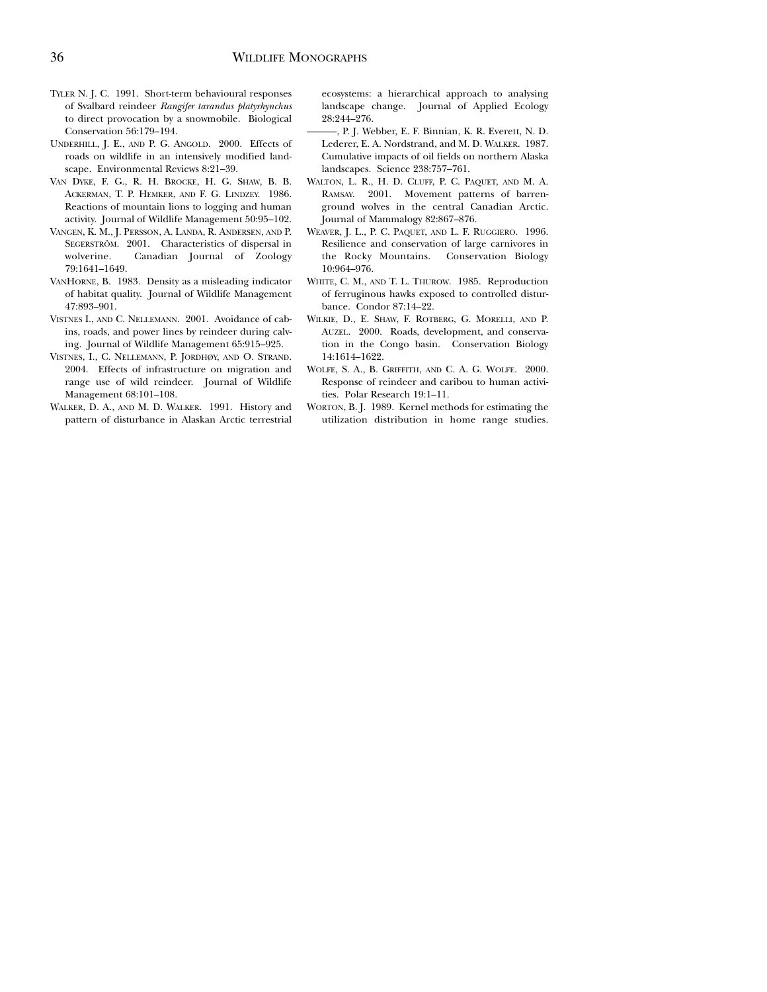- TYLER N. J. C. 1991. Short-term behavioural responses of Svalbard reindeer *Rangifer tarandus platyrhynchus* to direct provocation by a snowmobile. Biological Conservation 56:179–194.
- UNDERHILL, J. E., AND P. G. ANGOLD. 2000. Effects of roads on wildlife in an intensively modified landscape. Environmental Reviews 8:21–39.
- VAN DYKE, F. G., R. H. BROCKE, H. G. SHAW, B. B. ACKERMAN, T. P. HEMKER, AND F. G. LINDZEY. 1986. Reactions of mountain lions to logging and human activity. Journal of Wildlife Management 50:95–102.
- VANGEN, K. M., J. PERSSON, A. LANDA, R. ANDERSEN, AND P. SEGERSTRÖM. 2001. Characteristics of dispersal in wolverine. Canadian Journal of Zoology 79:1641–1649.
- VANHORNE, B. 1983. Density as a misleading indicator of habitat quality. Journal of Wildlife Management 47:893–901.
- VISTNES I., AND C. NELLEMANN. 2001. Avoidance of cabins, roads, and power lines by reindeer during calving. Journal of Wildlife Management 65:915–925.
- VISTNES, I., C. NELLEMANN, P. JORDHØY, AND O. STRAND. 2004. Effects of infrastructure on migration and range use of wild reindeer. Journal of Wildlife Management 68:101–108.
- WALKER, D. A., AND M. D. WALKER. 1991. History and pattern of disturbance in Alaskan Arctic terrestrial

ecosystems: a hierarchical approach to analysing landscape change. Journal of Applied Ecology 28:244–276.

- ———, P. J. Webber, E. F. Binnian, K. R. Everett, N. D. Lederer, E. A. Nordstrand, and M. D. WALKER. 1987. Cumulative impacts of oil fields on northern Alaska landscapes. Science 238:757–761.
- WALTON, L. R., H. D. CLUFF, P. C. PAQUET, AND M. A. RAMSAY. 2001. Movement patterns of barrenground wolves in the central Canadian Arctic. Journal of Mammalogy 82:867–876.
- WEAVER, J. L., P. C. PAQUET, AND L. F. RUGGIERO. 1996. Resilience and conservation of large carnivores in the Rocky Mountains. Conservation Biology 10:964–976.
- WHITE, C. M., AND T. L. THUROW. 1985. Reproduction of ferruginous hawks exposed to controlled disturbance. Condor 87:14–22.
- WILKIE, D., E. SHAW, F. ROTBERG, G. MORELLI, AND P. AUZEL. 2000. Roads, development, and conservation in the Congo basin. Conservation Biology 14:1614–1622.
- WOLFE, S. A., B. GRIFFITH, AND C. A. G. WOLFE. 2000. Response of reindeer and caribou to human activities. Polar Research 19:1–11.
- WORTON, B. J. 1989. Kernel methods for estimating the utilization distribution in home range studies.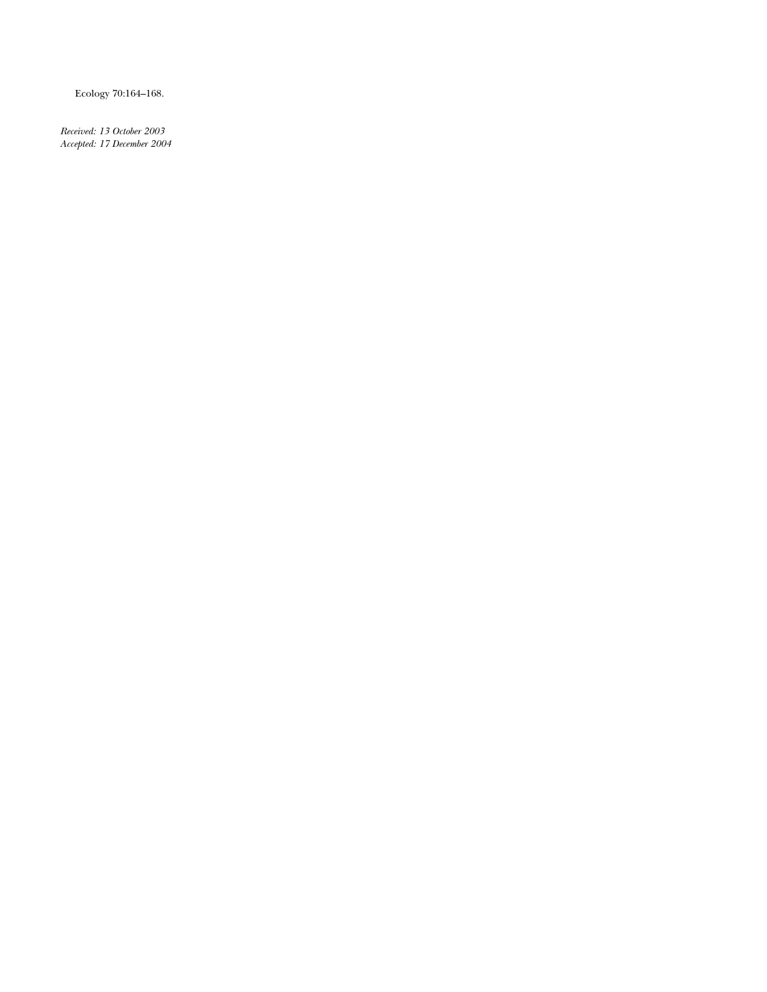Ecology 70:164–168.

*Received: 13 October 2003 Accepted: 17 December 2004*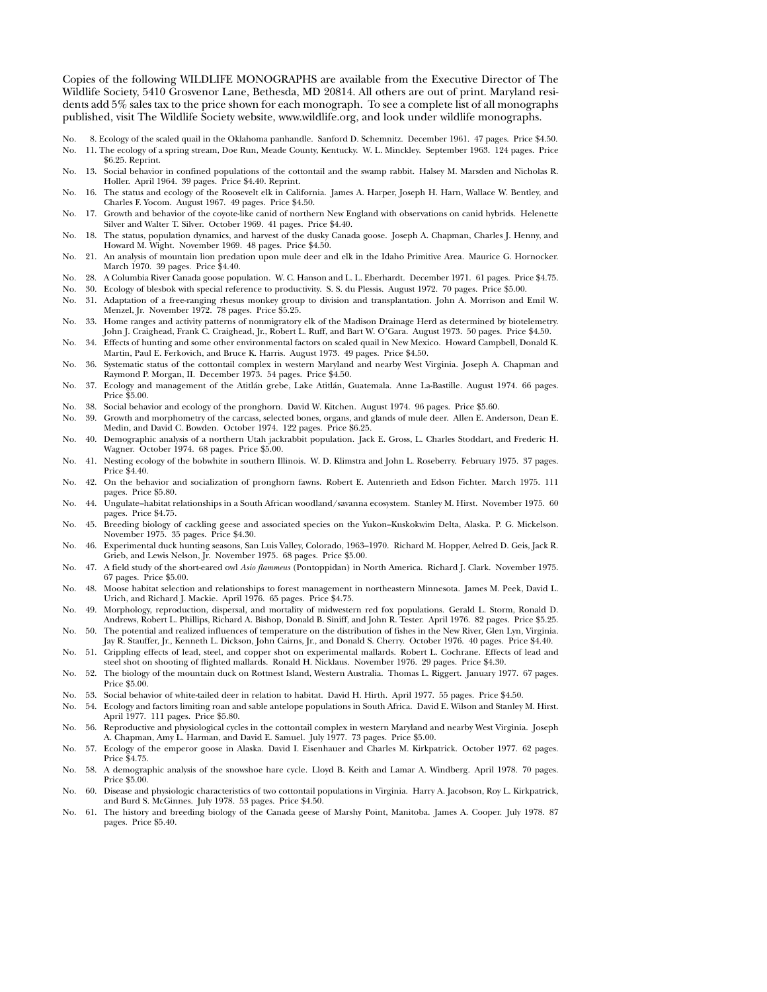Copies of the following WILDLIFE MONOGRAPHS are available from the Executive Director of The Wildlife Society, 5410 Grosvenor Lane, Bethesda, MD 20814. All others are out of print. Maryland residents add 5% sales tax to the price shown for each monograph. To see a complete list of all monographs published, visit The Wildlife Society website, www.wildlife.org, and look under wildlife monographs.

- No. 8. Ecology of the scaled quail in the Oklahoma panhandle. Sanford D. Schemnitz. December 1961. 47 pages. Price \$4.50.
- No. 11. The ecology of a spring stream, Doe Run, Meade County, Kentucky. W. L. Minckley. September 1963. 124 pages. Price \$6.25. Reprint.
- No. 13. Social behavior in confined populations of the cottontail and the swamp rabbit. Halsey M. Marsden and Nicholas R. Holler. April 1964. 39 pages. Price \$4.40. Reprint.
- No. 16. The status and ecology of the Roosevelt elk in California. James A. Harper, Joseph H. Harn, Wallace W. Bentley, and Charles F. Yocom. August 1967. 49 pages. Price \$4.50.
- No. 17. Growth and behavior of the coyote-like canid of northern New England with observations on canid hybrids. Helenette Silver and Walter T. Silver. October 1969. 41 pages. Price \$4.40.
- No. 18. The status, population dynamics, and harvest of the dusky Canada goose. Joseph A. Chapman, Charles J. Henny, and Howard M. Wight. November 1969. 48 pages. Price \$4.50.
- No. 21. An analysis of mountain lion predation upon mule deer and elk in the Idaho Primitive Area. Maurice G. Hornocker. March 1970. 39 pages. Price \$4.40.
- No. 28. A Columbia River Canada goose population. W. C. Hanson and L. L. Eberhardt. December 1971. 61 pages. Price \$4.75.
- No. 30. Ecology of blesbok with special reference to productivity. S. S. du Plessis. August 1972. 70 pages. Price \$5.00.
- No. 31. Adaptation of a free-ranging rhesus monkey group to division and transplantation. John A. Morrison and Emil W. Menzel, Jr. November 1972. 78 pages. Price \$5.25.
- No. 33. Home ranges and activity patterns of nonmigratory elk of the Madison Drainage Herd as determined by biotelemetry. John J. Craighead, Frank C. Craighead, Jr., Robert L. Ruff, and Bart W. O'Gara. August 1973. 50 pages. Price \$4.50. No. 34. Effects of hunting and some other environmental factors on scaled quail in New Mexico. Howard Campbell, Donald K.
- Martin, Paul E. Ferkovich, and Bruce K. Harris. August 1973. 49 pages. Price \$4.50.
- No. 36. Systematic status of the cottontail complex in western Maryland and nearby West Virginia. Joseph A. Chapman and Raymond P. Morgan, II. December 1973. 54 pages. Price \$4.50.
- No. 37. Ecology and management of the Atitlán grebe, Lake Atitlán, Guatemala. Anne La-Bastille. August 1974. 66 pages. Price \$5.00.
- No. 38. Social behavior and ecology of the pronghorn. David W. Kitchen. August 1974. 96 pages. Price \$5.60.
- No. 39. Growth and morphometry of the carcass, selected bones, organs, and glands of mule deer. Allen E. Anderson, Dean E. Medin, and David C. Bowden. October 1974. 122 pages. Price \$6.25.
- No. 40. Demographic analysis of a northern Utah jackrabbit population. Jack E. Gross, L. Charles Stoddart, and Frederic H. Wagner. October 1974. 68 pages. Price \$5.00.
- No. 41. Nesting ecology of the bobwhite in southern Illinois. W. D. Klimstra and John L. Roseberry. February 1975. 37 pages. Price \$4.40.
- No. 42. On the behavior and socialization of pronghorn fawns. Robert E. Autenrieth and Edson Fichter. March 1975. 111 pages. Price \$5.80.
- No. 44. Ungulate–habitat relationships in a South African woodland/savanna ecosystem. Stanley M. Hirst. November 1975. 60 pages. Price \$4.75.
- No. 45. Breeding biology of cackling geese and associated species on the Yukon–Kuskokwim Delta, Alaska. P. G. Mickelson. November 1975. 35 pages. Price \$4.30.
- No. 46. Experimental duck hunting seasons, San Luis Valley, Colorado, 1963–1970. Richard M. Hopper, Aelred D. Geis, Jack R. Grieb, and Lewis Nelson, Jr. November 1975. 68 pages. Price \$5.00.
- No. 47. A field study of the short-eared owl *Asio flammeus* (Pontoppidan) in North America. Richard J. Clark. November 1975. 67 pages. Price \$5.00.
- No. 48. Moose habitat selection and relationships to forest management in northeastern Minnesota. James M. Peek, David L. Urich, and Richard J. Mackie. April 1976. 65 pages. Price \$4.75.
- No. 49. Morphology, reproduction, dispersal, and mortality of midwestern red fox populations. Gerald L. Storm, Ronald D. Andrews, Robert L. Phillips, Richard A. Bishop, Donald B. Siniff, and John R. Tester. April 1976. 82 pages. Price \$5.25.
- No. 50. The potential and realized influences of temperature on the distribution of fishes in the New River, Glen Lyn, Virginia. Jay R. Stauffer, Jr., Kenneth L. Dickson, John Cairns, Jr., and Donald S. Cherry. October 1976. 40 pages. Price \$4.40.
- No. 51. Crippling effects of lead, steel, and copper shot on experimental mallards. Robert L. Cochrane. Effects of lead and steel shot on shooting of flighted mallards. Ronald H. Nicklaus. November 1976. 29 pages. Price \$4.30.
- No. 52. The biology of the mountain duck on Rottnest Island, Western Australia. Thomas L. Riggert. January 1977. 67 pages. Price \$5.00.
- No. 53. Social behavior of white-tailed deer in relation to habitat. David H. Hirth. April 1977. 55 pages. Price \$4.50.
- No. 54. Ecology and factors limiting roan and sable antelope populations in South Africa. David E. Wilson and Stanley M. Hirst. April 1977. 111 pages. Price \$5.80.
- No. 56. Reproductive and physiological cycles in the cottontail complex in western Maryland and nearby West Virginia. Joseph A. Chapman, Amy L. Harman, and David E. Samuel. July 1977. 73 pages. Price \$5.00.
- No. 57. Ecology of the emperor goose in Alaska. David I. Eisenhauer and Charles M. Kirkpatrick. October 1977. 62 pages. Price \$4.75.
- No. 58. A demographic analysis of the snowshoe hare cycle. Lloyd B. Keith and Lamar A. Windberg. April 1978. 70 pages. Price \$5.00.
- No. 60. Disease and physiologic characteristics of two cottontail populations in Virginia. Harry A. Jacobson, Roy L. Kirkpatrick, and Burd S. McGinnes. July 1978. 53 pages. Price \$4.50.
- No. 61. The history and breeding biology of the Canada geese of Marshy Point, Manitoba. James A. Cooper. July 1978. 87 pages. Price \$5.40.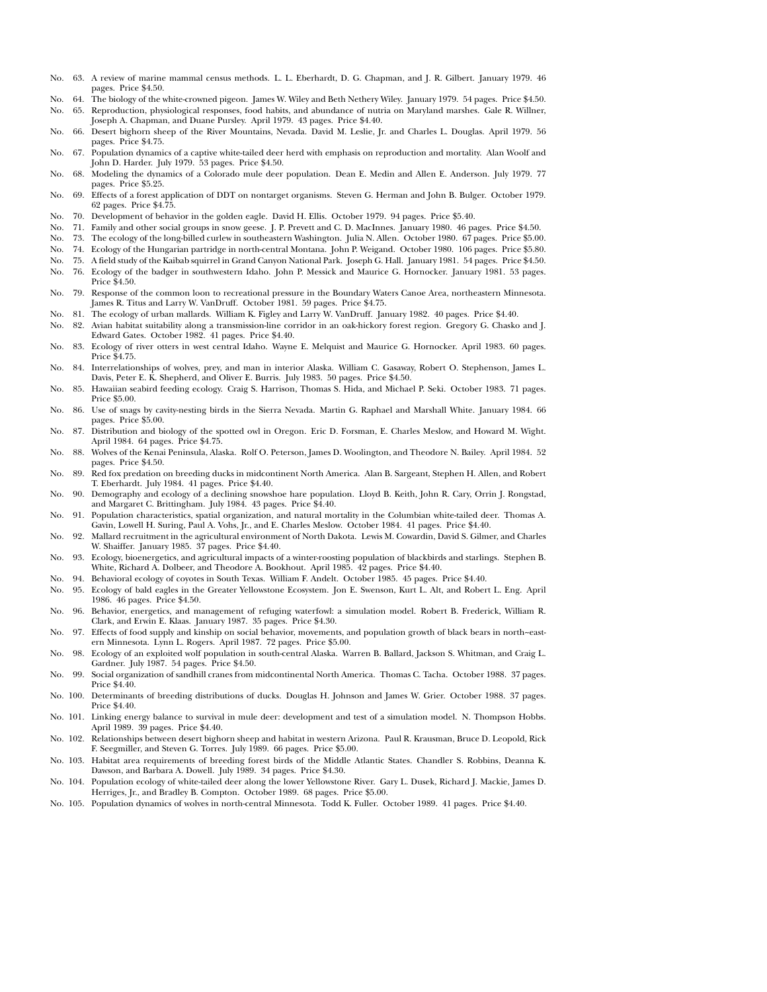- No. 63. A review of marine mammal census methods. L. L. Eberhardt, D. G. Chapman, and J. R. Gilbert. January 1979. 46 pages. Price \$4.50.
- No. 64. The biology of the white-crowned pigeon. James W. Wiley and Beth Nethery Wiley. January 1979. 54 pages. Price \$4.50. No. 65. Reproduction, physiological responses, food habits, and abundance of nutria on Maryland marshes. Gale R. Willner,
- Joseph A. Chapman, and Duane Pursley. April 1979. 43 pages. Price \$4.40. No. 66. Desert bighorn sheep of the River Mountains, Nevada. David M. Leslie, Jr. and Charles L. Douglas. April 1979. 56 pages. Price \$4.75.
- No. 67. Population dynamics of a captive white-tailed deer herd with emphasis on reproduction and mortality. Alan Woolf and John D. Harder. July 1979. 53 pages. Price \$4.50.
- No. 68. Modeling the dynamics of a Colorado mule deer population. Dean E. Medin and Allen E. Anderson. July 1979. 77 pages. Price \$5.25.
- No. 69. Effects of a forest application of DDT on nontarget organisms. Steven G. Herman and John B. Bulger. October 1979. 62 pages. Price \$4.75.
- No. 70. Development of behavior in the golden eagle. David H. Ellis. October 1979. 94 pages. Price \$5.40.
- No. 71. Family and other social groups in snow geese. J. P. Prevett and C. D. MacInnes. January 1980. 46 pages. Price \$4.50.
- No. 73. The ecology of the long-billed curlew in southeastern Washington. Julia N. Allen. October 1980. 67 pages. Price \$5.00.
- No. 74. Ecology of the Hungarian partridge in north-central Montana. John P. Weigand. October 1980. 106 pages. Price \$5.80.
- No. 75. A field study of the Kaibab squirrel in Grand Canyon National Park. Joseph G. Hall. January 1981. 54 pages. Price \$4.50.
- No. 76. Ecology of the badger in southwestern Idaho. John P. Messick and Maurice G. Hornocker. January 1981. 53 pages. Price \$4.50.
- No. 79. Response of the common loon to recreational pressure in the Boundary Waters Canoe Area, northeastern Minnesota. James R. Titus and Larry W. VanDruff. October 1981. 59 pages. Price \$4.75.
- No. 81. The ecology of urban mallards. William K. Figley and Larry W. VanDruff. January 1982. 40 pages. Price \$4.40.
- No. 82. Avian habitat suitability along a transmission-line corridor in an oak-hickory forest region. Gregory G. Chasko and J. Edward Gates. October 1982. 41 pages. Price \$4.40.
- No. 83. Ecology of river otters in west central Idaho. Wayne E. Melquist and Maurice G. Hornocker. April 1983. 60 pages. Price \$4.75.
- No. 84. Interrelationships of wolves, prey, and man in interior Alaska. William C. Gasaway, Robert O. Stephenson, James L. Davis, Peter E. K. Shepherd, and Oliver E. Burris. July 1983. 50 pages. Price \$4.50.
- No. 85. Hawaiian seabird feeding ecology. Craig S. Harrison, Thomas S. Hida, and Michael P. Seki. October 1983. 71 pages. Price \$5.00.
- No. 86. Use of snags by cavity-nesting birds in the Sierra Nevada. Martin G. Raphael and Marshall White. January 1984. 66 pages. Price \$5.00.
- No. 87. Distribution and biology of the spotted owl in Oregon. Eric D. Forsman, E. Charles Meslow, and Howard M. Wight. April 1984. 64 pages. Price \$4.75.
- No. 88. Wolves of the Kenai Peninsula, Alaska. Rolf O. Peterson, James D. Woolington, and Theodore N. Bailey. April 1984. 52 pages. Price \$4.50.
- No. 89. Red fox predation on breeding ducks in midcontinent North America. Alan B. Sargeant, Stephen H. Allen, and Robert T. Eberhardt. July 1984. 41 pages. Price \$4.40.
- No. 90. Demography and ecology of a declining snowshoe hare population. Lloyd B. Keith, John R. Cary, Orrin J. Rongstad, and Margaret C. Brittingham. July 1984. 43 pages. Price \$4.40.
- No. 91. Population characteristics, spatial organization, and natural mortality in the Columbian white-tailed deer. Thomas A. Gavin, Lowell H. Suring, Paul A. Vohs, Jr., and E. Charles Meslow. October 1984. 41 pages. Price \$4.40.
- No. 92. Mallard recruitment in the agricultural environment of North Dakota. Lewis M. Cowardin, David S. Gilmer, and Charles W. Shaiffer. January 1985. 37 pages. Price \$4.40.
- No. 93. Ecology, bioenergetics, and agricultural impacts of a winter-roosting population of blackbirds and starlings. Stephen B. White, Richard A. Dolbeer, and Theodore A. Bookhout. April 1985. 42 pages. Price \$4.40.
- No. 94. Behavioral ecology of coyotes in South Texas. William F. Andelt. October 1985. 45 pages. Price \$4.40.
- No. 95. Ecology of bald eagles in the Greater Yellowstone Ecosystem. Jon E. Swenson, Kurt L. Alt, and Robert L. Eng. April 1986. 46 pages. Price \$4.50.
- No. 96. Behavior, energetics, and management of refuging waterfowl: a simulation model. Robert B. Frederick, William R. Clark, and Erwin E. Klaas. January 1987. 35 pages. Price \$4.30.
- No. 97. Effects of food supply and kinship on social behavior, movements, and population growth of black bears in north~eastern Minnesota. Lynn L. Rogers. April 1987. 72 pages. Price \$5.00.
- No. 98. Ecology of an exploited wolf population in south-central Alaska. Warren B. Ballard, Jackson S. Whitman, and Craig L. Gardner. July 1987. 54 pages. Price \$4.50.
- No. 99. Social organization of sandhill cranes from midcontinental North America. Thomas C. Tacha. October 1988. 37 pages. Price \$4.40.
- No. 100. Determinants of breeding distributions of ducks. Douglas H. Johnson and James W. Grier. October 1988. 37 pages. Price \$4.40.
- No. 101. Linking energy balance to survival in mule deer: development and test of a simulation model. N. Thompson Hobbs. April 1989. 39 pages. Price \$4.40.
- No. 102. Relationships between desert bighorn sheep and habitat in western Arizona. Paul R. Krausman, Bruce D. Leopold, Rick F. Seegmiller, and Steven G. Torres. July 1989. 66 pages. Price \$5.00.
- No. 103. Habitat area requirements of breeding forest birds of the Middle Atlantic States. Chandler S. Robbins, Deanna K. Dawson, and Barbara A. Dowell. July 1989. 34 pages. Price \$4.30.
- No. 104. Population ecology of white-tailed deer along the lower Yellowstone River. Gary L. Dusek, Richard J. Mackie, James D. Herriges, Jr., and Bradley B. Compton. October 1989. 68 pages. Price \$5.00.
- No. 105. Population dynamics of wolves in north-central Minnesota. Todd K. Fuller. October 1989. 41 pages. Price \$4.40.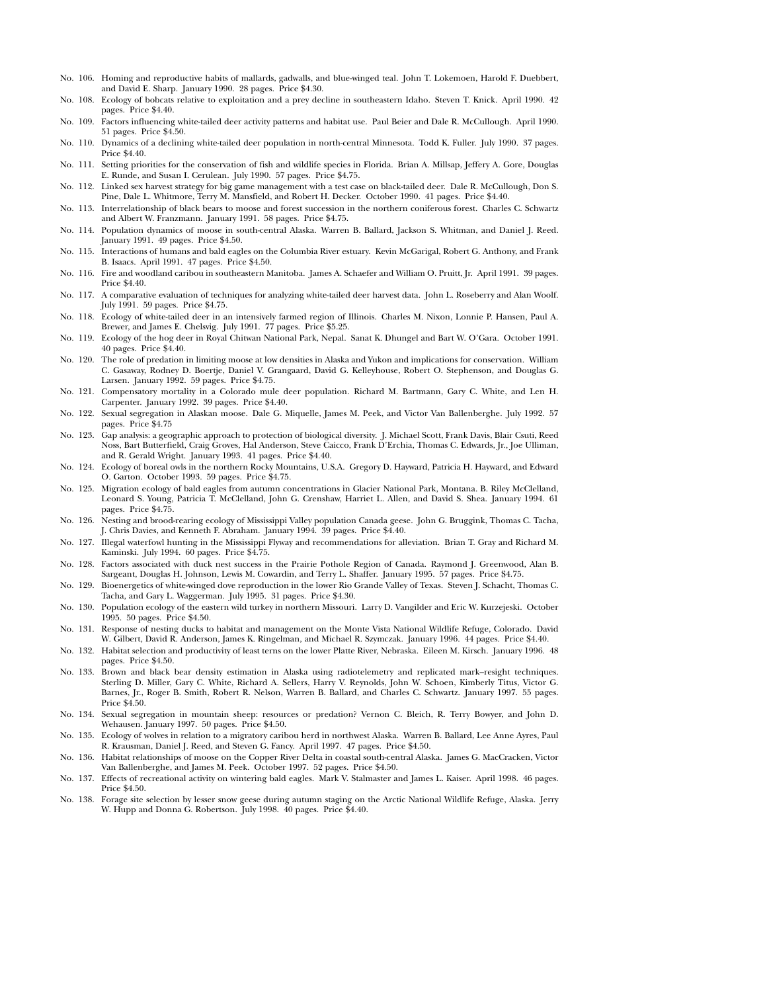- No. 106. Homing and reproductive habits of mallards, gadwalls, and blue-winged teal. John T. Lokemoen, Harold F. Duebbert, and David E. Sharp. January 1990. 28 pages. Price \$4.30.
- No. 108. Ecology of bobcats relative to exploitation and a prey decline in southeastern Idaho. Steven T. Knick. April 1990. 42 pages. Price \$4.40.
- No. 109. Factors influencing white-tailed deer activity patterns and habitat use. Paul Beier and Dale R. McCullough. April 1990. 51 pages. Price \$4.50.
- No. 110. Dynamics of a declining white-tailed deer population in north-central Minnesota. Todd K. Fuller. July 1990. 37 pages. Price \$4.40.
- No. 111. Setting priorities for the conservation of fish and wildlife species in Florida. Brian A. Millsap, Jeffery A. Gore, Douglas E. Runde, and Susan I. Cerulean. July 1990. 57 pages. Price \$4.75.
- No. 112. Linked sex harvest strategy for big game management with a test case on black-tailed deer. Dale R. McCullough, Don S. Pine, Dale L. Whitmore, Terry M. Mansfield, and Robert H. Decker. October 1990. 41 pages. Price \$4.40.
- No. 113. Interrelationship of black bears to moose and forest succession in the northern coniferous forest. Charles C. Schwartz and Albert W. Franzmann. January 1991. 58 pages. Price \$4.75.
- No. 114. Population dynamics of moose in south-central Alaska. Warren B. Ballard, Jackson S. Whitman, and Daniel J. Reed. January 1991. 49 pages. Price \$4.50.
- No. 115. Interactions of humans and bald eagles on the Columbia River estuary. Kevin McGarigal, Robert G. Anthony, and Frank B. Isaacs. April 1991. 47 pages. Price \$4.50.
- No. 116. Fire and woodland caribou in southeastern Manitoba. James A. Schaefer and William O. Pruitt, Jr. April 1991. 39 pages. Price \$4.40.
- No. 117. A comparative evaluation of techniques for analyzing white-tailed deer harvest data. John L. Roseberry and Alan Woolf. July 1991. 59 pages. Price \$4.75.
- No. 118. Ecology of white-tailed deer in an intensively farmed region of Illinois. Charles M. Nixon, Lonnie P. Hansen, Paul A. Brewer, and James E. Chelsvig. July 1991. 77 pages. Price \$5.25.
- No. 119. Ecology of the hog deer in Royal Chitwan National Park, Nepal. Sanat K. Dhungel and Bart W. O'Gara. October 1991. 40 pages. Price \$4.40.
- No. 120. The role of predation in limiting moose at low densities in Alaska and Yukon and implications for conservation. William C. Gasaway, Rodney D. Boertje, Daniel V. Grangaard, David G. Kelleyhouse, Robert O. Stephenson, and Douglas G. Larsen. January 1992. 59 pages. Price \$4.75.
- No. 121. Compensatory mortality in a Colorado mule deer population. Richard M. Bartmann, Gary C. White, and Len H. Carpenter. January 1992. 39 pages. Price \$4.40.
- No. 122. Sexual segregation in Alaskan moose. Dale G. Miquelle, James M. Peek, and Victor Van Ballenberghe. July 1992. 57 pages. Price \$4.75
- No. 123. Gap analysis: a geographic approach to protection of biological diversity. J. Michael Scott, Frank Davis, Blair Csuti, Reed Noss, Bart Butterfield, Craig Groves, Hal Anderson, Steve Caicco, Frank D'Erchia, Thomas C. Edwards, Jr., Joe Ulliman, and R. Gerald Wright. January 1993. 41 pages. Price \$4.40.
- No. 124. Ecology of boreal owls in the northern Rocky Mountains, U.S.A. Gregory D. Hayward, Patricia H. Hayward, and Edward O. Garton. October 1993. 59 pages. Price \$4.75.
- No. 125. Migration ecology of bald eagles from autumn concentrations in Glacier National Park, Montana. B. Riley McClelland, Leonard S. Young, Patricia T. McClelland, John G. Crenshaw, Harriet L. Allen, and David S. Shea. January 1994. 61 pages. Price \$4.75.
- No. 126. Nesting and brood-rearing ecology of Mississippi Valley population Canada geese. John G. Bruggink, Thomas C. Tacha, J. Chris Davies, and Kenneth F. Abraham. January 1994. 39 pages. Price \$4.40.
- No. 127. Illegal waterfowl hunting in the Mississippi Flyway and recommendations for alleviation. Brian T. Gray and Richard M. Kaminski. July 1994. 60 pages. Price \$4.75.
- No. 128. Factors associated with duck nest success in the Prairie Pothole Region of Canada. Raymond J. Greenwood, Alan B. Sargeant, Douglas H. Johnson, Lewis M. Cowardin, and Terry L. Shaffer. January 1995. 57 pages. Price \$4.75.
- No. 129. Bioenergetics of white-winged dove reproduction in the lower Rio Grande Valley of Texas. Steven J. Schacht, Thomas C. Tacha, and Gary L. Waggerman. July 1995. 31 pages. Price \$4.30.
- No. 130. Population ecology of the eastern wild turkey in northern Missouri. Larry D. Vangilder and Eric W. Kurzejeski. October 1995. 50 pages. Price \$4.50.
- No. 131. Response of nesting ducks to habitat and management on the Monte Vista National Wildlife Refuge, Colorado. David W. Gilbert, David R. Anderson, James K. Ringelman, and Michael R. Szymczak. January 1996. 44 pages. Price \$4.40.
- No. 132. Habitat selection and productivity of least terns on the lower Platte River, Nebraska. Eileen M. Kirsch. January 1996. 48 pages. Price \$4.50.
- No. 133. Brown and black bear density estimation in Alaska using radiotelemetry and replicated mark–resight techniques. Sterling D. Miller, Gary C. White, Richard A. Sellers, Harry V. Reynolds, John W. Schoen, Kimberly Titus, Victor G. Barnes, Jr., Roger B. Smith, Robert R. Nelson, Warren B. Ballard, and Charles C. Schwartz. January 1997. 55 pages. Price \$4.50.
- No. 134. Sexual segregation in mountain sheep: resources or predation? Vernon C. Bleich, R. Terry Bowyer, and John D. Wehausen. January 1997. 50 pages. Price \$4.50.
- No. 135. Ecology of wolves in relation to a migratory caribou herd in northwest Alaska. Warren B. Ballard, Lee Anne Ayres, Paul R. Krausman, Daniel J. Reed, and Steven G. Fancy. April 1997. 47 pages. Price \$4.50.
- No. 136. Habitat relationships of moose on the Copper River Delta in coastal south-central Alaska. James G. MacCracken, Victor Van Ballenberghe, and James M. Peek. October 1997. 52 pages. Price \$4.50.
- No. 137. Effects of recreational activity on wintering bald eagles. Mark V. Stalmaster and James L. Kaiser. April 1998. 46 pages. Price \$4.50.
- No. 138. Forage site selection by lesser snow geese during autumn staging on the Arctic National Wildlife Refuge, Alaska. Jerry W. Hupp and Donna G. Robertson. July 1998. 40 pages. Price \$4.40.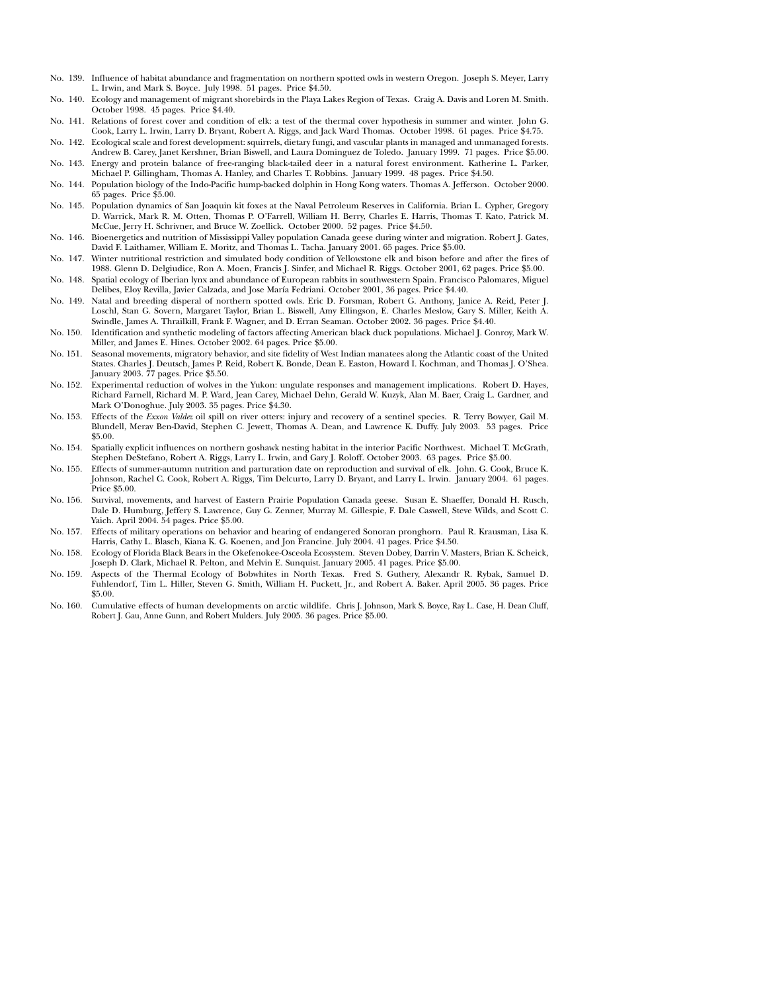- No. 139. Influence of habitat abundance and fragmentation on northern spotted owls in western Oregon. Joseph S. Meyer, Larry L. Irwin, and Mark S. Boyce. July 1998. 51 pages. Price \$4.50.
- No. 140. Ecology and management of migrant shorebirds in the Playa Lakes Region of Texas. Craig A. Davis and Loren M. Smith. October 1998. 45 pages. Price \$4.40.
- No. 141. Relations of forest cover and condition of elk: a test of the thermal cover hypothesis in summer and winter. John G. Cook, Larry L. Irwin, Larry D. Bryant, Robert A. Riggs, and Jack Ward Thomas. October 1998. 61 pages. Price \$4.75.
- No. 142. Ecological scale and forest development: squirrels, dietary fungi, and vascular plants in managed and unmanaged forests. Andrew B. Carey, Janet Kershner, Brian Biswell, and Laura Dominguez de Toledo. January 1999. 71 pages. Price \$5.00. No. 143. Energy and protein balance of free-ranging black-tailed deer in a natural forest environment. Katherine L. Parker, Michael P. Gillingham, Thomas A. Hanley, and Charles T. Robbins. January 1999. 48 pages. Price \$4.50.
- No. 144. Population biology of the Indo-Pacific hump-backed dolphin in Hong Kong waters. Thomas A. Jefferson. October 2000. 65 pages. Price \$5.00.
- No. 145. Population dynamics of San Joaquin kit foxes at the Naval Petroleum Reserves in California. Brian L. Cypher, Gregory D. Warrick, Mark R. M. Otten, Thomas P. O'Farrell, William H. Berry, Charles E. Harris, Thomas T. Kato, Patrick M. McCue, Jerry H. Schrivner, and Bruce W. Zoellick. October 2000. 52 pages. Price \$4.50.
- No. 146. Bioenergetics and nutrition of Mississippi Valley population Canada geese during winter and migration. Robert J. Gates, David F. Laithamer, William E. Moritz, and Thomas L. Tacha. January 2001. 65 pages. Price \$5.00.
- No. 147. Winter nutritional restriction and simulated body condition of Yellowstone elk and bison before and after the fires of 1988. Glenn D. Delgiudice, Ron A. Moen, Francis J. Sinfer, and Michael R. Riggs. October 2001, 62 pages. Price \$5.00.
- No. 148. Spatial ecology of Iberian lynx and abundance of European rabbits in southwestern Spain. Francisco Palomares, Miguel Delibes, Eloy Revilla, Javier Calzada, and Jose María Fedriani. October 2001, 36 pages. Price \$4.40.
- No. 149. Natal and breeding disperal of northern spotted owls. Eric D. Forsman, Robert G. Anthony, Janice A. Reid, Peter J. Loschl, Stan G. Sovern, Margaret Taylor, Brian L. Biswell, Amy Ellingson, E. Charles Meslow, Gary S. Miller, Keith A. Swindle, James A. Thrailkill, Frank F. Wagner, and D. Erran Seaman. October 2002. 36 pages. Price \$4.40.
- No. 150. Identification and synthetic modeling of factors affecting American black duck populations. Michael J. Conroy, Mark W. Miller, and James E. Hines. October 2002. 64 pages. Price \$5.00.
- No. 151. Seasonal movements, migratory behavior, and site fidelity of West Indian manatees along the Atlantic coast of the United States. Charles J. Deutsch, James P. Reid, Robert K. Bonde, Dean E. Easton, Howard I. Kochman, and Thomas J. O'Shea. January 2003. 77 pages. Price \$5.50.
- No. 152. Experimental reduction of wolves in the Yukon: ungulate responses and management implications. Robert D. Hayes, Richard Farnell, Richard M. P. Ward, Jean Carey, Michael Dehn, Gerald W. Kuzyk, Alan M. Baer, Craig L. Gardner, and Mark O'Donoghue. July 2003. 35 pages. Price \$4.30.
- No. 153. Effects of the *Exxon Valdez* oil spill on river otters: injury and recovery of a sentinel species. R. Terry Bowyer, Gail M. Blundell, Merav Ben-David, Stephen C. Jewett, Thomas A. Dean, and Lawrence K. Duffy. July 2003. 53 pages. Price \$5.00.
- No. 154. Spatially explicit influences on northern goshawk nesting habitat in the interior Pacific Northwest. Michael T. McGrath, Stephen DeStefano, Robert A. Riggs, Larry L. Irwin, and Gary J. Roloff. October 2003. 63 pages. Price \$5.00.
- No. 155. Effects of summer-autumn nutrition and parturation date on reproduction and survival of elk. John. G. Cook, Bruce K. Johnson, Rachel C. Cook, Robert A. Riggs, Tim Delcurto, Larry D. Bryant, and Larry L. Irwin. January 2004. 61 pages. Price \$5.00.
- No. 156. Survival, movements, and harvest of Eastern Prairie Population Canada geese. Susan E. Shaeffer, Donald H. Rusch, Dale D. Humburg, Jeffery S. Lawrence, Guy G. Zenner, Murray M. Gillespie, F. Dale Caswell, Steve Wilds, and Scott C. Yaich. April 2004. 54 pages. Price \$5.00.
- No. 157. Effects of military operations on behavior and hearing of endangered Sonoran pronghorn. Paul R. Krausman, Lisa K. Harris, Cathy L. Blasch, Kiana K. G. Koenen, and Jon Francine. July 2004. 41 pages. Price \$4.50.
- No. 158. Ecology of Florida Black Bears in the Okefenokee-Osceola Ecosystem. Steven Dobey, Darrin V. Masters, Brian K. Scheick, Joseph D. Clark, Michael R. Pelton, and Melvin E. Sunquist. January 2005. 41 pages. Price \$5.00.
- No. 159. Aspects of the Thermal Ecology of Bobwhites in North Texas. Fred S. Guthery, Alexandr R. Rybak, Samuel D. Fuhlendorf, Tim L. Hiller, Steven G. Smith, William H. Puckett, Jr., and Robert A. Baker. April 2005. 36 pages. Price \$5.00.
- No. 160. Cumulative effects of human developments on arctic wildlife. Chris J. Johnson, Mark S. Boyce, Ray L. Case, H. Dean Cluff, Robert J. Gau, Anne Gunn, and Robert Mulders. July 2005. 36 pages. Price \$5.00.